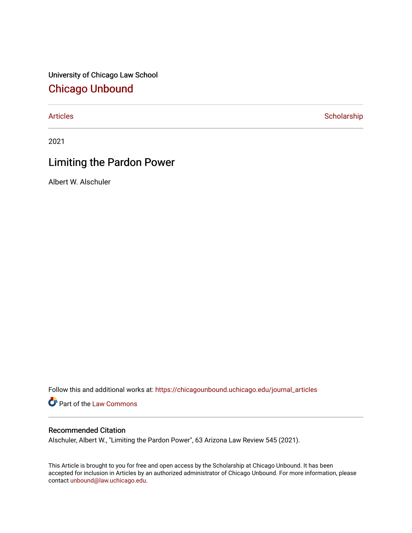University of Chicago Law School [Chicago Unbound](https://chicagounbound.uchicago.edu/)

[Articles](https://chicagounbound.uchicago.edu/journal_articles) **Scholarship** 

2021

# Limiting the Pardon Power

Albert W. Alschuler

Follow this and additional works at: [https://chicagounbound.uchicago.edu/journal\\_articles](https://chicagounbound.uchicago.edu/journal_articles?utm_source=chicagounbound.uchicago.edu%2Fjournal_articles%2F10288&utm_medium=PDF&utm_campaign=PDFCoverPages) 

Part of the [Law Commons](http://network.bepress.com/hgg/discipline/578?utm_source=chicagounbound.uchicago.edu%2Fjournal_articles%2F10288&utm_medium=PDF&utm_campaign=PDFCoverPages)

## Recommended Citation

Alschuler, Albert W., "Limiting the Pardon Power", 63 Arizona Law Review 545 (2021).

This Article is brought to you for free and open access by the Scholarship at Chicago Unbound. It has been accepted for inclusion in Articles by an authorized administrator of Chicago Unbound. For more information, please contact [unbound@law.uchicago.edu](mailto:unbound@law.uchicago.edu).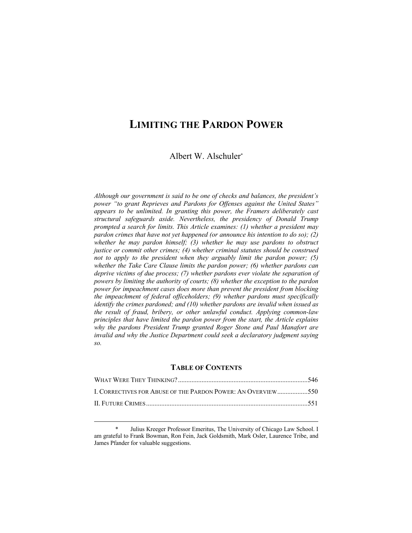# **LIMITING THE PARDON POWER**

Albert W. Alschuler\*

*Although our government is said to be one of checks and balances, the president's power "to grant Reprieves and Pardons for Offenses against the United States" appears to be unlimited. In granting this power, the Framers deliberately cast structural safeguards aside. Nevertheless, the presidency of Donald Trump prompted a search for limits. This Article examines: (1) whether a president may pardon crimes that have not yet happened (or announce his intention to do so); (2) whether he may pardon himself; (3) whether he may use pardons to obstruct justice or commit other crimes; (4) whether criminal statutes should be construed not to apply to the president when they arguably limit the pardon power; (5) whether the Take Care Clause limits the pardon power; (6) whether pardons can deprive victims of due process; (7) whether pardons ever violate the separation of powers by limiting the authority of courts; (8) whether the exception to the pardon power for impeachment cases does more than prevent the president from blocking the impeachment of federal officeholders; (9) whether pardons must specifically identify the crimes pardoned; and (10) whether pardons are invalid when issued as the result of fraud, bribery, or other unlawful conduct. Applying common-law principles that have limited the pardon power from the start, the Article explains why the pardons President Trump granted Roger Stone and Paul Manafort are invalid and why the Justice Department could seek a declaratory judgment saying so.*

## **TABLE OF CONTENTS**

| I. CORRECTIVES FOR ABUSE OF THE PARDON POWER: AN OVERVIEW550 |  |
|--------------------------------------------------------------|--|
|                                                              |  |

Julius Kreeger Professor Emeritus, The University of Chicago Law School. I am grateful to Frank Bowman, Ron Fein, Jack Goldsmith, Mark Osler, Laurence Tribe, and James Pfander for valuable suggestions.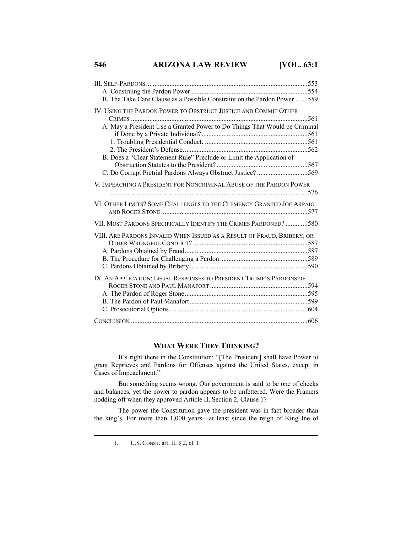**546 ARIZONA LAW REVIEW [VOL. 63:1**

| B. The Take Care Clause as a Possible Constraint on the Pardon Power559    |
|----------------------------------------------------------------------------|
| IV. USING THE PARDON POWER TO OBSTRUCT JUSTICE AND COMMIT OTHER            |
|                                                                            |
| A. May a President Use a Granted Power to Do Things That Would be Criminal |
|                                                                            |
|                                                                            |
| B. Does a "Clear Statement Rule" Preclude or Limit the Application of      |
|                                                                            |
| C. Do Corrupt Pretrial Pardons Always Obstruct Justice? 569                |
| V. IMPEACHING A PRESIDENT FOR NONCRIMINAL ABUSE OF THE PARDON POWER        |
|                                                                            |
| VI. OTHER LIMITS? SOME CHALLENGES TO THE CLEMENCY GRANTED JOE ARPAIO       |
| VII. MUST PARDONS SPECIFICALLY IDENTIFY THE CRIMES PARDONED? 580           |
| VIII. ARE PARDONS INVALID WHEN ISSUED AS A RESULT OF FRAUD, BRIBERY, OR    |
|                                                                            |
|                                                                            |
|                                                                            |
|                                                                            |
| IX. AN APPLICATION: LEGAL RESPONSES TO PRESIDENT TRUMP'S PARDONS OF        |
|                                                                            |
|                                                                            |
|                                                                            |
|                                                                            |
|                                                                            |

## **WHAT WERE THEY THINKING?**

It's right there in the Constitution: "[The President] shall have Power to grant Reprieves and Pardons for Offenses against the United States, except in Cases of Impeachment."<sup>1</sup>

But something seems wrong. Our government is said to be one of checks and balances, yet the power to pardon appears to be unfettered. Were the Framers nodding off when they approved Article II, Section 2, Clause 1?

The power the Constitution gave the president was in fact broader than the king's. For more than 1,000 years—at least since the reign of King Ine of

<sup>1.</sup> U.S. CONST. art. II, § 2, cl. 1.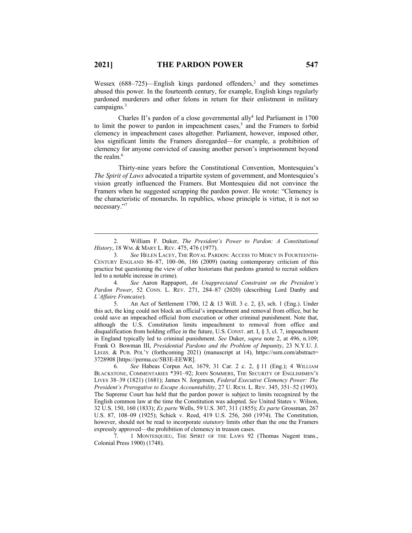Wessex  $(688-725)$ —English kings pardoned offenders,<sup>2</sup> and they sometimes abused this power. In the fourteenth century, for example, English kings regularly pardoned murderers and other felons in return for their enlistment in military campaigns.<sup>3</sup>

Charles II's pardon of a close governmental ally<sup>4</sup> led Parliament in 1700 to limit the power to pardon in impeachment cases, <sup>5</sup> and the Framers to forbid clemency in impeachment cases altogether. Parliament, however, imposed other, less significant limits the Framers disregarded—for example, a prohibition of clemency for anyone convicted of causing another person's imprisonment beyond the realm. 6

Thirty-nine years before the Constitutional Convention, Montesquieu's *The Spirit of Laws* advocated a tripartite system of government, and Montesquieu's vision greatly influenced the Framers. But Montesquieu did not convince the Framers when he suggested scrapping the pardon power. He wrote: "Clemency is the characteristic of monarchs. In republics, whose principle is virtue, it is not so necessary."7

4*. See* Aaron Rappaport, *An Unappreciated Constraint on the President's Pardon Power*, 52 CONN. L. REV. 271, 284–87 (2020) (describing Lord Danby and *L'Affaire Francaise*).

5. An Act of Settlement 1700, 12 & 13 Will. 3 c. 2, §3, sch. 1 (Eng.). Under this act, the king could not block an official's impeachment and removal from office, but he could save an impeached official from execution or other criminal punishment. Note that, although the U.S. Constitution limits impeachment to removal from office and disqualification from holding office in the future, U.S. CONST. art. I, § 3, cl. 7, impeachment in England typically led to criminal punishment. *See* Duker, *supra* note 2, at 496, n.109; Frank O. Bowman III, *Presidential Pardons and the Problem of Impunity*, 23 N.Y.U. J. LEGIS. & PUB. POL'Y (forthcoming 2021) (manuscript at 14), https://ssrn.com/abstract= 3728908 [https://perma.cc/5B3E-EEWR].

6*. See* Habeas Corpus Act, 1679, 31 Car. 2 c. 2, § 11 (Eng.); 4 WILLIAM BLACKSTONE, COMMENTARIES \*391–92; JOHN SOMMERS, THE SECURITY OF ENGLISHMEN'S LIVES 38–39 (1821) (1681); James N. Jorgensen, *Federal Executive Clemency Power: The President's Prerogative to Escape Accountability*, 27 U. RICH. L. REV. 345, 351–52 (1993). The Supreme Court has held that the pardon power is subject to limits recognized by the English common law at the time the Constitution was adopted. *See* United States v. Wilson, 32 U.S. 150, 160 (1833); *Ex parte* Wells, 59 U.S. 307, 311 (1855); *Ex parte* Grossman, 267 U.S. 87, 108–09 (1925); Schick v. Reed, 419 U.S. 256, 260 (1974). The Constitution, however, should not be read to incorporate *statutory* limits other than the one the Framers expressly approved—the prohibition of clemency in treason cases.

7. 1 MONTESQUIEU, THE SPIRIT OF THE LAWS 92 (Thomas Nugent trans., Colonial Press 1900) (1748).

<sup>2.</sup> William F. Duker, *The President's Power to Pardon: A Constitutional History*, 18 WM. & MARY L. REV. 475, 476 (1977).

<sup>3</sup>*. See* HELEN LACEY, THE ROYAL PARDON: ACCESS TO MERCY IN FOURTEENTH-CENTURY ENGLAND 86–87, 100–06, 186 (2009) (noting contemporary criticism of this practice but questioning the view of other historians that pardons granted to recruit soldiers led to a notable increase in crime).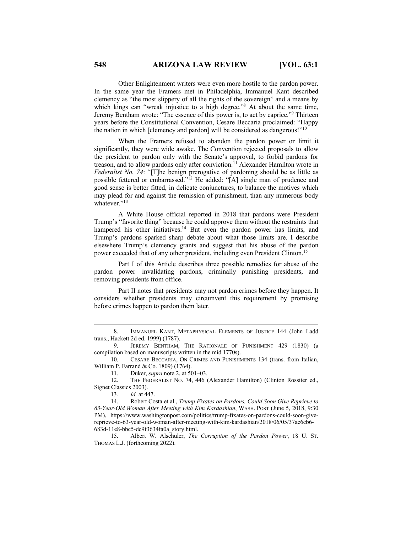Other Enlightenment writers were even more hostile to the pardon power. In the same year the Framers met in Philadelphia, Immanuel Kant described clemency as "the most slippery of all the rights of the sovereign" and a means by which kings can "wreak injustice to a high degree."<sup>8</sup> At about the same time, Jeremy Bentham wrote: "The essence of this power is, to act by caprice."9 Thirteen years before the Constitutional Convention, Cesare Beccaria proclaimed: "Happy the nation in which [clemency and pardon] will be considered as dangerous!"<sup>10</sup>

When the Framers refused to abandon the pardon power or limit it significantly, they were wide awake. The Convention rejected proposals to allow the president to pardon only with the Senate's approval, to forbid pardons for treason, and to allow pardons only after conviction.11 Alexander Hamilton wrote in *Federalist No. 74*: "[T]he benign prerogative of pardoning should be as little as possible fettered or embarrassed."12 He added: "[A] single man of prudence and good sense is better fitted, in delicate conjunctures, to balance the motives which may plead for and against the remission of punishment, than any numerous body whatever."<sup>13</sup>

A White House official reported in 2018 that pardons were President Trump's "favorite thing" because he could approve them without the restraints that hampered his other initiatives.<sup>14</sup> But even the pardon power has limits, and Trump's pardons sparked sharp debate about what those limits are. I describe elsewhere Trump's clemency grants and suggest that his abuse of the pardon power exceeded that of any other president, including even President Clinton.15

Part I of this Article describes three possible remedies for abuse of the pardon power—invalidating pardons, criminally punishing presidents, and removing presidents from office.

Part II notes that presidents may not pardon crimes before they happen. It considers whether presidents may circumvent this requirement by promising before crimes happen to pardon them later.

11. Duker, *supra* note 2, at 501–03.

15. Albert W. Alschuler, *The Corruption of the Pardon Power*, 18 U. ST. THOMAS L.J. (forthcoming 2022).

<sup>8.</sup> IMMANUEL KANT, METAPHYSICAL ELEMENTS OF JUSTICE 144 (John Ladd trans., Hackett 2d ed. 1999) (1787).

<sup>9.</sup> JEREMY BENTHAM, THE RATIONALE OF PUNISHMENT 429 (1830) (a compilation based on manuscripts written in the mid 1770s).

<sup>10.</sup> CESARE BECCARIA, ON CRIMES AND PUNISHMENTS 134 (trans. from Italian, William P. Farrand & Co. 1809) (1764).

<sup>12.</sup> THE FEDERALIST NO. 74, 446 (Alexander Hamilton) (Clinton Rossiter ed., Signet Classics 2003).

<sup>13</sup>*. Id.* at 447.

<sup>14.</sup> Robert Costa et al., *Trump Fixates on Pardons, Could Soon Give Reprieve to 63-Year-Old Woman After Meeting with Kim Kardashian*, WASH. POST (June 5, 2018, 9:30 PM), https://www.washingtonpost.com/politics/trump-fixates-on-pardons-could-soon-givereprieve-to-63-year-old-woman-after-meeting-with-kim-kardashian/2018/06/05/37ac6cb6- 683d-11e8-bbc5-dc9f3634fa0a\_story.html.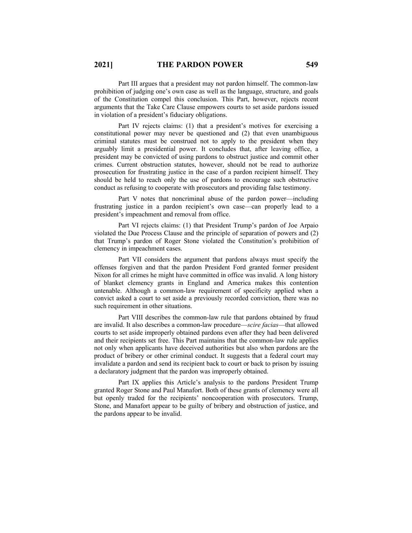Part III argues that a president may not pardon himself. The common-law prohibition of judging one's own case as well as the language, structure, and goals of the Constitution compel this conclusion. This Part, however, rejects recent arguments that the Take Care Clause empowers courts to set aside pardons issued in violation of a president's fiduciary obligations.

Part IV rejects claims: (1) that a president's motives for exercising a constitutional power may never be questioned and (2) that even unambiguous criminal statutes must be construed not to apply to the president when they arguably limit a presidential power. It concludes that, after leaving office, a president may be convicted of using pardons to obstruct justice and commit other crimes. Current obstruction statutes, however, should not be read to authorize prosecution for frustrating justice in the case of a pardon recipient himself. They should be held to reach only the use of pardons to encourage such obstructive conduct as refusing to cooperate with prosecutors and providing false testimony.

Part V notes that noncriminal abuse of the pardon power—including frustrating justice in a pardon recipient's own case—can properly lead to a president's impeachment and removal from office.

Part VI rejects claims: (1) that President Trump's pardon of Joe Arpaio violated the Due Process Clause and the principle of separation of powers and (2) that Trump's pardon of Roger Stone violated the Constitution's prohibition of clemency in impeachment cases.

Part VII considers the argument that pardons always must specify the offenses forgiven and that the pardon President Ford granted former president Nixon for all crimes he might have committed in office was invalid. A long history of blanket clemency grants in England and America makes this contention untenable. Although a common-law requirement of specificity applied when a convict asked a court to set aside a previously recorded conviction, there was no such requirement in other situations.

Part VIII describes the common-law rule that pardons obtained by fraud are invalid. It also describes a common-law procedure—*scire facias*—that allowed courts to set aside improperly obtained pardons even after they had been delivered and their recipients set free. This Part maintains that the common-law rule applies not only when applicants have deceived authorities but also when pardons are the product of bribery or other criminal conduct. It suggests that a federal court may invalidate a pardon and send its recipient back to court or back to prison by issuing a declaratory judgment that the pardon was improperly obtained.

Part IX applies this Article's analysis to the pardons President Trump granted Roger Stone and Paul Manafort. Both of these grants of clemency were all but openly traded for the recipients' noncooperation with prosecutors. Trump, Stone, and Manafort appear to be guilty of bribery and obstruction of justice, and the pardons appear to be invalid.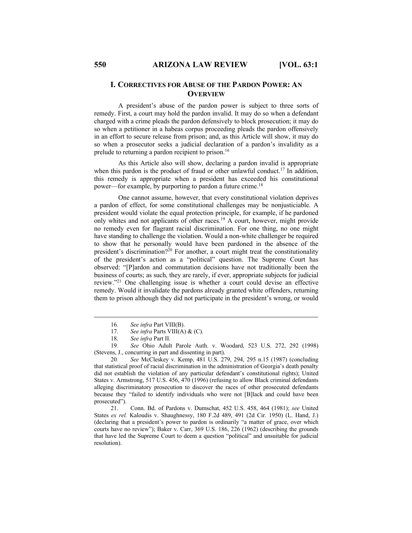## **I. CORRECTIVES FOR ABUSE OF THE PARDON POWER: AN OVERVIEW**

A president's abuse of the pardon power is subject to three sorts of remedy. First, a court may hold the pardon invalid. It may do so when a defendant charged with a crime pleads the pardon defensively to block prosecution; it may do so when a petitioner in a habeas corpus proceeding pleads the pardon offensively in an effort to secure release from prison; and, as this Article will show, it may do so when a prosecutor seeks a judicial declaration of a pardon's invalidity as a prelude to returning a pardon recipient to prison.<sup>16</sup>

As this Article also will show, declaring a pardon invalid is appropriate when this pardon is the product of fraud or other unlawful conduct.<sup>17</sup> In addition, this remedy is appropriate when a president has exceeded his constitutional power—for example, by purporting to pardon a future crime.18

One cannot assume, however, that every constitutional violation deprives a pardon of effect, for some constitutional challenges may be nonjusticiable. A president would violate the equal protection principle, for example, if he pardoned only whites and not applicants of other races.19 A court, however, might provide no remedy even for flagrant racial discrimination. For one thing, no one might have standing to challenge the violation. Would a non-white challenger be required to show that he personally would have been pardoned in the absence of the president's discrimination?<sup>20</sup> For another, a court might treat the constitutionality of the president's action as a "political" question. The Supreme Court has observed: "[P]ardon and commutation decisions have not traditionally been the business of courts; as such, they are rarely, if ever, appropriate subjects for judicial review."21 One challenging issue is whether a court could devise an effective remedy. Would it invalidate the pardons already granted white offenders, returning them to prison although they did not participate in the president's wrong, or would

<sup>16</sup>*. See infra* Part VIII(B).

<sup>17</sup>*. See infra* Parts VIII(A) & (C).

<sup>18</sup>*. See infra* Part II.

<sup>19</sup>*. See* Ohio Adult Parole Auth. v. Woodard, 523 U.S. 272, 292 (1998) (Stevens, J., concurring in part and dissenting in part).

<sup>20</sup>*. See* McCleskey v. Kemp, 481 U.S. 279, 294, 295 n.15 (1987) (concluding that statistical proof of racial discrimination in the administration of Georgia's death penalty did not establish the violation of any particular defendant's constitutional rights); United States v. Armstrong, 517 U.S. 456, 470 (1996) (refusing to allow Black criminal defendants alleging discriminatory prosecution to discover the races of other prosecuted defendants because they "failed to identify individuals who were not [B]lack and could have been prosecuted").

<sup>21.</sup> Conn. Bd. of Pardons v. Dumschat, 452 U.S. 458, 464 (1981); *see* United States *ex rel.* Kaloudis v. Shaughnessy, 180 F.2d 489, 491 (2d Cir. 1950) (L. Hand, J.) (declaring that a president's power to pardon is ordinarily "a matter of grace, over which courts have no review"); Baker v. Carr, 369 U.S. 186, 226 (1962) (describing the grounds that have led the Supreme Court to deem a question "political" and unsuitable for judicial resolution).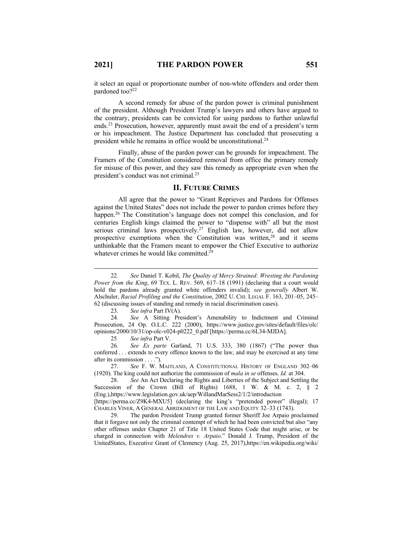it select an equal or proportionate number of non-white offenders and order them pardoned too?<sup>22</sup>

A second remedy for abuse of the pardon power is criminal punishment of the president. Although President Trump's lawyers and others have argued to the contrary, presidents can be convicted for using pardons to further unlawful ends.23 Prosecution, however, apparently must await the end of a president's term or his impeachment. The Justice Department has concluded that prosecuting a president while he remains in office would be unconstitutional.24

Finally, abuse of the pardon power can be grounds for impeachment. The Framers of the Constitution considered removal from office the primary remedy for misuse of this power, and they saw this remedy as appropriate even when the president's conduct was not criminal.25

## **II. FUTURE CRIMES**

All agree that the power to "Grant Reprieves and Pardons for Offenses against the United States" does not include the power to pardon crimes before they happen.<sup>26</sup> The Constitution's language does not compel this conclusion, and for centuries English kings claimed the power to "dispense with" all but the most serious criminal laws prospectively.<sup>27</sup> English law, however, did not allow prospective exemptions when the Constitution was written, $28$  and it seems unthinkable that the Framers meant to empower the Chief Executive to authorize whatever crimes he would like committed.<sup>29</sup>

23*. See infra* Part IV(A).

24*. See* A Sitting President's Amenability to Indictment and Criminal Prosecution, 24 Op. O.L.C. 222 (2000), https://www.justice.gov/sites/default/files/olc/ opinions/2000/10/31/op-olc-v024-p0222\_0.pdf [https://perma.cc/6L34-MJDA].

25*. See infra* Part V.

26*. See Ex parte* Garland, 71 U.S. 333, 380 (1867) ("The power thus conferred . . . extends to every offence known to the law, and may be exercised at any time after its commission . . . .").

27. *See* F. W. MAITLAND, A CONSTITUTIONAL HISTORY OF ENGLAND 302–06 (1920). The king could not authorize the commission of *mala in se* offenses. *Id.* at 304.

28. *See* An Act Declaring the Rights and Liberties of the Subject and Settling the Succession of the Crown (Bill of Rights) 1688, 1 W. & M. c. 2,  $\hat{\zeta}$  2 (Eng.),https://www.legislation.gov.uk/aep/WillandMarSess2/1/2/introduction

[https://perma.cc/Z9K4-MXU5] (declaring the king's "pretended power" illegal); 17 CHARLES VINER, A GENERAL ABRIDGMENT OF THE LAW AND EQUITY 32–33 (1743).

29. The pardon President Trump granted former Sheriff Joe Arpaio proclaimed that it forgave not only the criminal contempt of which he had been convicted but also "any other offenses under Chapter 21 of Title 18 United States Code that might arise, or be charged in connection with *Melendres v. Arpaio*." Donald J. Trump, President of the UnitedStates, Executive Grant of Clemency (Aug. 25, 2017),https://en.wikipedia.org/wiki/

<sup>22</sup>*. See* Daniel T. Kobil, *The Quality of Mercy Strained: Wresting the Pardoning Power from the King.* 69 TEX. L. REV. 569, 617–18 (1991) (declaring that a court would hold the pardons already granted white offenders invalid); *see generally* Albert W. Alschuler, *Racial Profiling and the Constitution*, 2002 U. CHI. LEGAL F. 163, 201–05, 245– 62 (discussing issues of standing and remedy in racial discrimination cases).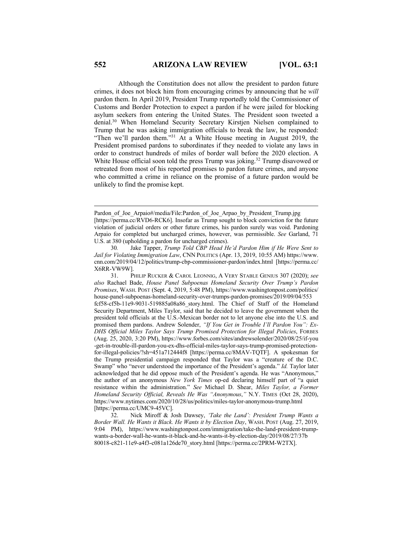Although the Constitution does not allow the president to pardon future crimes, it does not block him from encouraging crimes by announcing that he *will* pardon them. In April 2019, President Trump reportedly told the Commissioner of Customs and Border Protection to expect a pardon if he were jailed for blocking asylum seekers from entering the United States. The President soon tweeted a denial.30 When Homeland Security Secretary Kirstjen Nielsen complained to Trump that he was asking immigration officials to break the law, he responded: "Then we'll pardon them."31 At a White House meeting in August 2019, the President promised pardons to subordinates if they needed to violate any laws in order to construct hundreds of miles of border wall before the 2020 election. A White House official soon told the press Trump was joking.<sup>32</sup> Trump disavowed or retreated from most of his reported promises to pardon future crimes, and anyone who committed a crime in reliance on the promise of a future pardon would be unlikely to find the promise kept.

Pardon of Joe Arpaio#/media/File:Pardon of Joe Arpao by President Trump.jpg [https://perma.cc/RVD6-RCK6]. Insofar as Trump sought to block conviction for the future violation of judicial orders or other future crimes, his pardon surely was void. Pardoning Arpaio for completed but uncharged crimes, however, was permissible. *See* Garland, 71 U.S. at 380 (upholding a pardon for uncharged crimes).

<sup>30</sup>*.* Jake Tapper, *Trump Told CBP Head He'd Pardon Him if He Were Sent to Jail for Violating Immigration Law*, CNN POLITICS (Apr. 13, 2019, 10:55 AM) https://www. cnn.com/2019/04/12/politics/trump-cbp-commissioner-pardon/index.html [https://perma.cc/ X6RR-VW9W].

<sup>31.</sup> PHILIP RUCKER & CAROL LEONNIG, A VERY STABLE GENIUS 307 (2020); *see also* Rachael Bade, *House Panel Subpoenas Homeland Security Over Trump's Pardon Promises*, WASH. POST (Sept. 4, 2019, 5:48 PM), https://www.washingtonpost.com/politics/ house-panel-subpoenas-homeland-security-over-trumps-pardon-promises/2019/09/04/553 fcf58-cf5b-11e9-9031-519885a08a86\_story.html. The Chief of Staff of the Homeland Security Department, Miles Taylor, said that he decided to leave the government when the president told officials at the U.S.-Mexican border not to let anyone else into the U.S. and promised them pardons. Andrew Solender, *"If You Get in Trouble I'll Pardon You": Ex-DHS Official Miles Taylor Says Trump Promised Protection for Illegal Policies*, FORBES (Aug. 25, 2020, 3:20 PM), https://www.forbes.com/sites/andrewsolender/2020/08/25/if-you -get-in-trouble-ill-pardon-you-ex-dhs-official-miles-taylor-says-trump-promised-protectionfor-illegal-policies/?sh=451a712444f8 [https://perma.cc/8MAV-TQTF]. A spokesman for the Trump presidential campaign responded that Taylor was a "creature of the D.C. Swamp" who "never understood the importance of the President's agenda." *Id.* Taylor later acknowledged that he did oppose much of the President's agenda. He was "Anonymous," the author of an anonymous *New York Times* op-ed declaring himself part of "a quiet resistance within the administration." *See* Michael D. Shear, *Miles Taylor, a Former Homeland Security Official, Reveals He Was "Anonymous*,*"* N.Y. TIMES (Oct 28, 2020), https://www.nytimes.com/2020/10/28/us/politics/miles-taylor-anonymous-trump.html [https://perma.cc/UMC9-45VC].

<sup>32.</sup> Nick Miroff & Josh Dawsey, *'Take the Land': President Trump Wants a Border Wall. He Wants it Black. He Wants it by Election Day*, WASH. POST (Aug. 27, 2019, 9:04 PM), https://www.washingtonpost.com/immigration/take-the-land-president-trumpwants-a-border-wall-he-wants-it-black-and-he-wants-it-by-election-day/2019/08/27/37b 80018-c821-11e9-a4f3-c081a126de70\_story.html [https://perma.cc/2PRM-W2TX].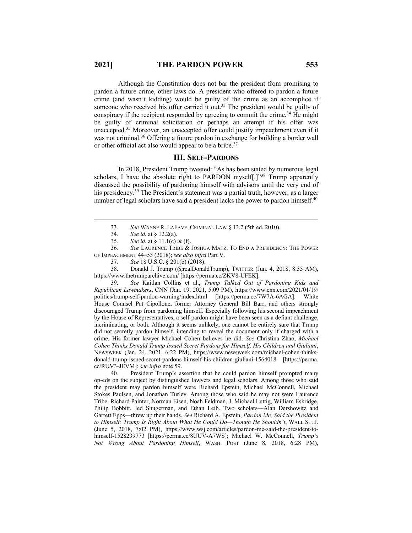Although the Constitution does not bar the president from promising to pardon a future crime, other laws do. A president who offered to pardon a future crime (and wasn't kidding) would be guilty of the crime as an accomplice if someone who received his offer carried it out.<sup>33</sup> The president would be guilty of conspiracy if the recipient responded by agreeing to commit the crime.<sup>34</sup> He might be guilty of criminal solicitation or perhaps an attempt if his offer was unaccepted. <sup>35</sup> Moreover, an unaccepted offer could justify impeachment even if it was not criminal.<sup>36</sup> Offering a future pardon in exchange for building a border wall or other official act also would appear to be a bribe.<sup>37</sup>

## **III. SELF-PARDONS**

In 2018, President Trump tweeted: "As has been stated by numerous legal scholars, I have the absolute right to PARDON myself[.]"<sup>38</sup> Trump apparently discussed the possibility of pardoning himself with advisors until the very end of his presidency.<sup>39</sup> The President's statement was a partial truth, however, as a larger number of legal scholars have said a president lacks the power to pardon himself.<sup>40</sup>

38. Donald J. Trump (@realDonaldTrump), TWITTER (Jun. 4, 2018, 8:35 AM), https://www.thetrumparchive.com/ [https://perma.cc/ZKV8-UFEK].

39. *See* Kaitlan Collins et al., *Trump Talked Out of Pardoning Kids and Republican Lawmakers*, CNN (Jan. 19, 2021, 5:09 PM), https://www.cnn.com/2021/01/19/ politics/trump-self-pardon-warning/index.html [https://perma.cc/7W7A-6AGA]. White House Counsel Pat Cipollone, former Attorney General Bill Barr, and others strongly discouraged Trump from pardoning himself. Especially following his second impeachment by the House of Representatives, a self-pardon might have been seen as a defiant challenge, incriminating, or both. Although it seems unlikely, one cannot be entirely sure that Trump did not secretly pardon himself, intending to reveal the document only if charged with a crime. His former lawyer Michael Cohen believes he did. *See* Christina Zhao, *Michael Cohen Thinks Donald Trump Issued Secret Pardons for Himself, His Children and Giuliani*, NEWSWEEK (Jan. 24, 2021, 6:22 PM), https://www.newsweek.com/michael-cohen-thinksdonald-trump-issued-secret-pardons-himself-his-children-giuliani-1564018 [https://perma. cc/RUV3-JEVM]; *see infra* note 59.

40. President Trump's assertion that he could pardon himself prompted many op-eds on the subject by distinguished lawyers and legal scholars. Among those who said the president may pardon himself were Richard Epstein, Michael McConnell, Michael Stokes Paulsen, and Jonathan Turley. Among those who said he may not were Laurence Tribe, Richard Painter, Norman Eisen, Noah Feldman, J. Michael Luttig, William Eskridge, Philip Bobbitt, Jed Shugerman, and Ethan Leib. Two scholars—Alan Dershowitz and Garrett Epps—threw up their hands. *See* Richard A. Epstein, *Pardon Me, Said the President to Himself: Trump Is Right About What He Could Do—Though He Shouldn't*, WALL ST. J. (June 5, 2018, 7:02 PM), https://www.wsj.com/articles/pardon-me-said-the-president-tohimself-1528239773 [https://perma.cc/8UUV-A7WS]; Michael W. McConnell, *Trump's Not Wrong About Pardoning Himself*, WASH. POST (June 8, 2018, 6:28 PM),

<sup>33</sup>*. See* WAYNE R. LAFAVE, CRIMINAL LAW § 13.2 (5th ed. 2010).

<sup>34</sup>*. See id.* at § 12.2(a).

<sup>35</sup>*. See id.* at § 11.1(c) & (f).

<sup>36</sup>*. See* LAURENCE TRIBE & JOSHUA MATZ, TO END A PRESIDENCY: THE POWER OF IMPEACHMENT 44–53 (2018); *see also infra* Part V.

<sup>37</sup>*. See* 18 U.S.C. § 201(b) (2018).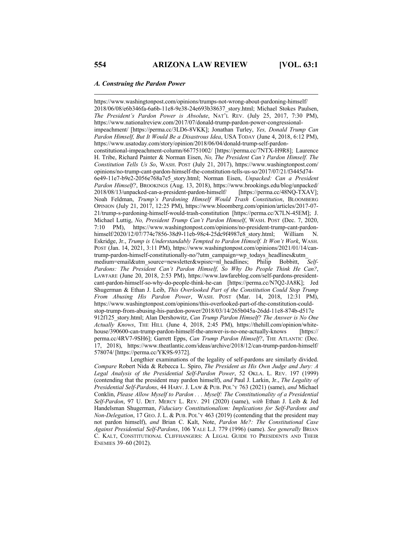#### *A. Construing the Pardon Power*

https://www.washingtonpost.com/opinions/trumps-not-wrong-about-pardoning-himself/ 2018/06/08/e6b346fa-6a6b-11e8-9e38-24e693b38637\_story.html; Michael Stokes Paulsen, *The President's Pardon Power is Absolute*, NAT'L REV. (July 25, 2017, 7:30 PM), https://www.nationalreview.com/2017/07/donald-trump-pardon-power-congressionalimpeachment/ [https://perma.cc/3LD6-8VKK]; Jonathan Turley, *Yes, Donald Trump Can Pardon Himself, But It Would Be a Disastrous Idea*, USA TODAY (June 4, 2018, 6:12 PM), https://www.usatoday.com/story/opinion/2018/06/04/donald-trump-self-pardonconstitutional-impeachment-column/667751002/ [https://perma.cc/7NTX-H9R8]; Laurence H. Tribe, Richard Painter & Norman Eisen, *No, The President Can't Pardon Himself. The Constitution Tells Us So*, WASH. POST (July 21, 2017), https://www.washingtonpost.com/ opinions/no-trump-cant-pardon-himself-the-constitution-tells-us-so/2017/07/21/f3445d74- 6e49-11e7-b9e2-2056e768a7e5\_story.html; Norman Eisen, *Unpacked: Can a President Pardon Himself?*, BROOKINGS (Aug. 13, 2018), https://www.brookings.edu/blog/unpacked/ 2018/08/13/unpacked-can-a-president-pardon-himself/ [https://perma.cc/48NQ-TXAV]; Noah Feldman, *Trump's Pardoning Himself Would Trash Constitution*, BLOOMBERG OPINION (July 21, 2017, 12:25 PM), https://www.bloomberg.com/opinion/articles/2017-07- 21/trump-s-pardoning-himself-would-trash-constitution [https://perma.cc/X7LN-45EM]; J. Michael Luttig, *No, President Trump Can't Pardon Himself*, WASH. POST (Dec. 7, 2020, 7:10 PM), https://www.washingtonpost.com/opinions/no-president-trump-cant-pardonhimself/2020/12/07/774c7856-38d9-11eb-98c4-25dc9f4987e8\_story.html; William N. Eskridge, Jr., *Trump is Understandably Tempted to Pardon Himself. It Won't Work*, WASH. POST (Jan. 14, 2021, 3:11 PM), https://www.washingtonpost.com/opinions/2021/01/14/cantrump-pardon-himself-constitutionally-no/?utm\_campaign=wp\_todays\_headlines&utm\_ medium=email&utm\_source=newsletter&wpisrc=nl\_headlines; Philip Bobbitt, *Self-Pardons: The President Can't Pardon Himself, So Why Do People Think He Can?*, LAWFARE (June 20, 2018, 2:53 PM), https://www.lawfareblog.com/self-pardons-presidentcant-pardon-himself-so-why-do-people-think-he-can [https://perma.cc/N7Q2-JA8K]; Jed Shugerman & Ethan J. Leib, *This Overlooked Part of the Constitution Could Stop Trump From Abusing His Pardon Power*, WASH. POST (Mar. 14, 2018, 12:31 PM), https://www.washingtonpost.com/opinions/this-overlooked-part-of-the-constitution-couldstop-trump-from-abusing-his-pardon-power/2018/03/14/265b045a-26dd-11e8-874b-d517e 912f125\_story.html; Alan Dershowitz, *Can Trump Pardon Himself? The Answer is No One Actually Knows*, THE HILL (June 4, 2018, 2:45 PM), https://thehill.com/opinion/whitehouse/390600-can-trump-pardon-himself-the-answer-is-no-one-actually-knows [https:// perma.cc/4RV7-9SH6]; Garrett Epps, *Can Trump Pardon Himself?*, THE ATLANTIC (Dec. 17, 2018), https://www.theatlantic.com/ideas/archive/2018/12/can-trump-pardon-himself/ 578074/ [https://perma.cc/YK9S-9372].

Lengthier examinations of the legality of self-pardons are similarly divided. *Compare* Robert Nida & Rebecca L. Spiro, *The President as His Own Judge and Jury: A Legal Analysis of the Presidential Self-Pardon Power*, 52 OKLA. L. REV. 197 (1999) (contending that the president may pardon himself), *and* Paul J. Larkin, Jr., *The Legality of Presidential Self-Pardons*, 44 HARV. J. LAW & PUB. POL'Y 763 (2021) (same), *and* Michael Conklin, *Please Allow Myself to Pardon . . . Myself: The Constitutionality of a Presidential Self-Pardon*, 97 U. DET. MERCY L. REV. 291 (2020) (same), *with* Ethan J. Leib & Jed Handelsman Shugerman, *Fiduciary Constitutionalism: Implications for Self-Pardons and Non-Delegation*, 17 GEO. J. L. & PUB. POL'Y 463 (2019) (contending that the president may not pardon himself), *and* Brian C. Kalt, Note, *Pardon Me?: The Constitutional Case Against Presidential Self-Pardons*, 106 YALE L.J. 779 (1996) (same). *See generally* BRIAN C. KALT, CONSTITUTIONAL CLIFFHANGERS: A LEGAL GUIDE TO PRESIDENTS AND THEIR ENEMIES 39–60 (2012).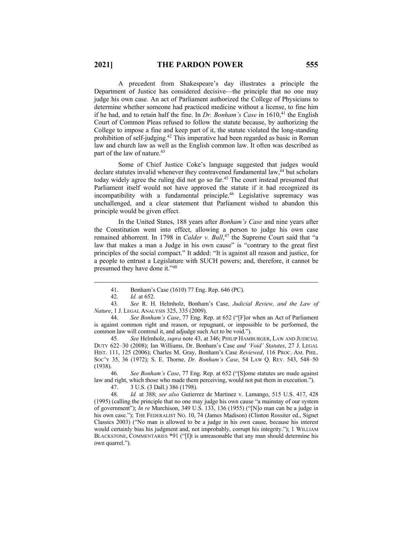A precedent from Shakespeare's day illustrates a principle the Department of Justice has considered decisive—the principle that no one may judge his own case. An act of Parliament authorized the College of Physicians to determine whether someone had practiced medicine without a license, to fine him if he had, and to retain half the fine. In *Dr. Bonham's Case* in 1610,<sup>41</sup> the English Court of Common Pleas refused to follow the statute because, by authorizing the College to impose a fine and keep part of it, the statute violated the long-standing prohibition of self-judging.42 This imperative had been regarded as basic in Roman law and church law as well as the English common law. It often was described as part of the law of nature.<sup>43</sup>

Some of Chief Justice Coke's language suggested that judges would declare statutes invalid whenever they contravened fundamental law,<sup>44</sup> but scholars today widely agree the ruling did not go so far.<sup>45</sup> The court instead presumed that Parliament itself would not have approved the statute if it had recognized its incompatibility with a fundamental principle.46 Legislative supremacy was unchallenged, and a clear statement that Parliament wished to abandon this principle would be given effect.

In the United States, 188 years after *Bonham's Case* and nine years after the Constitution went into effect, allowing a person to judge his own case remained abhorrent. In 1798 in *Calder v. Bull*, <sup>47</sup> the Supreme Court said that "a law that makes a man a Judge in his own cause" is "contrary to the great first principles of the social compact." It added: "It is against all reason and justice, for a people to entrust a Legislature with SUCH powers; and, therefore, it cannot be presumed they have done it."48

43*. See* R. H. Helmholz, Bonham's Case*, Judicial Review, and the Law of Nature*, 1 J. LEGAL ANALYSIS 325, 335 (2009).

44. *See Bonham's Case*, 77 Eng. Rep. at 652 ("[F]or when an Act of Parliament is against common right and reason, or repugnant, or impossible to be performed, the common law will controul it, and adjudge such Act to be void.").

45*. See* Helmholz, *supra* note 43, at 346; PHILIP HAMBURGER, LAW AND JUDICIAL DUTY 622–30 (2008); Ian Williams, Dr. Bonham's Case *and 'Void' Statutes*, 27 J. LEGAL HIST. 111, 125 (2006); Charles M. Gray, Bonham's Case *Reviewed*, 116 PROC. AM. PHIL. SOC'Y 35, 36 (1972); S. E. Thorne, *Dr. Bonham's Case*, 54 LAW Q. REV. 543, 548–50 (1938).

46*. See Bonham's Case*, 77 Eng. Rep. at 652 ("[S]ome statutes are made against law and right, which those who made them perceiving, would not put them in execution.").

47. 3 U.S. (3 Dall.) 386 (1798).

48*. Id.* at 388; *see also* Gutierrez de Martinez v. Lamango, 515 U.S. 417, 428 (1995) (calling the principle that no one may judge his own cause "a mainstay of our system of government"); *In re* Murchison, 349 U.S. 133, 136 (1955) ("[N]o man can be a judge in his own case."); THE FEDERALIST No. 10, 74 (James Madison) (Clinton Rossiter ed., Signet Classics 2003) ("No man is allowed to be a judge in his own cause, because his interest would certainly bias his judgment and, not improbably, corrupt his integrity."); 1 WILLIAM BLACKSTONE, COMMENTARIES \*91 ("[I]t is unreasonable that any man should determine his own quarrel.").

<sup>41.</sup> Bonham's Case (1610) 77 Eng. Rep. 646 (PC).

<sup>42.</sup> *Id.* at 652.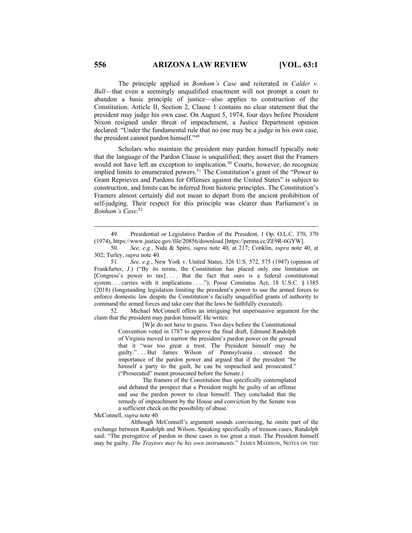The principle applied in *Bonham's Case* and reiterated in *Calder v. Bull*—that even a seemingly unqualified enactment will not prompt a court to abandon a basic principle of justice—also applies to construction of the Constitution. Article II, Section 2, Clause 1 contains no clear statement that the president may judge his own case. On August 5, 1974, four days before President Nixon resigned under threat of impeachment, a Justice Department opinion declared: "Under the fundamental rule that no one may be a judge in his own case, the president cannot pardon himself."49

Scholars who maintain the president may pardon himself typically note that the language of the Pardon Clause is unqualified; they assert that the Framers would not have left an exception to implication.<sup>50</sup> Courts, however, do recognize implied limits to enumerated powers.<sup>51</sup> The Constitution's grant of the "Power to Grant Reprieves and Pardons for Offenses against the United States" is subject to construction, and limits can be inferred from historic principles. The Constitution's Framers almost certainly did not mean to depart from the ancient prohibition of self-judging. Their respect for this principle was clearer than Parliament's in *Bonham's Case*. 52

51*. See, e.g.*, New York v. United States, 326 U.S. 572, 575 (1947) (opinion of Frankfurter, J.) ("By its terms, the Constitution has placed only one limitation on [Congress's power to tax].... But the fact that ours is a federal constitutional system . . . carries with it implications . . . ."); Posse Comitatus Act, 18 U.S.C. § 1385 (2018) (longstanding legislation limiting the president's power to use the armed forces to enforce domestic law despite the Constitution's facially unqualified grants of authority to command the armed forces and take care that the laws be faithfully executed).

52. Michael McConnell offers an intriguing but unpersuasive argument for the claim that the president may pardon himself. He writes:

> [W]e do not have to guess. Two days before the Constitutional Convention voted in 1787 to approve the final draft, Edmund Randolph of Virginia moved to narrow the president's pardon power on the ground that it "was too great a trust. The President himself may be guilty." . . . But James Wilson of Pennsylvania . . . stressed the importance of the pardon power and argued that if the president "be himself a party to the guilt, he can be impeached and prosecuted." ("Prosecuted" meant prosecuted before the Senate.)

> The framers of the Constitution thus specifically contemplated and debated the prospect that a President might be guilty of an offense and use the pardon power to clear himself. They concluded that the remedy of impeachment by the House and conviction by the Senate was a sufficient check on the possibility of abuse.

McConnell, *supra* note 40.

Although McConnell's argument sounds convincing, he omits part of the exchange between Randolph and Wilson. Speaking specifically of treason cases, Randolph said: "The prerogative of pardon in these cases is too great a trust. The President himself may be guilty. *The Traytors may be his own instruments*." JAMES MADISON, NOTES ON THE

<sup>49</sup>*.* Presidential or Legislative Pardon of the President, 1 Op. O.L.C. 370, 370 (1974), https://www.justice.gov/file/20856/download [https://perma.cc/ZE9R-6GYW].

<sup>50</sup>*. See, e.g.*, Nida & Spiro, *supra* note 40, at 217; Conklin, *supra* note 40, at 302; Turley, *supra* note 40.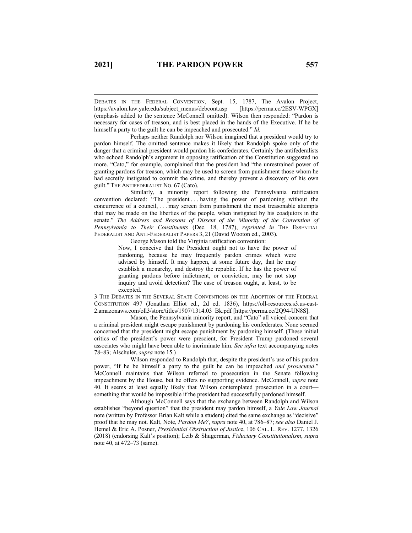DEBATES IN THE FEDERAL CONVENTION, Sept. 15, 1787, The Avalon Project, https://avalon.law.yale.edu/subject\_menus/debcont.asp [https://perma.cc/2ESV-WPGX] (emphasis added to the sentence McConnell omitted). Wilson then responded: "Pardon is necessary for cases of treason, and is best placed in the hands of the Executive. If he be himself a party to the guilt he can be impeached and prosecuted." *Id.*

Perhaps neither Randolph nor Wilson imagined that a president would try to pardon himself. The omitted sentence makes it likely that Randolph spoke only of the danger that a criminal president would pardon his confederates. Certainly the antifederalists who echoed Randolph's argument in opposing ratification of the Constitution suggested no more. "Cato," for example, complained that the president had "the unrestrained power of granting pardons for treason, which may be used to screen from punishment those whom he had secretly instigated to commit the crime, and thereby prevent a discovery of his own guilt." THE ANTIFEDERALIST NO. 67 (Cato).

Similarly, a minority report following the Pennsylvania ratification convention declared: "The president . . . having the power of pardoning without the concurrence of a council, . . . may screen from punishment the most treasonable attempts that may be made on the liberties of the people, when instigated by his coadjutors in the senate." *The Address and Reasons of Dissent of the Minority of the Convention of Pennsylvania to Their Constituents* (Dec. 18, 1787), *reprinted in* THE ESSENTIAL FEDERALIST AND ANTI-FEDERALIST PAPERS 3, 21 (David Wooton ed., 2003).

George Mason told the Virginia ratification convention:

Now, I conceive that the President ought not to have the power of pardoning, because he may frequently pardon crimes which were advised by himself. It may happen, at some future day, that he may establish a monarchy, and destroy the republic. If he has the power of granting pardons before indictment, or conviction, may he not stop inquiry and avoid detection? The case of treason ought, at least, to be excepted.

3 THE DEBATES IN THE SEVERAL STATE CONVENTIONS ON THE ADOPTION OF THE FEDERAL CONSTITUTION 497 (Jonathan Elliot ed., 2d ed. 1836), https://oll-resources.s3.us-east-2.amazonaws.com/oll3/store/titles/1907/1314.03\_Bk.pdf [https://perma.cc/2Q94-UN8S].

Mason, the Pennsylvania minority report, and "Cato" all voiced concern that a criminal president might escape punishment by pardoning his confederates. None seemed concerned that the president might escape punishment by pardoning himself. (These initial critics of the president's power were prescient, for President Trump pardoned several associates who might have been able to incriminate him. *See infra* text accompanying notes 78–83; Alschuler, *supra* note 15.)

Wilson responded to Randolph that, despite the president's use of his pardon power, "If he be himself a party to the guilt he can be impeached *and prosecuted*." McConnell maintains that Wilson referred to prosecution in the Senate following impeachment by the House, but he offers no supporting evidence. McConnell, *supra* note 40. It seems at least equally likely that Wilson contemplated prosecution in a court something that would be impossible if the president had successfully pardoned himself.

Although McConnell says that the exchange between Randolph and Wilson establishes "beyond question" that the president may pardon himself, a *Yale Law Journal* note (written by Professor Brian Kalt while a student) cited the same exchange as "decisive" proof that he may not. Kalt, Note, *Pardon Me?*, *supra* note 40, at 786–87; *see also* Daniel J. Hemel & Eric A. Posner, *Presidential Obstruction of Justic*e, 106 CAL. L. REV. 1277, 1326 (2018) (endorsing Kalt's position); Leib & Shugerman, *Fiduciary Constitutionalism*, *supra* note 40, at 472–73 (same).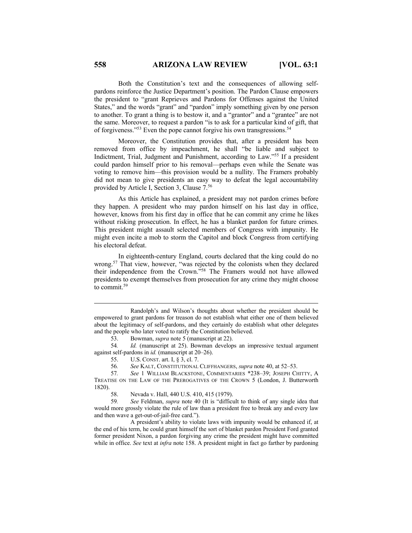Both the Constitution's text and the consequences of allowing selfpardons reinforce the Justice Department's position. The Pardon Clause empowers the president to "grant Reprieves and Pardons for Offenses against the United States," and the words "grant" and "pardon" imply something given by one person to another. To grant a thing is to bestow it, and a "grantor" and a "grantee" are not the same. Moreover, to request a pardon "is to ask for a particular kind of gift, that of forgiveness."<sup>53</sup> Even the pope cannot forgive his own transgressions.<sup>54</sup>

Moreover, the Constitution provides that, after a president has been removed from office by impeachment, he shall "be liable and subject to Indictment, Trial, Judgment and Punishment, according to Law."55 If a president could pardon himself prior to his removal—perhaps even while the Senate was voting to remove him—this provision would be a nullity. The Framers probably did not mean to give presidents an easy way to defeat the legal accountability provided by Article I, Section 3, Clause 7.56

As this Article has explained, a president may not pardon crimes before they happen. A president who may pardon himself on his last day in office, however, knows from his first day in office that he can commit any crime he likes without risking prosecution. In effect, he has a blanket pardon for future crimes. This president might assault selected members of Congress with impunity. He might even incite a mob to storm the Capitol and block Congress from certifying his electoral defeat.

In eighteenth-century England, courts declared that the king could do no wrong.<sup>57</sup> That view, however, "was rejected by the colonists when they declared their independence from the Crown."58 The Framers would not have allowed presidents to exempt themselves from prosecution for any crime they might choose to commit.59

Randolph's and Wilson's thoughts about whether the president should be empowered to grant pardons for treason do not establish what either one of them believed about the legitimacy of self-pardons, and they certainly do establish what other delegates and the people who later voted to ratify the Constitution believed.

<sup>53.</sup> Bowman, *supra* note 5 (manuscript at 22).

<sup>54</sup>*. Id.* (manuscript at 25). Bowman develops an impressive textual argument against self-pardons in *id.* (manuscript at 20–26).

<sup>55.</sup> U.S. CONST. art. I, § 3, cl. 7.

<sup>56</sup>*. See* KALT, CONSTITUTIONAL CLIFFHANGERS, *supra* note 40, at 52–53.

<sup>57</sup>*. See* 1 WILLIAM BLACKSTONE, COMMENTARIES \*238–39; JOSEPH CHITTY, A TREATISE ON THE LAW OF THE PREROGATIVES OF THE CROWN 5 (London, J. Butterworth 1820).

<sup>58.</sup> Nevada v. Hall, 440 U.S. 410, 415 (1979).

<sup>59</sup>*. See* Feldman, *supra* note 40 (It is "difficult to think of any single idea that would more grossly violate the rule of law than a president free to break any and every law and then wave a get-out-of-jail-free card.").

A president's ability to violate laws with impunity would be enhanced if, at the end of his term, he could grant himself the sort of blanket pardon President Ford granted former president Nixon, a pardon forgiving any crime the president might have committed while in office. *See* text at *infra* note 158. A president might in fact go farther by pardoning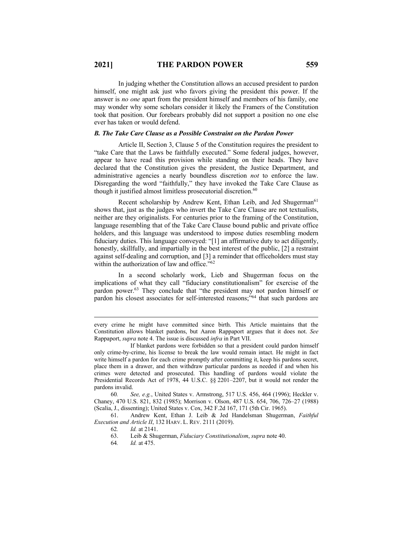In judging whether the Constitution allows an accused president to pardon himself, one might ask just who favors giving the president this power. If the answer is *no one* apart from the president himself and members of his family, one may wonder why some scholars consider it likely the Framers of the Constitution took that position. Our forebears probably did not support a position no one else ever has taken or would defend.

## *B. The Take Care Clause as a Possible Constraint on the Pardon Power*

Article II, Section 3, Clause 5 of the Constitution requires the president to "take Care that the Laws be faithfully executed." Some federal judges, however, appear to have read this provision while standing on their heads. They have declared that the Constitution gives the president, the Justice Department, and administrative agencies a nearly boundless discretion *not* to enforce the law. Disregarding the word "faithfully," they have invoked the Take Care Clause as though it justified almost limitless prosecutorial discretion.<sup>60</sup>

Recent scholarship by Andrew Kent, Ethan Leib, and Jed Shugerman<sup>61</sup> shows that, just as the judges who invert the Take Care Clause are not textualists, neither are they originalists. For centuries prior to the framing of the Constitution, language resembling that of the Take Care Clause bound public and private office holders, and this language was understood to impose duties resembling modern fiduciary duties. This language conveyed: "[1] an affirmative duty to act diligently, honestly, skillfully, and impartially in the best interest of the public, [2] a restraint against self-dealing and corruption, and [3] a reminder that officeholders must stay within the authorization of law and office."<sup>62</sup>

In a second scholarly work, Lieb and Shugerman focus on the implications of what they call "fiduciary constitutionalism" for exercise of the pardon power.<sup>63</sup> They conclude that "the president may not pardon himself or pardon his closest associates for self-interested reasons;"64 that such pardons are

60*. See, e.g.*, United States v. Armstrong, 517 U.S. 456, 464 (1996); Heckler v. Chaney, 470 U.S. 821, 832 (1985); Morrison v. Olson, 487 U.S. 654, 706, 726–27 (1988) (Scalia, J., dissenting); United States v. Cox, 342 F.2d 167, 171 (5th Cir. 1965).

61. Andrew Kent, Ethan J. Leib & Jed Handelsman Shugerman, *Faithful Execution and Article II*, 132 HARV. L. REV. 2111 (2019).

63. Leib & Shugerman, *Fiduciary Constitutionalism*, *supra* note 40.

64*. Id.* at 475.

every crime he might have committed since birth. This Article maintains that the Constitution allows blanket pardons, but Aaron Rappaport argues that it does not. *See* Rappaport, *supra* note 4. The issue is discussed *infra* in Part VII.

If blanket pardons were forbidden so that a president could pardon himself only crime-by-crime, his license to break the law would remain intact. He might in fact write himself a pardon for each crime promptly after committing it, keep his pardons secret, place them in a drawer, and then withdraw particular pardons as needed if and when his crimes were detected and prosecuted. This handling of pardons would violate the Presidential Records Act of 1978, 44 U.S.C. §§ 2201–2207, but it would not render the pardons invalid.

<sup>62</sup>*. Id.* at 2141.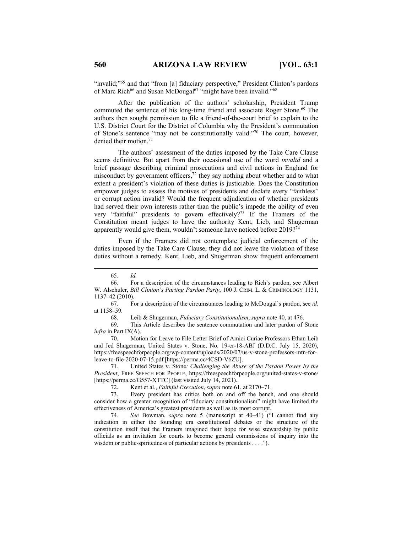"invalid;"<sup>65</sup> and that "from [a] fiduciary perspective," President Clinton's pardons of Marc Rich<sup>66</sup> and Susan McDougal<sup>67</sup> "might have been invalid."<sup>68</sup>

After the publication of the authors' scholarship, President Trump commuted the sentence of his long-time friend and associate Roger Stone.<sup>69</sup> The authors then sought permission to file a friend-of-the-court brief to explain to the U.S. District Court for the District of Columbia why the President's commutation of Stone's sentence "may not be constitutionally valid."70 The court, however, denied their motion.<sup>71</sup>

The authors' assessment of the duties imposed by the Take Care Clause seems definitive. But apart from their occasional use of the word *invalid* and a brief passage describing criminal prosecutions and civil actions in England for misconduct by government officers, $72$  they say nothing about whether and to what extent a president's violation of these duties is justiciable. Does the Constitution empower judges to assess the motives of presidents and declare every "faithless" or corrupt action invalid? Would the frequent adjudication of whether presidents had served their own interests rather than the public's impede the ability of even very "faithful" presidents to govern effectively?<sup>73</sup> If the Framers of the Constitution meant judges to have the authority Kent, Lieb, and Shugerman apparently would give them, wouldn't someone have noticed before 2019?74

Even if the Framers did not contemplate judicial enforcement of the duties imposed by the Take Care Clause, they did not leave the violation of these duties without a remedy. Kent, Lieb, and Shugerman show frequent enforcement

68. Leib & Shugerman, *Fiduciary Constitutionalism*, *supra* note 40, at 476.

69. This Article describes the sentence commutation and later pardon of Stone *infra* in Part IX(A).

70. Motion for Leave to File Letter Brief of Amici Curiae Professors Ethan Leib and Jed Shugerman, United States v. Stone, No. 19-cr-18-ABJ (D.D.C. July 15, 2020), https://freespeechforpeople.org/wp-content/uploads/2020/07/us-v-stone-professors-mtn-forleave-to-file-2020-07-15.pdf [https://perma.cc/4CSD-V6ZU].

71*.* United States v. Stone*: Challenging the Abuse of the Pardon Power by the President*, FREE SPEECH FOR PEOPLE, https://freespeechforpeople.org/united-states-v-stone/ [https://perma.cc/G557-XTTC] (last visited July 14, 2021).

72. Kent et al., *Faithful Execution*, *supra* note 61, at 2170–71.

73. Every president has critics both on and off the bench, and one should consider how a greater recognition of "fiduciary constitutionalism" might have limited the effectiveness of America's greatest presidents as well as its most corrupt.

74*. See* Bowman, *supra* note 5 (manuscript at 40–41) ("I cannot find any indication in either the founding era constitutional debates or the structure of the constitution itself that the Framers imagined their hope for wise stewardship by public officials as an invitation for courts to become general commissions of inquiry into the wisdom or public-spiritedness of particular actions by presidents . . . .").

<sup>65</sup>*. Id.*

<sup>66</sup>*.* For a description of the circumstances leading to Rich's pardon, see Albert W. Alschuler, *Bill Clinton's Parting Pardon Party*, 100 J. CRIM. L. & CRIMINOLOGY 1131, 1137–42 (2010).

<sup>67</sup>*.* For a description of the circumstances leading to McDougal's pardon, see *id.*  at 1158–59.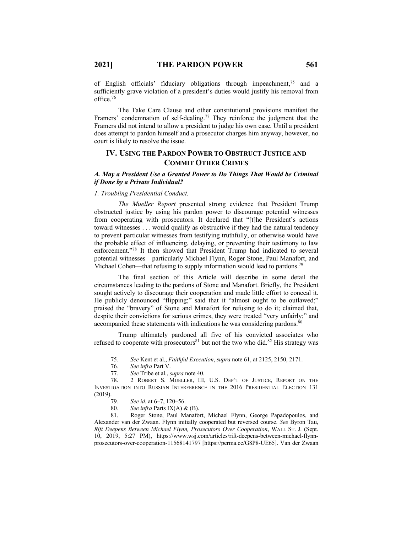of English officials' fiduciary obligations through impeachment, <sup>75</sup> and a sufficiently grave violation of a president's duties would justify his removal from office.76

The Take Care Clause and other constitutional provisions manifest the Framers' condemnation of self-dealing.<sup>77</sup> They reinforce the judgment that the Framers did not intend to allow a president to judge his own case. Until a president does attempt to pardon himself and a prosecutor charges him anyway, however, no court is likely to resolve the issue.

## **IV. USING THE PARDON POWER TO OBSTRUCT JUSTICE AND COMMIT OTHER CRIMES**

## *A. May a President Use a Granted Power to Do Things That Would be Criminal if Done by a Private Individual?*

## *1. Troubling Presidential Conduct.*

*The Mueller Report* presented strong evidence that President Trump obstructed justice by using his pardon power to discourage potential witnesses from cooperating with prosecutors. It declared that "[t]he President's actions toward witnesses . . . would qualify as obstructive if they had the natural tendency to prevent particular witnesses from testifying truthfully, or otherwise would have the probable effect of influencing, delaying, or preventing their testimony to law enforcement."78 It then showed that President Trump had indicated to several potential witnesses—particularly Michael Flynn, Roger Stone, Paul Manafort, and Michael Cohen—that refusing to supply information would lead to pardons.<sup>79</sup>

The final section of this Article will describe in some detail the circumstances leading to the pardons of Stone and Manafort. Briefly, the President sought actively to discourage their cooperation and made little effort to conceal it. He publicly denounced "flipping;" said that it "almost ought to be outlawed;" praised the "bravery" of Stone and Manafort for refusing to do it; claimed that, despite their convictions for serious crimes, they were treated "very unfairly;" and accompanied these statements with indications he was considering pardons.<sup>80</sup>

Trump ultimately pardoned all five of his convicted associates who refused to cooperate with prosecutors<sup>81</sup> but not the two who did.<sup>82</sup> His strategy was

81. Roger Stone, Paul Manafort, Michael Flynn, George Papadopoulos, and Alexander van der Zwaan. Flynn initially cooperated but reversed course. *See* Byron Tau, *Rift Deepens Between Michael Flynn, Prosecutors Over Cooperation*, WALL ST. J. (Sept. 10, 2019, 5:27 PM), https://www.wsj.com/articles/rift-deepens-between-michael-flynnprosecutors-over-cooperation-11568141797 [https://perma.cc/G8P8-UE65]. Van der Zwaan

<sup>75</sup>*. See* Kent et al., *Faithful Execution*, *supra* note 61, at 2125, 2150, 2171.

<sup>76</sup>*. See infra* Part V.

<sup>77</sup>*. See* Tribe et al., *supra* note 40.

<sup>78.</sup> 2 ROBERT S. MUELLER, III, U.S. DEP'T OF JUSTICE, REPORT ON THE INVESTIGATION INTO RUSSIAN INTERFERENCE IN THE 2016 PRESIDENTIAL ELECTION 131 (2019).

<sup>79</sup>*. See id.* at 6–7, 120–56.

<sup>80</sup>*. See infra* Parts IX(A) & (B).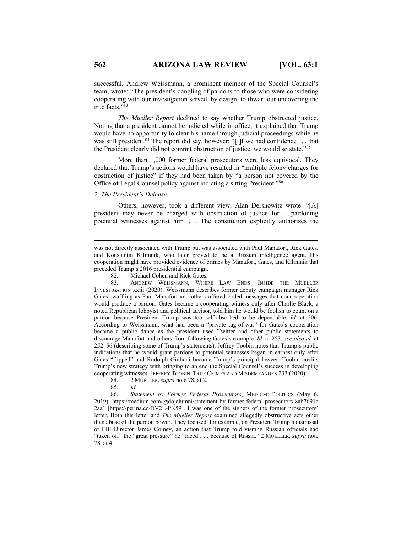successful. Andrew Weissmann, a prominent member of the Special Counsel's team, wrote: "The president's dangling of pardons to those who were considering cooperating with our investigation served, by design, to thwart our uncovering the true facts."83

*The Mueller Report* declined to say whether Trump obstructed justice. Noting that a president cannot be indicted while in office, it explained that Trump would have no opportunity to clear his name through judicial proceedings while he was still president.<sup>84</sup> The report did say, however: "[I]f we had confidence . . . that the President clearly did not commit obstruction of justice, we would so state."85

More than 1,000 former federal prosecutors were less equivocal. They declared that Trump's actions would have resulted in "multiple felony charges for obstruction of justice" if they had been taken by "a person not covered by the Office of Legal Counsel policy against indicting a sitting President."86

## *2. The President's Defense.*

Others, however, took a different view. Alan Dershowitz wrote: "[A] president may never be charged with obstruction of justice for . . . pardoning potential witnesses against him . . . . The constitution explicitly authorizes the

82. Michael Cohen and Rick Gates.

83. ANDREW WEISSMANN, WHERE LAW ENDS: INSIDE THE MUELLER INVESTIGATION xxiii (2020). Weissmann describes former deputy campaign manager Rick Gates' waffling as Paul Manafort and others offered coded messages that noncooperation would produce a pardon. Gates became a cooperating witness only after Charlie Black, a noted Republican lobbyist and political advisor, told him he would be foolish to count on a pardon because President Trump was too self-absorbed to be dependable. *Id.* at 206. According to Weissmann, what had been a "private tug-of-war" for Gates's cooperation became a public dance as the president used Twitter and other public statements to discourage Manafort and others from following Gates's example. *Id.* at 253; *see also id.* at 252–56 (describing some of Trump's statements). Jeffrey Toobin notes that Trump's public indications that he would grant pardons to potential witnesses began in earnest only after Gates "flipped" and Rudolph Giuliani became Trump's principal lawyer. Toobin credits Trump's new strategy with bringing to an end the Special Counsel's success in developing cooperating witnesses. JEFFREY TOOBIN, TRUE CRIMES AND MISDEMEANORS 233 (2020).

84. 2 MUELLER,*supra* note 78, at 2.

85*. Id.*

86*. Statement by Former Federal Prosecutors*, MEDIUM: POLITICS (May 6, 2019), https://medium.com/@dojalumni/statement-by-former-federal-prosecutors-8ab7691c 2aa1 [https://perma.cc/DV2L-PK59]. I was one of the signers of the former prosecutors' letter. Both this letter and *The Mueller Report* examined allegedly obstructive acts other than abuse of the pardon power. They focused, for example, on President Trump's dismissal of FBI Director James Comey, an action that Trump told visiting Russian officials had "taken off" the "great pressure" he "faced . . . because of Russia." 2 MUELLER, *supra* note 78, at 4.

was not directly associated with Trump but was associated with Paul Manafort, Rick Gates, and Konstantin Kilimnik, who later proved to be a Russian intelligence agent. His cooperation might have provided evidence of crimes by Manafort, Gates, and Kilimnik that preceded Trump's 2016 presidential campaign.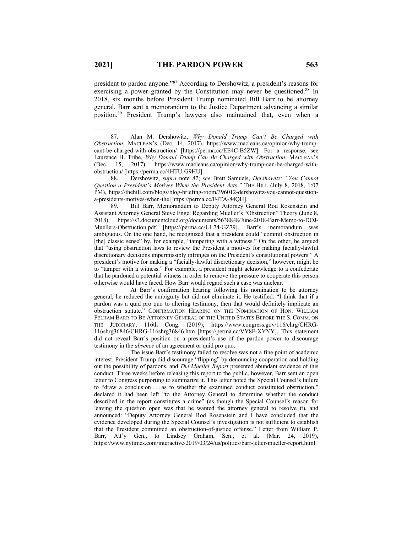president to pardon anyone."87 According to Dershowitz, a president's reasons for exercising a power granted by the Constitution may never be questioned.<sup>88</sup> In 2018, six months before President Trump nominated Bill Barr to be attorney general, Barr sent a memorandum to the Justice Department advancing a similar position.89 President Trump's lawyers also maintained that, even when a

87. Alan M. Dershowitz, *Why Donald Trump Can't Be Charged with Obstruction*, MACLEAN'S (Dec. 14, 2017), https://www.macleans.ca/opinion/why-trumpcant-be-charged-with-obstruction/ [https://perma.cc/EE4C-B5ZW]. For a response, see Laurence H. Tribe, *Why Donald Trump Can Be Charged with Obstruction*, MACLEAN'S (Dec. 15, 2017), https://www.macleans.ca/opinion/why-trump-can-be-charged-withobstruction/ [https://perma.cc/4HTU-G9HU].

88. Dershowitz, *supra* note 87; *see* Brett Samuels, *Dershowitz: "You Cannot Question a President's Motives When the President Acts*,*"* THE HILL (July 8, 2018, 1:07 PM), https://thehill.com/blogs/blog-briefing-room/396012-dershowitz-you-cannot-questiona-presidents-motives-when-the [https://perma.cc/F4TA-84QH].

89. Bill Barr, Memorandum to Deputy Attorney General Rod Rosenstein and Assistant Attorney General Steve Engel Regarding Mueller's "Obstruction" Theory (June 8, 2018), https://s3.documentcloud.org/documents/5638848/June-2018-Barr-Memo-to-DOJ-Muellers-Obstruction.pdf [https://perma.cc/UL74-GZ79]. Barr's memorandum was ambiguous. On the one hand, he recognized that a president could "commit obstruction in [the] classic sense" by, for example, "tampering with a witness." On the other, he argued that "using obstruction laws to review the President's motives for making facially-lawful discretionary decisions impermissibly infringes on the President's constitutional powers." A president's motive for making a "facially-lawful discretionary decision," however, might be to "tamper with a witness." For example, a president might acknowledge to a confederate that he pardoned a potential witness in order to remove the pressure to cooperate this person otherwise would have faced. How Barr would regard such a case was unclear.

At Barr's confirmation hearing following his nomination to be attorney general, he reduced the ambiguity but did not eliminate it. He testified: "I think that if a pardon was a quid pro quo to altering testimony, then that would definitely implicate an obstruction statute." CONFIRMATION HEARING ON THE NOMINATION OF HON. WILLIAM PELHAM BARR TO BE ATTORNEY GENERAL OF THE UNITED STATES BEFORE THE S. COMM. ON THE JUDICIARY, 116th Cong. (2019), https://www.congress.gov/116/chrg/CHRG-116shrg36846/CHRG-116shrg36846.htm [https://perma.cc/VY8F-XYYY]. This statement did not reveal Barr's position on a president's use of the pardon power to discourage testimony in the *absence* of an agreement or quid pro quo.

The issue Barr's testimony failed to resolve was not a fine point of academic interest. President Trump did discourage "flipping" by denouncing cooperation and holding out the possibility of pardons, and *The Mueller Report* presented abundant evidence of this conduct. Three weeks before releasing this report to the public, however, Barr sent an open letter to Congress purporting to summarize it. This letter noted the Special Counsel's failure to "draw a conclusion . . . as to whether the examined conduct constituted obstruction," declared it had been left "to the Attorney General to determine whether the conduct described in the report constitutes a crime" (as though the Special Counsel's reason for leaving the question open was that he wanted the attorney general to resolve it), and announced: "Deputy Attorney General Rod Rosenstein and I have concluded that the evidence developed during the Special Counsel's investigation is not sufficient to establish that the President committed an obstruction-of-justice offense." Letter from William P. Barr, Att'y Gen., to Lindsey Graham, Sen., et al. (Mar. 24, 2019), https://www.nytimes.com/interactive/2019/03/24/us/politics/barr-letter-mueller-report.html.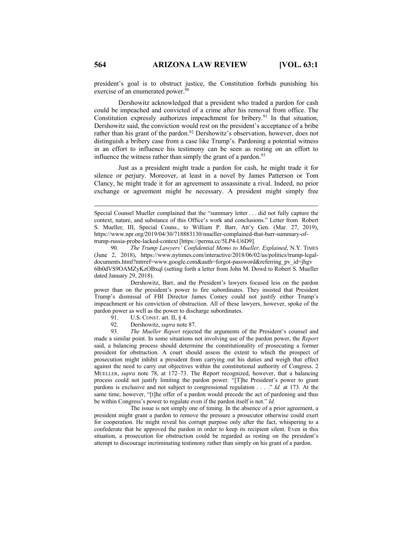president's goal is to obstruct justice, the Constitution forbids punishing his exercise of an enumerated power.<sup>90</sup>

Dershowitz acknowledged that a president who traded a pardon for cash could be impeached and convicted of a crime after his removal from office. The Constitution expressly authorizes impeachment for bribery.<sup>91</sup> In that situation, Dershowitz said, the conviction would rest on the president's acceptance of a bribe rather than his grant of the pardon.<sup>92</sup> Dershowitz's observation, however, does not distinguish a bribery case from a case like Trump's. Pardoning a potential witness in an effort to influence his testimony can be seen as resting on an effort to influence the witness rather than simply the grant of a pardon. $93$ 

Just as a president might trade a pardon for cash, he might trade it for silence or perjury. Moreover, at least in a novel by James Patterson or Tom Clancy, he might trade it for an agreement to assassinate a rival. Indeed, no prior exchange or agreement might be necessary. A president might simply free

Dershowitz, Barr, and the President's lawyers focused less on the pardon power than on the president's power to fire subordinates. They insisted that President Trump's dismissal of FBI Director James Comey could not justify either Trump's impeachment or his conviction of obstruction. All of these lawyers, however, spoke of the pardon power as well as the power to discharge subordinates.

- 91. U.S. CONST. art. II, § 4.
- 92. Dershowitz, *supra* note 87.

93*. The Mueller Report* rejected the arguments of the President's counsel and made a similar point. In some situations not involving use of the pardon power, the *Report* said, a balancing process should determine the constitutionality of prosecuting a former president for obstruction. A court should assess the extent to which the prospect of prosecution might inhibit a president from carrying out his duties and weigh that effect against the need to carry out objectives within the constitutional authority of Congress. 2 MUELLER, *supra* note 78, at 172–73. The Report recognized, however, that a balancing process could not justify limiting the pardon power. "[T]he President's power to grant pardons is exclusive and not subject to congressional regulation . . . ." *Id.* at 173. At the same time, however, "[t]he offer of a pardon would precede the act of pardoning and thus be within Congress's power to regulate even if the pardon itself is not." *Id.*

The issue is not simply one of timing. In the absence of a prior agreement, a president might grant a pardon to remove the pressure a prosecutor otherwise could exert for cooperation. He might reveal his corrupt purpose only after the fact, whispering to a confederate that he approved the pardon in order to keep its recipient silent. Even in this situation, a prosecution for obstruction could be regarded as resting on the president's attempt to discourage incriminating testimony rather than simply on his grant of a pardon.

Special Counsel Mueller complained that the "summary letter . . . did not fully capture the context, nature, and substance of this Office's work and conclusions." Letter from Robert S. Mueller, III, Special Couns., to William P. Barr, Att'y Gen. (Mar. 27, 2019), https://www.npr.org/2019/04/30/718883130/mueller-complained-that-barr-summary-oftrump-russia-probe-lacked-context [https://perma.cc/5LP4-U6D9].

<sup>90</sup>*. The Trump Lawyers' Confidential Memo to Mueller, Explained*, N.Y. TIMES (June 2, 2018), https://www.nytimes.com/interactive/2018/06/02/us/politics/trump-legaldocuments.html?mtrref=www.google.com&auth=forgot-password&referring\_pv\_id=jhgv 6lb0dVS9OAMZyKzOBxql (setting forth a letter from John M. Dowd to Robert S. Mueller dated January 29, 2018).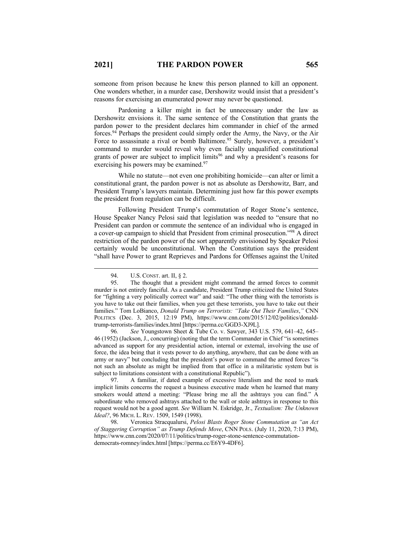someone from prison because he knew this person planned to kill an opponent. One wonders whether, in a murder case, Dershowitz would insist that a president's reasons for exercising an enumerated power may never be questioned.

Pardoning a killer might in fact be unnecessary under the law as Dershowitz envisions it. The same sentence of the Constitution that grants the pardon power to the president declares him commander in chief of the armed forces.94 Perhaps the president could simply order the Army, the Navy, or the Air Force to assassinate a rival or bomb Baltimore.<sup>95</sup> Surely, however, a president's command to murder would reveal why even facially unqualified constitutional grants of power are subject to implicit limits<sup>96</sup> and why a president's reasons for exercising his powers may be examined.<sup>97</sup>

While no statute—not even one prohibiting homicide—can alter or limit a constitutional grant, the pardon power is not as absolute as Dershowitz, Barr, and President Trump's lawyers maintain. Determining just how far this power exempts the president from regulation can be difficult.

Following President Trump's commutation of Roger Stone's sentence, House Speaker Nancy Pelosi said that legislation was needed to "ensure that no President can pardon or commute the sentence of an individual who is engaged in a cover-up campaign to shield that President from criminal prosecution."98 A direct restriction of the pardon power of the sort apparently envisioned by Speaker Pelosi certainly would be unconstitutional. When the Constitution says the president "shall have Power to grant Reprieves and Pardons for Offenses against the United

<sup>94.</sup> U.S. CONST. art. II, § 2.

<sup>95.</sup> The thought that a president might command the armed forces to commit murder is not entirely fanciful. As a candidate, President Trump criticized the United States for "fighting a very politically correct war" and said: "The other thing with the terrorists is you have to take out their families, when you get these terrorists, you have to take out their families." Tom LoBianco, *Donald Trump on Terrorists: "Take Out Their Families*,*"* CNN POLITICS (Dec. 3, 2015, 12:19 PM), https://www.cnn.com/2015/12/02/politics/donaldtrump-terrorists-families/index.html [https://perma.cc/GGD3-XJ9L].

<sup>96</sup>*. See* Youngstown Sheet & Tube Co. v. Sawyer, 343 U.S. 579, 641–42, 645– 46 (1952) (Jackson, J., concurring) (noting that the term Commander in Chief "is sometimes advanced as support for any presidential action, internal or external, involving the use of force, the idea being that it vests power to do anything, anywhere, that can be done with an army or navy" but concluding that the president's power to command the armed forces "is not such an absolute as might be implied from that office in a militaristic system but is subject to limitations consistent with a constitutional Republic").

<sup>97.</sup> A familiar, if dated example of excessive literalism and the need to mark implicit limits concerns the request a business executive made when he learned that many smokers would attend a meeting: "Please bring me all the ashtrays you can find." A subordinate who removed ashtrays attached to the wall or stole ashtrays in response to this request would not be a good agent. *See* William N. Eskridge, Jr., *Textualism: The Unknown Ideal?*, 96 MICH. L. REV. 1509, 1549 (1998).

<sup>98.</sup> Veronica Stracqualursi, *Pelosi Blasts Roger Stone Commutation as "an Act of Staggering Corruption" as Trump Defends Move*, CNN POLS. (July 11, 2020, 7:13 PM), https://www.cnn.com/2020/07/11/politics/trump-roger-stone-sentence-commutationdemocrats-romney/index.html [https://perma.cc/E6Y9-4DF6].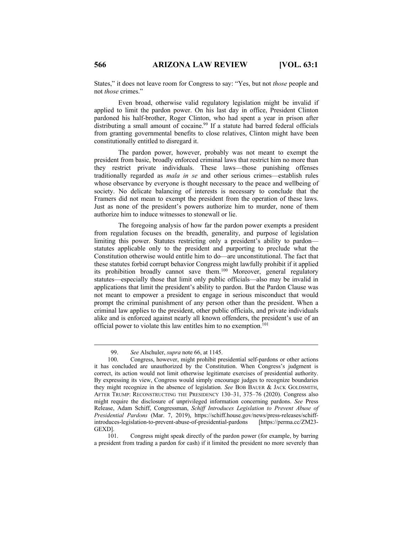States," it does not leave room for Congress to say: "Yes, but not *those* people and not *those* crimes."

Even broad, otherwise valid regulatory legislation might be invalid if applied to limit the pardon power. On his last day in office, President Clinton pardoned his half-brother, Roger Clinton, who had spent a year in prison after distributing a small amount of cocaine.<sup>99</sup> If a statute had barred federal officials from granting governmental benefits to close relatives, Clinton might have been constitutionally entitled to disregard it.

The pardon power, however, probably was not meant to exempt the president from basic, broadly enforced criminal laws that restrict him no more than they restrict private individuals. These laws—those punishing offenses traditionally regarded as *mala in se* and other serious crimes—establish rules whose observance by everyone is thought necessary to the peace and wellbeing of society. No delicate balancing of interests is necessary to conclude that the Framers did not mean to exempt the president from the operation of these laws. Just as none of the president's powers authorize him to murder, none of them authorize him to induce witnesses to stonewall or lie.

The foregoing analysis of how far the pardon power exempts a president from regulation focuses on the breadth, generality, and purpose of legislation limiting this power. Statutes restricting only a president's ability to pardon statutes applicable only to the president and purporting to preclude what the Constitution otherwise would entitle him to do—are unconstitutional. The fact that these statutes forbid corrupt behavior Congress might lawfully prohibit if it applied its prohibition broadly cannot save them.<sup>100</sup> Moreover, general regulatory statutes—especially those that limit only public officials—also may be invalid in applications that limit the president's ability to pardon. But the Pardon Clause was not meant to empower a president to engage in serious misconduct that would prompt the criminal punishment of any person other than the president. When a criminal law applies to the president, other public officials, and private individuals alike and is enforced against nearly all known offenders, the president's use of an official power to violate this law entitles him to no exemption.<sup>101</sup>

<sup>99.</sup> *See* Alschuler, *supra* note 66, at 1145.

<sup>100.</sup> Congress, however, might prohibit presidential self-pardons or other actions it has concluded are unauthorized by the Constitution. When Congress's judgment is correct, its action would not limit otherwise legitimate exercises of presidential authority. By expressing its view, Congress would simply encourage judges to recognize boundaries they might recognize in the absence of legislation. *See* BOB BAUER & JACK GOLDSMITH, AFTER TRUMP: RECONSTRUCTING THE PRESIDENCY 130–31, 375–76 (2020). Congress also might require the disclosure of unprivileged information concerning pardons. *See* Press Release, Adam Schiff, Congressman, *Schiff Introduces Legislation to Prevent Abuse of Presidential Pardons* (Mar. 7, 2019), https://schiff.house.gov/news/press-releases/schiffintroduces-legislation-to-prevent-abuse-of-presidential-pardons [https://perma.cc/ZM23- GEXD].

<sup>101.</sup> Congress might speak directly of the pardon power (for example, by barring a president from trading a pardon for cash) if it limited the president no more severely than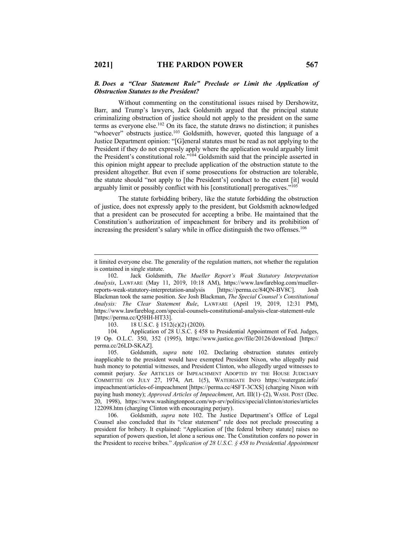## *B. Does a "Clear Statement Rule" Preclude or Limit the Application of Obstruction Statutes to the President?*

Without commenting on the constitutional issues raised by Dershowitz, Barr, and Trump's lawyers, Jack Goldsmith argued that the principal statute criminalizing obstruction of justice should not apply to the president on the same terms as everyone else.102 On its face, the statute draws no distinction; it punishes "whoever" obstructs justice.<sup>103</sup> Goldsmith, however, quoted this language of a Justice Department opinion: "[G]eneral statutes must be read as not applying to the President if they do not expressly apply where the application would arguably limit the President's constitutional role."104 Goldsmith said that the principle asserted in this opinion might appear to preclude application of the obstruction statute to the president altogether. But even if some prosecutions for obstruction are tolerable, the statute should "not apply to [the President's] conduct to the extent [it] would arguably limit or possibly conflict with his [constitutional] prerogatives."105

The statute forbidding bribery, like the statute forbidding the obstruction of justice, does not expressly apply to the president, but Goldsmith acknowledged that a president can be prosecuted for accepting a bribe. He maintained that the Constitution's authorization of impeachment for bribery and its prohibition of increasing the president's salary while in office distinguish the two offenses.<sup>106</sup>

103. 18 U.S.C. § 1512(c)(2) (2020).

104*.* Application of 28 U.S.C. § 458 to Presidential Appointment of Fed. Judges, 19 Op. O.L.C. 350, 352 (1995), https://www.justice.gov/file/20126/download [https:// perma.cc/26LD-SKAZ].<br>105. Goldsmitl

105. Goldsmith, *supra* note 102. Declaring obstruction statutes entirely inapplicable to the president would have exempted President Nixon, who allegedly paid hush money to potential witnesses, and President Clinton, who allegedly urged witnesses to commit perjury. *See* ARTICLES OF IMPEACHMENT ADOPTED BY THE HOUSE JUDICIARY COMMITTEE ON JULY 27, 1974, Art. 1(5), WATERGATE INFO https://watergate.info/ impeachment/articles-of-impeachment [https://perma.cc/4SFT-3CXS] (charging Nixon with paying hush money); *Approved Articles of Impeachment*, Art. III(1)–(2), WASH. POST (Dec. 20, 1998), https://www.washingtonpost.com/wp-srv/politics/special/clinton/stories/articles 122098.htm (charging Clinton with encouraging perjury).

106. Goldsmith, *supra* note 102. The Justice Department's Office of Legal Counsel also concluded that its "clear statement" rule does not preclude prosecuting a president for bribery. It explained: "Application of [the federal bribery statute] raises no separation of powers question, let alone a serious one. The Constitution confers no power in the President to receive bribes." *Application of 28 U.S.C. § 458 to Presidential Appointment* 

it limited everyone else. The generality of the regulation matters, not whether the regulation is contained in single statute.

<sup>102.</sup> Jack Goldsmith, *The Mueller Report's Weak Statutory Interpretation Analysis*, LAWFARE (May 11, 2019, 10:18 AM), https://www.lawfareblog.com/muellerreports-weak-statutory-interpretation-analysis [https://perma.cc/84QN-BV8C]. Josh Blackman took the same position. *See* Josh Blackman, *The Special Counsel's Constitutional Analysis: The Clear Statement Rule*, LAWFARE (April 19, 2019, 12:31 PM), https://www.lawfareblog.com/special-counsels-constitutional-analysis-clear-statement-rule [https://perma.cc/Q5HH-HT33].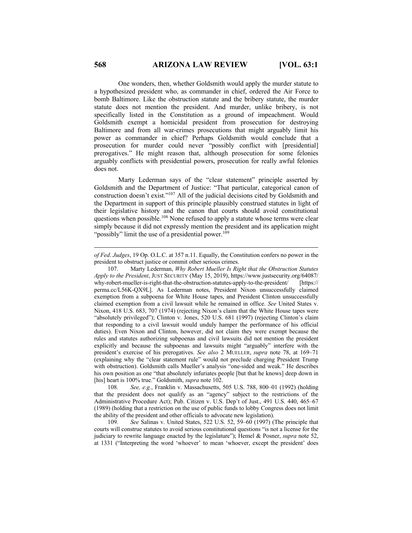One wonders, then, whether Goldsmith would apply the murder statute to a hypothesized president who, as commander in chief, ordered the Air Force to bomb Baltimore. Like the obstruction statute and the bribery statute, the murder statute does not mention the president. And murder, unlike bribery, is not specifically listed in the Constitution as a ground of impeachment. Would Goldsmith exempt a homicidal president from prosecution for destroying Baltimore and from all war-crimes prosecutions that might arguably limit his power as commander in chief? Perhaps Goldsmith would conclude that a prosecution for murder could never "possibly conflict with [presidential] prerogatives." He might reason that, although prosecution for some felonies arguably conflicts with presidential powers, prosecution for really awful felonies does not.

Marty Lederman says of the "clear statement" principle asserted by Goldsmith and the Department of Justice: "That particular, categorical canon of construction doesn't exist."107 All of the judicial decisions cited by Goldsmith and the Department in support of this principle plausibly construed statutes in light of their legislative history and the canon that courts should avoid constitutional questions when possible.<sup>108</sup> None refused to apply a statute whose terms were clear simply because it did not expressly mention the president and its application might "possibly" limit the use of a presidential power.<sup>109</sup>

108*. See, e.g.*, Franklin v. Massachusetts, 505 U.S. 788, 800–01 (1992) (holding that the president does not qualify as an "agency" subject to the restrictions of the Administrative Procedure Act); Pub. Citizen v. U.S. Dep't of Just., 491 U.S. 440, 465–67 (1989) (holding that a restriction on the use of public funds to lobby Congress does not limit the ability of the president and other officials to advocate new legislation).

109*. See* Salinas v. United States, 522 U.S. 52, 59–60 (1997) (The principle that courts will construe statutes to avoid serious constitutional questions "is not a license for the judiciary to rewrite language enacted by the legislature"); Hemel & Posner, *supra* note 52, at 1331 ("Interpreting the word 'whoever' to mean 'whoever, except the president' does

*of Fed*. *Judges*, 19 Op. O.L.C. at 357 n.11. Equally, the Constitution confers no power in the president to obstruct justice or commit other serious crimes.

<sup>107.</sup> Marty Lederman, *Why Robert Mueller Is Right that the Obstruction Statutes Apply to the President*, JUST SECURITY (May 15, 2019), https://www.justsecurity.org/64087/ why-robert-mueller-is-right-that-the-obstruction-statutes-apply-to-the-president/ [https:// perma.cc/L56K-QX9L]. As Lederman notes, President Nixon unsuccessfully claimed exemption from a subpoena for White House tapes, and President Clinton unsuccessfully claimed exemption from a civil lawsuit while he remained in office. *See* United States v. Nixon, 418 U.S. 683, 707 (1974) (rejecting Nixon's claim that the White House tapes were "absolutely privileged"); Clinton v. Jones, 520 U.S. 681 (1997) (rejecting Clinton's claim that responding to a civil lawsuit would unduly hamper the performance of his official duties). Even Nixon and Clinton, however, did not claim they were exempt because the rules and statutes authorizing subpoenas and civil lawsuits did not mention the president explicitly and because the subpoenas and lawsuits might "arguably" interfere with the president's exercise of his prerogatives. *See also* 2 MUELLER, *supra* note 78, at 169–71 (explaining why the "clear statement rule" would not preclude charging President Trump with obstruction). Goldsmith calls Mueller's analysis "one-sided and weak." He describes his own position as one "that absolutely infuriates people [but that he knows] deep down in [his] heart is 100% true." Goldsmith, *supra* note 102.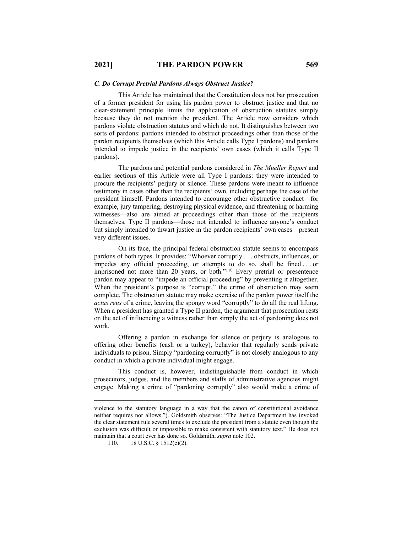#### *C. Do Corrupt Pretrial Pardons Always Obstruct Justice?*

This Article has maintained that the Constitution does not bar prosecution of a former president for using his pardon power to obstruct justice and that no clear-statement principle limits the application of obstruction statutes simply because they do not mention the president. The Article now considers which pardons violate obstruction statutes and which do not. It distinguishes between two sorts of pardons: pardons intended to obstruct proceedings other than those of the pardon recipients themselves (which this Article calls Type I pardons) and pardons intended to impede justice in the recipients' own cases (which it calls Type II pardons).

The pardons and potential pardons considered in *The Mueller Report* and earlier sections of this Article were all Type I pardons: they were intended to procure the recipients' perjury or silence. These pardons were meant to influence testimony in cases other than the recipients' own, including perhaps the case of the president himself. Pardons intended to encourage other obstructive conduct—for example, jury tampering, destroying physical evidence, and threatening or harming witnesses—also are aimed at proceedings other than those of the recipients themselves. Type II pardons—those not intended to influence anyone's conduct but simply intended to thwart justice in the pardon recipients' own cases—present very different issues.

On its face, the principal federal obstruction statute seems to encompass pardons of both types. It provides: "Whoever corruptly . . . obstructs, influences, or impedes any official proceeding, or attempts to do so, shall be fined . . . or imprisoned not more than 20 years, or both."<sup>110</sup> Every pretrial or presentence pardon may appear to "impede an official proceeding" by preventing it altogether. When the president's purpose is "corrupt," the crime of obstruction may seem complete. The obstruction statute may make exercise of the pardon power itself the *actus reus* of a crime, leaving the spongy word "corruptly" to do all the real lifting. When a president has granted a Type II pardon, the argument that prosecution rests on the act of influencing a witness rather than simply the act of pardoning does not work.

Offering a pardon in exchange for silence or perjury is analogous to offering other benefits (cash or a turkey), behavior that regularly sends private individuals to prison. Simply "pardoning corruptly" is not closely analogous to any conduct in which a private individual might engage.

This conduct is, however, indistinguishable from conduct in which prosecutors, judges, and the members and staffs of administrative agencies might engage. Making a crime of "pardoning corruptly" also would make a crime of

violence to the statutory language in a way that the canon of constitutional avoidance neither requires nor allows."). Goldsmith observes: "The Justice Department has invoked the clear statement rule several times to exclude the president from a statute even though the exclusion was difficult or impossible to make consistent with statutory text." He does not maintain that a court ever has done so. Goldsmith, *supra* note 102.

<sup>110. 18</sup> U.S.C. § 1512(c)(2).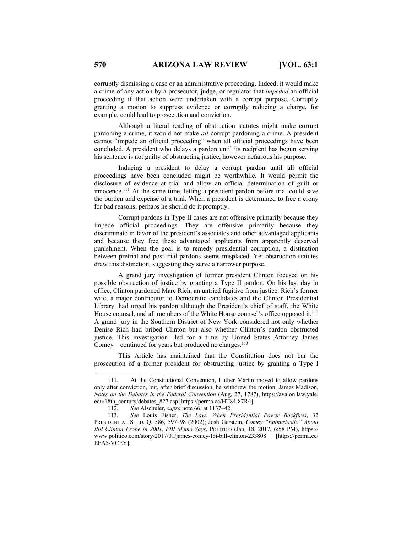corruptly dismissing a case or an administrative proceeding. Indeed, it would make a crime of any action by a prosecutor, judge, or regulator that *impeded* an official proceeding if that action were undertaken with a corrupt purpose. Corruptly granting a motion to suppress evidence or corruptly reducing a charge, for example, could lead to prosecution and conviction.

Although a literal reading of obstruction statutes might make corrupt pardoning a crime, it would not make *all* corrupt pardoning a crime. A president cannot "impede an official proceeding" when all official proceedings have been concluded. A president who delays a pardon until its recipient has begun serving his sentence is not guilty of obstructing justice, however nefarious his purpose.

Inducing a president to delay a corrupt pardon until all official proceedings have been concluded might be worthwhile. It would permit the disclosure of evidence at trial and allow an official determination of guilt or innocence.111 At the same time, letting a president pardon before trial could save the burden and expense of a trial. When a president is determined to free a crony for bad reasons, perhaps he should do it promptly.

Corrupt pardons in Type II cases are not offensive primarily because they impede official proceedings. They are offensive primarily because they discriminate in favor of the president's associates and other advantaged applicants and because they free these advantaged applicants from apparently deserved punishment. When the goal is to remedy presidential corruption, a distinction between pretrial and post-trial pardons seems misplaced. Yet obstruction statutes draw this distinction, suggesting they serve a narrower purpose.

A grand jury investigation of former president Clinton focused on his possible obstruction of justice by granting a Type II pardon. On his last day in office, Clinton pardoned Marc Rich, an untried fugitive from justice. Rich's former wife, a major contributor to Democratic candidates and the Clinton Presidential Library, had urged his pardon although the President's chief of staff, the White House counsel, and all members of the White House counsel's office opposed it.<sup>112</sup> A grand jury in the Southern District of New York considered not only whether Denise Rich had bribed Clinton but also whether Clinton's pardon obstructed justice. This investigation—led for a time by United States Attorney James Comey—continued for years but produced no charges.<sup>113</sup>

This Article has maintained that the Constitution does not bar the prosecution of a former president for obstructing justice by granting a Type I

<sup>111.</sup> At the Constitutional Convention, Luther Martin moved to allow pardons only after conviction, but, after brief discussion, he withdrew the motion. James Madison, *Notes on the Debates in the Federal Convention* (Aug. 27, 1787), https://avalon.law.yale. edu/18th\_century/debates\_827.asp [https://perma.cc/HT84-87R4].

<sup>112</sup>*. See* Alschuler, *supra* note 66, at 1137–42.

<sup>113</sup>*. See* Louis Fisher, *The Law: When Presidential Power Backfires*, 32 PRESIDENTIAL STUD. Q. 586, 597–98 (2002); Josh Gerstein, *Comey "Enthusiastic" About Bill Clinton Probe in 2001, FBI Memo Says*, POLITICO (Jan. 18, 2017, 6:58 PM), https:// www.politico.com/story/2017/01/james-comey-fbi-bill-clinton-233808 [https://perma.cc/ EFA5-VCEY].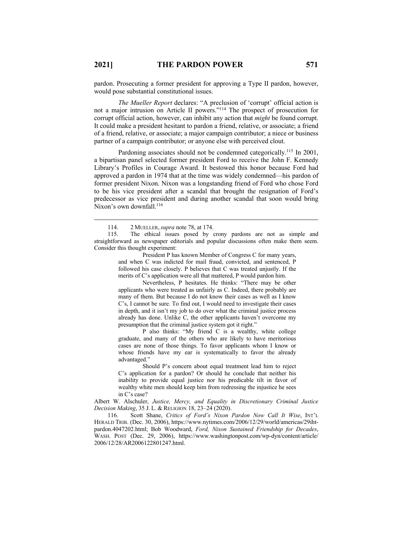pardon. Prosecuting a former president for approving a Type II pardon, however, would pose substantial constitutional issues.

*The Mueller Report* declares: "A preclusion of 'corrupt' official action is not a major intrusion on Article II powers."114 The prospect of prosecution for corrupt official action, however, can inhibit any action that *might* be found corrupt. It could make a president hesitant to pardon a friend, relative, or associate; a friend of a friend, relative, or associate; a major campaign contributor; a niece or business partner of a campaign contributor; or anyone else with perceived clout.

Pardoning associates should not be condemned categorically.<sup>115</sup> In 2001, a bipartisan panel selected former president Ford to receive the John F. Kennedy Library's Profiles in Courage Award. It bestowed this honor because Ford had approved a pardon in 1974 that at the time was widely condemned—his pardon of former president Nixon. Nixon was a longstanding friend of Ford who chose Ford to be his vice president after a scandal that brought the resignation of Ford's predecessor as vice president and during another scandal that soon would bring Nixon's own downfall. $116$ 

President P has known Member of Congress C for many years, and when C was indicted for mail fraud, convicted, and sentenced, P followed his case closely. P believes that C was treated unjustly. If the merits of C's application were all that mattered, P would pardon him.

Nevertheless, P hesitates. He thinks: "There may be other applicants who were treated as unfairly as C. Indeed, there probably are many of them. But because I do not know their cases as well as I know C's, I cannot be sure. To find out, I would need to investigate their cases in depth, and it isn't my job to do over what the criminal justice process already has done. Unlike C, the other applicants haven't overcome my presumption that the criminal justice system got it right."

P also thinks: "My friend C is a wealthy, white college graduate, and many of the others who are likely to have meritorious cases are none of those things. To favor applicants whom I know or whose friends have my ear is systematically to favor the already advantaged."

Should P's concern about equal treatment lead him to reject C's application for a pardon? Or should he conclude that neither his inability to provide equal justice nor his predicable tilt in favor of wealthy white men should keep him from redressing the injustice he sees in C's case?

Albert W. Alschuler, *Justice, Mercy, and Equality in Discretionary Criminal Justice Decision Making*, 35 J. L. & RELIGION 18, 23–24 (2020).

116. Scott Shane, *Critics of Ford's Nixon Pardon Now Call It Wise*, INT'L HERALD TRIB. (Dec. 30, 2006), https://www.nytimes.com/2006/12/29/world/americas/29ihtpardon.4047202.html; Bob Woodward, *Ford, Nixon Sustained Friendship for Decades*, WASH. POST (Dec. 29, 2006), https://www.washingtonpost.com/wp-dyn/content/article/ 2006/12/28/AR2006122801247.html.

<sup>114.</sup> 2 MUELLER,*supra* note 78, at 174.

<sup>115.</sup> The ethical issues posed by crony pardons are not as simple and straightforward as newspaper editorials and popular discussions often make them seem. Consider this thought experiment: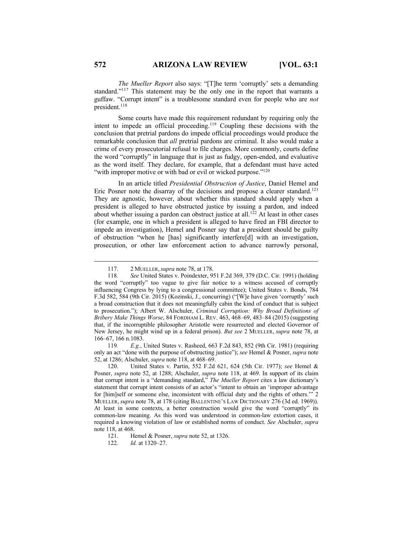*The Mueller Report* also says: "[T]he term 'corruptly' sets a demanding standard."117 This statement may be the only one in the report that warrants a guffaw. "Corrupt intent" is a troublesome standard even for people who are *not* president.<sup>118</sup>

Some courts have made this requirement redundant by requiring only the intent to impede an official proceeding.<sup>119</sup> Coupling these decisions with the conclusion that pretrial pardons do impede official proceedings would produce the remarkable conclusion that *all* pretrial pardons are criminal. It also would make a crime of every prosecutorial refusal to file charges. More commonly, courts define the word "corruptly" in language that is just as fudgy, open-ended, and evaluative as the word itself. They declare, for example, that a defendant must have acted "with improper motive or with bad or evil or wicked purpose."<sup>120</sup>

In an article titled *Presidential Obstruction of Justice*, Daniel Hemel and Eric Posner note the disarray of the decisions and propose a clearer standard.<sup>121</sup> They are agnostic, however, about whether this standard should apply when a president is alleged to have obstructed justice by issuing a pardon, and indeed about whether issuing a pardon can obstruct justice at all.<sup>122</sup> At least in other cases (for example, one in which a president is alleged to have fired an FBI director to impede an investigation), Hemel and Posner say that a president should be guilty of obstruction "when he [has] significantly interfere[d] with an investigation, prosecution, or other law enforcement action to advance narrowly personal,

119*. E.g.*, United States v. Rasheed, 663 F.2d 843, 852 (9th Cir. 1981) (requiring only an act "done with the purpose of obstructing justice"); *see* Hemel & Posner, *supra* note 52, at 1286; Alschuler, *supra* note 118, at 468–69.

120. United States v. Partin, 552 F.2d 621, 624 (5th Cir. 1977); *see* Hemel & Posner, *supra* note 52, at 1288; Alschuler, *supra* note 118, at 469. In support of its claim that corrupt intent is a "demanding standard," *The Mueller Report* cites a law dictionary's statement that corrupt intent consists of an actor's "intent to obtain an 'improper advantage for [him]self or someone else, inconsistent with official duty and the rights of others.'" 2 MUELLER, *supra* note 78, at 178 (citing BALLENTINE'S LAW DICTIONARY 276 (3d ed. 1969)). At least in some contexts, a better construction would give the word "corruptly" its common-law meaning. As this word was understood in common-law extortion cases, it required a knowing violation of law or established norms of conduct. *See* Alschuler, *supra* note 118, at 468.

<sup>117.</sup> 2 MUELLER,*supra* note 78, at 178.

<sup>118</sup>*. See* United States v. Poindexter, 951 F.2d 369, 379 (D.C. Cir. 1991) (holding the word "corruptly" too vague to give fair notice to a witness accused of corruptly influencing Congress by lying to a congressional committee); United States v. Bonds, 784 F.3d 582, 584 (9th Cir. 2015) (Kozinski, J., concurring) ("[W]e have given 'corruptly' such a broad construction that it does not meaningfully cabin the kind of conduct that is subject to prosecution."); Albert W. Alschuler, *Criminal Corruption: Why Broad Definitions of Bribery Make Things Worse*, 84 FORDHAM L. REV. 463, 468–69, 483–84 (2015) (suggesting that, if the incorruptible philosopher Aristotle were resurrected and elected Governor of New Jersey, he might wind up in a federal prison). *But see* 2 MUELLER, *supra* note 78, at 166–67, 166 n.1083.

<sup>121.</sup> Hemel & Posner, *supra* note 52, at 1326.

<sup>122</sup>*. Id.* at 1320–27.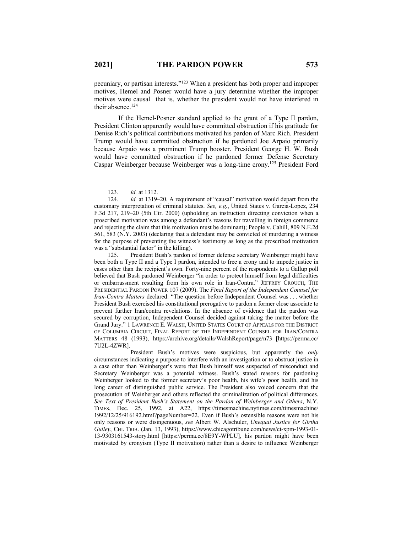pecuniary, or partisan interests."123 When a president has both proper and improper motives, Hemel and Posner would have a jury determine whether the improper motives were causal—that is, whether the president would not have interfered in their absence.<sup>124</sup>

If the Hemel-Posner standard applied to the grant of a Type II pardon, President Clinton apparently would have committed obstruction if his gratitude for Denise Rich's political contributions motivated his pardon of Marc Rich. President Trump would have committed obstruction if he pardoned Joe Arpaio primarily because Arpaio was a prominent Trump booster. President George H. W. Bush would have committed obstruction if he pardoned former Defense Secretary Caspar Weinberger because Weinberger was a long-time crony.125 President Ford

125. President Bush's pardon of former defense secretary Weinberger might have been both a Type II and a Type I pardon, intended to free a crony and to impede justice in cases other than the recipient's own. Forty-nine percent of the respondents to a Gallup poll believed that Bush pardoned Weinberger "in order to protect himself from legal difficulties or embarrassment resulting from his own role in Iran-Contra." JEFFREY CROUCH, THE PRESIDENTIAL PARDON POWER 107 (2009). The *Final Report of the Independent Counsel for Iran-Contra Matters* declared: "The question before Independent Counsel was . . . whether President Bush exercised his constitutional prerogative to pardon a former close associate to prevent further Iran/contra revelations. In the absence of evidence that the pardon was secured by corruption, Independent Counsel decided against taking the matter before the Grand Jury." 1 LAWRENCE E. WALSH, UNITED STATES COURT OF APPEALS FOR THE DISTRICT OF COLUMBIA CIRCUIT, FINAL REPORT OF THE INDEPENDENT COUNSEL FOR IRAN/CONTRA MATTERS 48 (1993), https://archive.org/details/WalshReport/page/n73 [https://perma.cc/ 7U2L-4ZWR].

President Bush's motives were suspicious, but apparently the *only* circumstances indicating a purpose to interfere with an investigation or to obstruct justice in a case other than Weinberger's were that Bush himself was suspected of misconduct and Secretary Weinberger was a potential witness. Bush's stated reasons for pardoning Weinberger looked to the former secretary's poor health, his wife's poor health, and his long career of distinguished public service. The President also voiced concern that the prosecution of Weinberger and others reflected the criminalization of political differences. *See Text of President Bush's Statement on the Pardon of Weinberger and Others*, N.Y. TIMES, Dec. 25, 1992, at A22, https://timesmachine.nytimes.com/timesmachine/ 1992/12/25/916192.html?pageNumber=22. Even if Bush's ostensible reasons were not his only reasons or were disingenuous, *see* Albert W. Alschuler, *Unequal Justice for Girtha Gulley*, CHI. TRIB. (Jan. 13, 1993), https://www.chicagotribune.com/news/ct-xpm-1993-01- 13-9303161543-story.html [https://perma.cc/8E9Y-WPLU], his pardon might have been motivated by cronyism (Type II motivation) rather than a desire to influence Weinberger

<sup>123</sup>*. Id.* at 1312.

<sup>124</sup>*. Id.* at 1319–20. A requirement of "causal" motivation would depart from the customary interpretation of criminal statutes. *See, e.g.*, United States v. Garcia-Lopez, 234 F.3d 217, 219–20 (5th Cir. 2000) (upholding an instruction directing conviction when a proscribed motivation was among a defendant's reasons for travelling in foreign commerce and rejecting the claim that this motivation must be dominant); People v. Cahill, 809 N.E.2d 561, 583 (N.Y. 2003) (declaring that a defendant may be convicted of murdering a witness for the purpose of preventing the witness's testimony as long as the proscribed motivation was a "substantial factor" in the killing).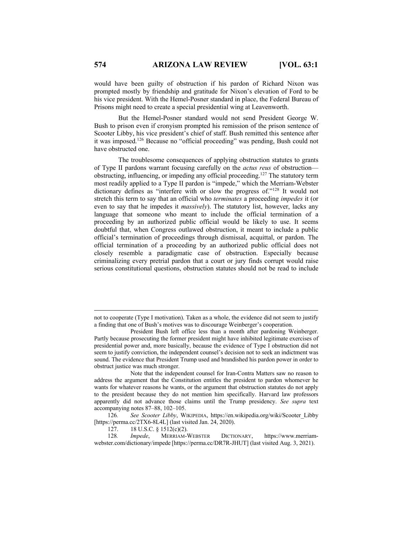would have been guilty of obstruction if his pardon of Richard Nixon was prompted mostly by friendship and gratitude for Nixon's elevation of Ford to be his vice president. With the Hemel-Posner standard in place, the Federal Bureau of Prisons might need to create a special presidential wing at Leavenworth.

But the Hemel-Posner standard would not send President George W. Bush to prison even if cronyism prompted his remission of the prison sentence of Scooter Libby, his vice president's chief of staff. Bush remitted this sentence after it was imposed.126 Because no "official proceeding" was pending, Bush could not have obstructed one.

The troublesome consequences of applying obstruction statutes to grants of Type II pardons warrant focusing carefully on the *actus reus* of obstruction obstructing, influencing, or impeding any official proceeding.127 The statutory term most readily applied to a Type II pardon is "impede," which the Merriam-Webster dictionary defines as "interfere with or slow the progress of."128 It would not stretch this term to say that an official who *terminates* a proceeding *impedes* it (or even to say that he impedes it *massively*). The statutory list, however, lacks any language that someone who meant to include the official termination of a proceeding by an authorized public official would be likely to use. It seems doubtful that, when Congress outlawed obstruction, it meant to include a public official's termination of proceedings through dismissal, acquittal, or pardon. The official termination of a proceeding by an authorized public official does not closely resemble a paradigmatic case of obstruction. Especially because criminalizing every pretrial pardon that a court or jury finds corrupt would raise serious constitutional questions, obstruction statutes should not be read to include

127. 18 U.S.C. § 1512(c)(2).<br>128. *Impede*, MERRIAM-<sup>1</sup>

128*. Impede*, MERRIAM-WEBSTER DICTIONARY, https://www.merriamwebster.com/dictionary/impede [https://perma.cc/DR7R-JHUT] (last visited Aug. 3, 2021).

not to cooperate (Type I motivation). Taken as a whole, the evidence did not seem to justify a finding that one of Bush's motives was to discourage Weinberger's cooperation.

President Bush left office less than a month after pardoning Weinberger. Partly because prosecuting the former president might have inhibited legitimate exercises of presidential power and, more basically, because the evidence of Type I obstruction did not seem to justify conviction, the independent counsel's decision not to seek an indictment was sound. The evidence that President Trump used and brandished his pardon power in order to obstruct justice was much stronger.

Note that the independent counsel for Iran-Contra Matters saw no reason to address the argument that the Constitution entitles the president to pardon whomever he wants for whatever reasons he wants, or the argument that obstruction statutes do not apply to the president because they do not mention him specifically. Harvard law professors apparently did not advance those claims until the Trump presidency. *See supra* text accompanying notes 87–88, 102–105.

<sup>126</sup>*. See Scooter Libby*, WIKIPEDIA, https://en.wikipedia.org/wiki/Scooter\_Libby [https://perma.cc/2TX6-8L4L] (last visited Jan. 24, 2020).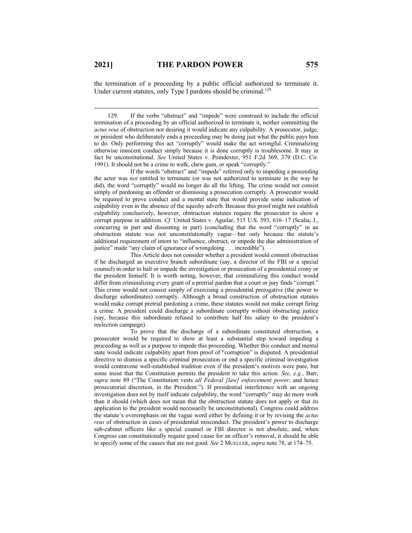the termination of a proceeding by a public official authorized to terminate it. Under current statutes, only Type I pardons should be criminal.<sup>129</sup>

129. If the verbs "obstruct" and "impede" were construed to include the official termination of a proceeding by an official authorized to terminate it, neither committing the *actus reus* of obstruction nor desiring it would indicate any culpability. A prosecutor, judge, or president who deliberately ends a proceeding may be doing just what the public pays him to do. Only performing this act "corruptly" would make the act wrongful. Criminalizing otherwise innocent conduct simply because it is done corruptly is troublesome. It may in fact be unconstitutional. *See* United States v. Poindexter, 951 F.2d 369, 379 (D.C. Cir. 1991). It should not be a crime to walk, chew gum, or speak "corruptly."

If the words "obstruct" and "impede" referred only to impeding a proceeding the actor was *not* entitled to terminate (or was not authorized to terminate in the way he did), the word "corruptly" would no longer do all the lifting. The crime would not consist simply of pardoning an offender or dismissing a prosecution corruptly. A prosecutor would be required to prove conduct and a mental state that would provide some indication of culpability even in the absence of the squishy adverb. Because this proof might not establish culpability conclusively, however, obstruction statutes require the prosecutor to show a corrupt purpose in addition. *Cf.* United States v. Aguilar, 515 U.S. 593, 616–17 (Scalia, J., concurring in part and dissenting in part) (concluding that the word "corruptly" in an obstruction statute was not unconstitutionally vague—but only because the statute's additional requirement of intent to "influence, obstruct, or impede the due administration of justice" made "any claim of ignorance of wrongdoing . . . incredible").

This Article does not consider whether a president would commit obstruction if he discharged an executive branch subordinate (say, a director of the FBI or a special counsel) in order to halt or impede the investigation or prosecution of a presidential crony or the president himself. It is worth noting, however, that criminalizing this conduct would differ from criminalizing every grant of a pretrial pardon that a court or jury finds "corrupt." This crime would not consist simply of exercising a presidential prerogative (the power to discharge subordinates) corruptly. Although a broad construction of obstruction statutes would make corrupt pretrial pardoning a crime, these statutes would not make corrupt firing a crime. A president could discharge a subordinate corruptly without obstructing justice (say, because this subordinate refused to contribute half his salary to the president's reelection campaign).

To prove that the discharge of a subordinate constituted obstruction, a prosecutor would be required to show at least a substantial step toward impeding a proceeding as well as a purpose to impede this proceeding. Whether this conduct and mental state would indicate culpability apart from proof of "corruption" is disputed. A presidential directive to dismiss a specific criminal prosecution or end a specific criminal investigation would contravene well-established tradition even if the president's motives were pure, but some insist that the Constitution permits the president to take this action. *See, e.g.*, Barr, *supra* note 89 ("The Constitution vests *all Federal [law] enforcement power*, and hence prosecutorial discretion, in the President."). If presidential interference with an ongoing investigation does not by itself indicate culpability, the word "corruptly" may do more work than it should (which does not mean that the obstruction statute does not apply or that its application to the president would necessarily be unconstitutional). Congress could address the statute's overemphasis on the vague word either by defining it or by revising the *actus reus* of obstruction in cases of presidential misconduct. The president's power to discharge sub-cabinet officers like a special counsel or FBI director is not absolute, and, when Congress can constitutionally require good cause for an officer's removal, it should be able to specify some of the causes that are not good. *See* 2 MUELLER, *supra* note 78, at 174–75.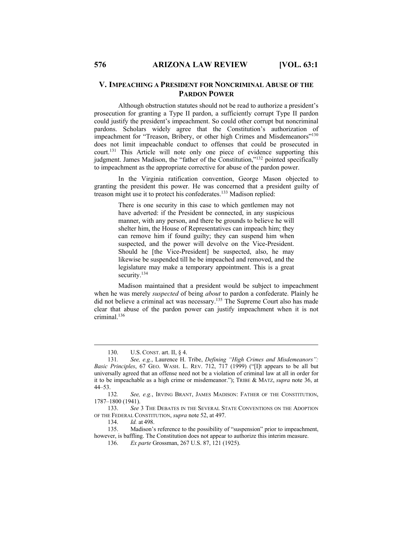## **V. IMPEACHING A PRESIDENT FOR NONCRIMINAL ABUSE OF THE PARDON POWER**

Although obstruction statutes should not be read to authorize a president's prosecution for granting a Type II pardon, a sufficiently corrupt Type II pardon could justify the president's impeachment. So could other corrupt but noncriminal pardons. Scholars widely agree that the Constitution's authorization of impeachment for "Treason, Bribery, or other high Crimes and Misdemeanors"<sup>130</sup> does not limit impeachable conduct to offenses that could be prosecuted in court.131 This Article will note only one piece of evidence supporting this judgment. James Madison, the "father of the Constitution,"132 pointed specifically to impeachment as the appropriate corrective for abuse of the pardon power.

In the Virginia ratification convention, George Mason objected to granting the president this power. He was concerned that a president guilty of treason might use it to protect his confederates.133 Madison replied:

> There is one security in this case to which gentlemen may not have adverted: if the President be connected, in any suspicious manner, with any person, and there be grounds to believe he will shelter him, the House of Representatives can impeach him; they can remove him if found guilty; they can suspend him when suspected, and the power will devolve on the Vice-President. Should he [the Vice-President] be suspected, also, he may likewise be suspended till he be impeached and removed, and the legislature may make a temporary appointment. This is a great security.<sup>134</sup>

Madison maintained that a president would be subject to impeachment when he was merely *suspected* of being *about* to pardon a confederate. Plainly he did not believe a criminal act was necessary.135 The Supreme Court also has made clear that abuse of the pardon power can justify impeachment when it is not criminal<sup>136</sup>

134. *Id.* at 498.<br>135. Madison's

Madison's reference to the possibility of "suspension" prior to impeachment, however, is baffling. The Constitution does not appear to authorize this interim measure.

136. *Ex parte* Grossman, 267 U.S. 87, 121 (1925).

<sup>130.</sup> U.S. CONST. art. II, § 4.

<sup>131</sup>*. See, e.g.*, Laurence H. Tribe, *Defining "High Crimes and Misdemeanors": Basic Principles*, 67 GEO. WASH. L. REV. 712, 717 (1999) ("[I]t appears to be all but universally agreed that an offense need not be a violation of criminal law at all in order for it to be impeachable as a high crime or misdemeanor."); TRIBE & MATZ, *supra* note 36, at 44–53.

<sup>132</sup>*. See, e.g.*, IRVING BRANT, JAMES MADISON: FATHER OF THE CONSTITUTION, 1787–1800 (1941).

<sup>133.</sup> *See* 3 THE DEBATES IN THE SEVERAL STATE CONVENTIONS ON THE ADOPTION OF THE FEDERAL CONSTITUTION, *supra* note 52, at 497.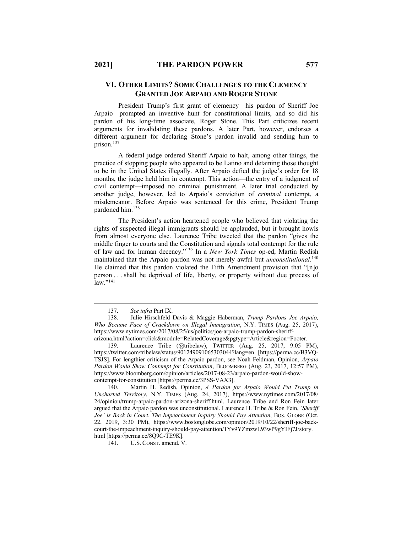## **VI. OTHER LIMITS? SOME CHALLENGES TO THE CLEMENCY GRANTED JOE ARPAIO AND ROGER STONE**

President Trump's first grant of clemency—his pardon of Sheriff Joe Arpaio—prompted an inventive hunt for constitutional limits, and so did his pardon of his long-time associate, Roger Stone. This Part criticizes recent arguments for invalidating these pardons. A later Part, however, endorses a different argument for declaring Stone's pardon invalid and sending him to prison. 137

A federal judge ordered Sheriff Arpaio to halt, among other things, the practice of stopping people who appeared to be Latino and detaining those thought to be in the United States illegally. After Arpaio defied the judge's order for 18 months, the judge held him in contempt. This action—the entry of a judgment of civil contempt—imposed no criminal punishment. A later trial conducted by another judge, however, led to Arpaio's conviction of *criminal* contempt, a misdemeanor. Before Arpaio was sentenced for this crime, President Trump pardoned him.138

The President's action heartened people who believed that violating the rights of suspected illegal immigrants should be applauded, but it brought howls from almost everyone else. Laurence Tribe tweeted that the pardon "gives the middle finger to courts and the Constitution and signals total contempt for the rule of law and for human decency."139 In a *New York Times* op-ed, Martin Redish maintained that the Arpaio pardon was not merely awful but *unconstitutional*. 140 He claimed that this pardon violated the Fifth Amendment provision that "[n]o person . . . shall be deprived of life, liberty, or property without due process of  $\mathrm{law}$ ."<sup>141</sup>

 <sup>137.</sup> *See infra* Part IX.

<sup>138.</sup> Julie Hirschfeld Davis & Maggie Haberman, *Trump Pardons Joe Arpaio, Who Became Face of Crackdown on Illegal Immigration*, N.Y. TIMES (Aug. 25, 2017), https://www.nytimes.com/2017/08/25/us/politics/joe-arpaio-trump-pardon-sheriff-

arizona.html?action=click&module=RelatedCoverage&pgtype=Article&region=Footer.

<sup>139.</sup> Laurence Tribe (@tribelaw), TWITTER (Aug. 25, 2017, 9:05 PM), https://twitter.com/tribelaw/status/901249091065303044?lang=en [https://perma.cc/B3VQ-TSJS]. For lengthier criticism of the Arpaio pardon, see Noah Feldman, Opinion, *Arpaio Pardon Would Show Contempt for Constitution*, BLOOMBERG (Aug. 23, 2017, 12:57 PM), https://www.bloomberg.com/opinion/articles/2017-08-23/arpaio-pardon-would-showcontempt-for-constitution [https://perma.cc/3PSS-VAX3].

<sup>140.</sup> Martin H. Redish, Opinion, *A Pardon for Arpaio Would Put Trump in Uncharted Territory*, N.Y. TIMES (Aug. 24, 2017), https://www.nytimes.com/2017/08/ 24/opinion/trump-arpaio-pardon-arizona-sheriff.html. Laurence Tribe and Ron Fein later argued that the Arpaio pardon was unconstitutional. Laurence H. Tribe & Ron Fein, *'Sheriff*  Joe' is Back in Court. The Impeachment Inquiry Should Pay Attention, Bos. GLOBE (Oct. 22, 2019, 3:30 PM), https://www.bostonglobe.com/opinion/2019/10/22/sheriff-joe-backcourt-the-impeachment-inquiry-should-pay-attention/1Yv9YZmzwL93wP9gYIFj7J/story. html [https://perma.cc/8Q9C-TE9K].

<sup>141.</sup> U.S. CONST. amend. V.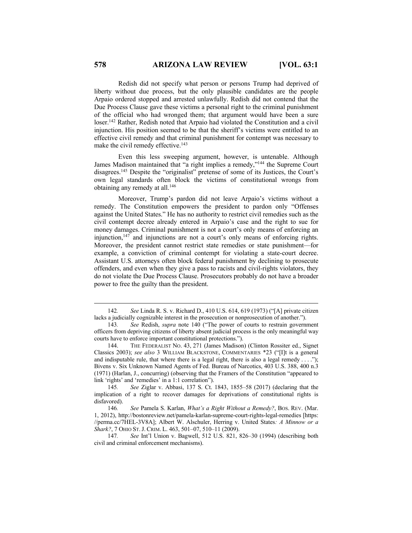Redish did not specify what person or persons Trump had deprived of liberty without due process, but the only plausible candidates are the people Arpaio ordered stopped and arrested unlawfully. Redish did not contend that the Due Process Clause gave these victims a personal right to the criminal punishment of the official who had wronged them; that argument would have been a sure loser.142 Rather, Redish noted that Arpaio had violated the Constitution and a civil injunction. His position seemed to be that the sheriff's victims were entitled to an effective civil remedy and that criminal punishment for contempt was necessary to make the civil remedy effective.<sup>143</sup>

Even this less sweeping argument, however, is untenable. Although James Madison maintained that "a right implies a remedy,"144 the Supreme Court disagrees.145 Despite the "originalist" pretense of some of its Justices, the Court's own legal standards often block the victims of constitutional wrongs from obtaining any remedy at all.<sup>146</sup>

Moreover, Trump's pardon did not leave Arpaio's victims without a remedy. The Constitution empowers the president to pardon only "Offenses against the United States." He has no authority to restrict civil remedies such as the civil contempt decree already entered in Arpaio's case and the right to sue for money damages. Criminal punishment is not a court's only means of enforcing an injunction,147 and injunctions are not a court's only means of enforcing rights. Moreover, the president cannot restrict state remedies or state punishment—for example, a conviction of criminal contempt for violating a state-court decree. Assistant U.S. attorneys often block federal punishment by declining to prosecute offenders, and even when they give a pass to racists and civil-rights violators, they do not violate the Due Process Clause. Prosecutors probably do not have a broader power to free the guilty than the president.

<sup>142</sup>*. See* Linda R. S. v. Richard D., 410 U.S. 614, 619 (1973) ("[A] private citizen lacks a judicially cognizable interest in the prosecution or nonprosecution of another.").

<sup>143</sup>*. See* Redish, *supra* note 140 ("The power of courts to restrain government officers from depriving citizens of liberty absent judicial process is the only meaningful way courts have to enforce important constitutional protections.").

<sup>144.</sup> THE FEDERALIST NO. 43, 271 (James Madison) (Clinton Rossiter ed., Signet Classics 2003); *see also* 3 WILLIAM BLACKSTONE, COMMENTARIES \*23 ("[I]t is a general and indisputable rule, that where there is a legal right, there is also a legal remedy . . . ."); Bivens v. Six Unknown Named Agents of Fed. Bureau of Narcotics, 403 U.S. 388, 400 n.3 (1971) (Harlan, J., concurring) (observing that the Framers of the Constitution "appeared to link 'rights' and 'remedies' in a 1:1 correlation").

<sup>145</sup>*. See* Ziglar v. Abbasi, 137 S. Ct. 1843, 1855–58 (2017) (declaring that the implication of a right to recover damages for deprivations of constitutional rights is disfavored).

<sup>146</sup>*. See* Pamela S. Karlan, *What's a Right Without a Remedy?*, BOS. REV. (Mar. 1, 2012), http://bostonreview.net/pamela-karlan-supreme-court-rights-legal-remedies [https: //perma.cc/7HEL-3V8A]; Albert W. Alschuler, Herring v. United States*: A Minnow or a Shark?*, 7 OHIO ST.J. CRIM. L. 463, 501–07, 510–11 (2009).

<sup>147</sup>*. See* Int'l Union v. Bagwell, 512 U.S. 821, 826–30 (1994) (describing both civil and criminal enforcement mechanisms).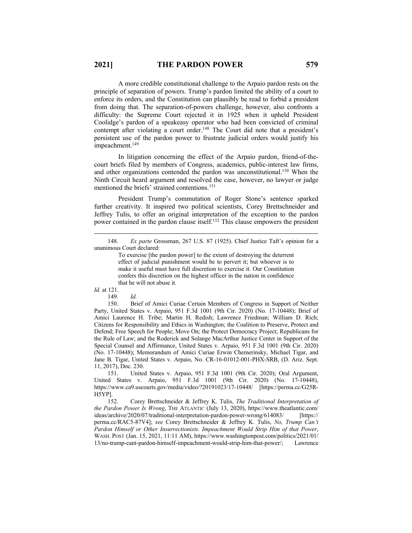A more credible constitutional challenge to the Arpaio pardon rests on the principle of separation of powers. Trump's pardon limited the ability of a court to enforce its orders, and the Constitution can plausibly be read to forbid a president from doing that. The separation-of-powers challenge, however, also confronts a difficulty: the Supreme Court rejected it in 1925 when it upheld President Coolidge's pardon of a speakeasy operator who had been convicted of criminal contempt after violating a court order.<sup>148</sup> The Court did note that a president's persistent use of the pardon power to frustrate judicial orders would justify his impeachment.<sup>149</sup>

In litigation concerning the effect of the Arpaio pardon, friend-of-thecourt briefs filed by members of Congress, academics, public-interest law firms, and other organizations contended the pardon was unconstitutional.150 When the Ninth Circuit heard argument and resolved the case, however, no lawyer or judge mentioned the briefs' strained contentions.<sup>151</sup>

President Trump's commutation of Roger Stone's sentence sparked further creativity. It inspired two political scientists, Corey Brettschneider and Jeffrey Tulis, to offer an original interpretation of the exception to the pardon power contained in the pardon clause itself.152 This clause empowers the president

150. Brief of Amici Curiae Certain Members of Congress in Support of Neither Party, United States v. Arpaio, 951 F.3d 1001 (9th Cir. 2020) (No. 17-10448); Brief of Amici Laurence H. Tribe; Martin H. Redish; Lawrence Friedman; William D. Rich; Citizens for Responsibility and Ethics in Washington; the Coalition to Preserve, Protect and Defend; Free Speech for People; Move On; the Protect Democracy Project; Republicans for the Rule of Law; and the Roderick and Solange MacArthur Justice Center in Support of the Special Counsel and Affirmance, United States v. Arpaio, 951 F.3d 1001 (9th Cir. 2020) (No. 17-10448); Memorandum of Amici Curiae Erwin Chemerinsky, Michael Tigar, and Jane B. Tigar, United States v. Arpaio, No. CR-16-01012-001-PHX-SRB, (D. Ariz. Sept. 11, 2017), Doc. 230.

151. United States v. Arpaio, 951 F.3d 1001 (9th Cir. 2020); Oral Argument, United States v. Arpaio, 951 F.3d 1001 (9th Cir. 2020) (No. 17-10448), https://www.ca9.uscourts.gov/media/video/?20191023/17-10448/ [https://perma.cc/G25R-H5YP].

152. Corey Brettschneider & Jeffrey K. Tulis, *The Traditional Interpretation of the Pardon Power Is Wrong*, THE ATLANTIC (July 13, 2020), https://www.theatlantic.com/ ideas/archive/2020/07/traditional-interpretation-pardon-power-wrong/614083/ [https:// perma.cc/RAC5-87V4]; *see* Corey Brettschneider & Jeffrey K. Tulis, *No, Trump Can't Pardon Himself or Other Insurrectionists. Impeachment Would Strip Him of that Power*, WASH. POST (Jan. 15, 2021, 11:11 AM), https://www.washingtonpost.com/politics/2021/01/ 13/no-trump-cant-pardon-himself-impeachment-would-strip-him-that-power/; Lawrence

<sup>148.</sup> *Ex parte* Grossman, 267 U.S. 87 (1925). Chief Justice Taft's opinion for a unanimous Court declared:

To exercise [the pardon power] to the extent of destroying the deterrent effect of judicial punishment would be to pervert it; but whoever is to make it useful must have full discretion to exercise it. Our Constitution confers this discretion on the highest officer in the nation in confidence that he will not abuse it.

*Id.* at 121.

<sup>149</sup>*. Id.*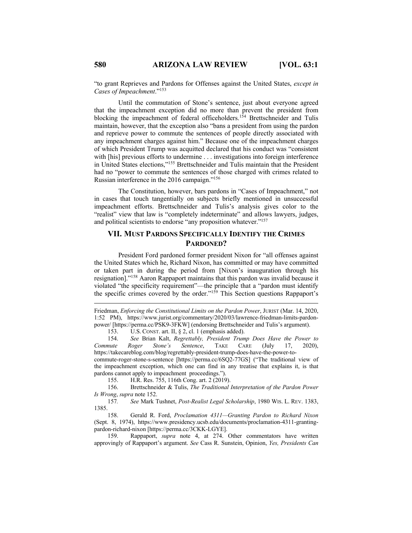"to grant Reprieves and Pardons for Offenses against the United States, *except in Cases of Impeachment*."153

Until the commutation of Stone's sentence, just about everyone agreed that the impeachment exception did no more than prevent the president from blocking the impeachment of federal officeholders.<sup>154</sup> Brettschneider and Tulis maintain, however, that the exception also "bans a president from using the pardon and reprieve power to commute the sentences of people directly associated with any impeachment charges against him." Because one of the impeachment charges of which President Trump was acquitted declared that his conduct was "consistent with [his] previous efforts to undermine . . . investigations into foreign interference in United States elections,"155 Brettschneider and Tulis maintain that the President had no "power to commute the sentences of those charged with crimes related to Russian interference in the 2016 campaign."156

The Constitution, however, bars pardons in "Cases of Impeachment," not in cases that touch tangentially on subjects briefly mentioned in unsuccessful impeachment efforts. Brettschneider and Tulis's analysis gives color to the "realist" view that law is "completely indeterminate" and allows lawyers, judges, and political scientists to endorse "any proposition whatever."<sup>157</sup>

## **VII. MUST PARDONS SPECIFICALLY IDENTIFY THE CRIMES PARDONED?**

President Ford pardoned former president Nixon for "all offenses against the United States which he, Richard Nixon, has committed or may have committed or taken part in during the period from [Nixon's inauguration through his resignation]."158 Aaron Rappaport maintains that this pardon was invalid because it violated "the specificity requirement"—the principle that a "pardon must identify the specific crimes covered by the order."159 This Section questions Rappaport's

Friedman, *Enforcing the Constitutional Limits on the Pardon Power*, JURIST (Mar. 14, 2020, 1:52 PM), https://www.jurist.org/commentary/2020/03/lawrence-friedman-limits-pardonpower/ [https://perma.cc/PSK9-3FKW] (endorsing Brettschneider and Tulis's argument).

153. U.S. CONST. art. II, § 2, cl. 1 (emphasis added).

154. *See* Brian Kalt, *Regrettably, President Trump Does Have the Power to Commute Roger Stone's Sentence*, TAKE CARE (July 17, 2020), https://takecareblog.com/blog/regrettably-president-trump-does-have-the-power-tocommute-roger-stone-s-sentence [https://perma.cc/6SQ2-77GS] ("The traditional view of

the impeachment exception, which one can find in any treatise that explains it, is that pardons cannot apply to impeachment proceedings.").

155. H.R. Res. 755, 116th Cong. art. 2 (2019).

156. Brettschneider & Tulis, *The Traditional Interpretation of the Pardon Power Is Wrong*, *supra* note 152.

157*. See* Mark Tushnet, *Post-Realist Legal Scholarship*, 1980 WIS. L. REV. 1383, 1385.

158. Gerald R. Ford, *Proclamation 4311—Granting Pardon to Richard Nixon*  (Sept. 8, 1974), https://www.presidency.ucsb.edu/documents/proclamation-4311-grantingpardon-richard-nixon [https://perma.cc/3CKK-LGYE].

159. Rappaport, *supra* note 4, at 274. Other commentators have written approvingly of Rappaport's argument. *See* Cass R. Sunstein, Opinion, *Yes, Presidents Can*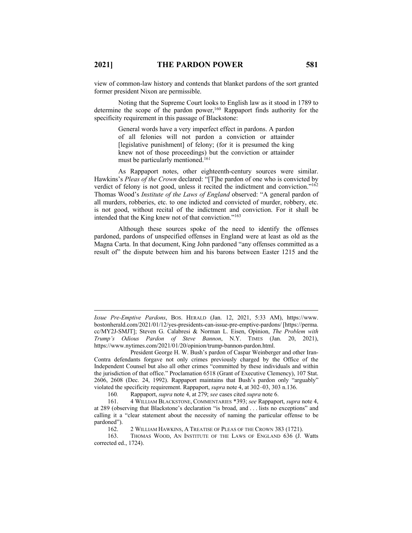view of common-law history and contends that blanket pardons of the sort granted former president Nixon are permissible.

Noting that the Supreme Court looks to English law as it stood in 1789 to determine the scope of the pardon power,<sup>160</sup> Rappaport finds authority for the specificity requirement in this passage of Blackstone:

> General words have a very imperfect effect in pardons. A pardon of all felonies will not pardon a conviction or attainder [legislative punishment] of felony; (for it is presumed the king knew not of those proceedings) but the conviction or attainder must be particularly mentioned.161

As Rappaport notes, other eighteenth-century sources were similar. Hawkins's *Pleas of the Crown* declared: "[T]he pardon of one who is convicted by verdict of felony is not good, unless it recited the indictment and conviction."162 Thomas Wood's *Institute of the Laws of England* observed: "A general pardon of all murders, robberies, etc. to one indicted and convicted of murder, robbery, etc. is not good, without recital of the indictment and conviction. For it shall be intended that the King knew not of that conviction."<sup>163</sup>

Although these sources spoke of the need to identify the offenses pardoned, pardons of unspecified offenses in England were at least as old as the Magna Carta. In that document, King John pardoned "any offenses committed as a result of" the dispute between him and his barons between Easter 1215 and the

*Issue Pre-Emptive Pardons*, BOS. HERALD (Jan. 12, 2021, 5:33 AM), https://www. bostonherald.com/2021/01/12/yes-presidents-can-issue-pre-emptive-pardons/ [https://perma. cc/MY2J-SMJT]; Steven G. Calabresi & Norman L. Eisen, Opinion, *The Problem with Trump's Odious Pardon of Steve Bannon*, N.Y. TIMES (Jan. 20, 2021), https://www.nytimes.com/2021/01/20/opinion/trump-bannon-pardon.html.

President George H. W. Bush's pardon of Caspar Weinberger and other Iran-Contra defendants forgave not only crimes previously charged by the Office of the Independent Counsel but also all other crimes "committed by these individuals and within the jurisdiction of that office." Proclamation 6518 (Grant of Executive Clemency), 107 Stat. 2606, 2608 (Dec. 24, 1992). Rappaport maintains that Bush's pardon only "arguably" violated the specificity requirement. Rappaport, *supra* note 4, at 302–03, 303 n.136.

<sup>160</sup>*.* Rappaport, *supra* note 4, at 279; *see* cases cited *supra* note 6.

<sup>161.</sup> 4 WILLIAM BLACKSTONE, COMMENTARIES \*393; *see* Rappaport, *supra* note 4, at 289 (observing that Blackstone's declaration "is broad, and . . . lists no exceptions" and calling it a "clear statement about the necessity of naming the particular offense to be pardoned").<br>162.

<sup>2</sup> WILLIAM HAWKINS, A TREATISE OF PLEAS OF THE CROWN 383 (1721).

<sup>163.</sup> THOMAS WOOD, AN INSTITUTE OF THE LAWS OF ENGLAND 636 (J. Watts corrected ed., 1724).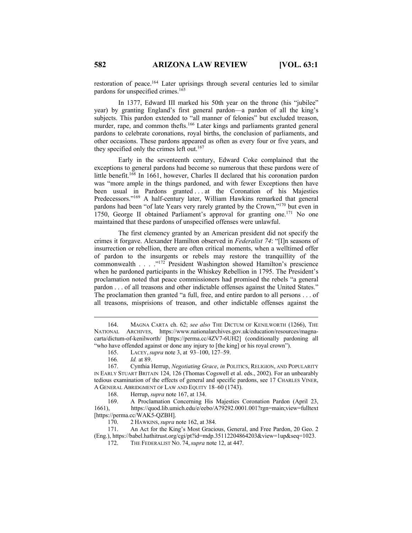restoration of peace.164 Later uprisings through several centuries led to similar pardons for unspecified crimes.165

In 1377, Edward III marked his 50th year on the throne (his "jubilee" year) by granting England's first general pardon—a pardon of all the king's subjects. This pardon extended to "all manner of felonies" but excluded treason, murder, rape, and common thefts.<sup>166</sup> Later kings and parliaments granted general pardons to celebrate coronations, royal births, the conclusion of parliaments, and other occasions. These pardons appeared as often as every four or five years, and they specified only the crimes left out.<sup>167</sup>

Early in the seventeenth century, Edward Coke complained that the exceptions to general pardons had become so numerous that these pardons were of little benefit.<sup>168</sup> In 1661, however, Charles II declared that his coronation pardon was "more ample in the things pardoned, and with fewer Exceptions then have been usual in Pardons granted ... at the Coronation of his Majesties Predecessors."169 A half-century later, William Hawkins remarked that general pardons had been "of late Years very rarely granted by the Crown,"170 but even in 1750, George II obtained Parliament's approval for granting one.<sup>171</sup> No one maintained that these pardons of unspecified offenses were unlawful.

The first clemency granted by an American president did not specify the crimes it forgave. Alexander Hamilton observed in *Federalist 74*: "[I]n seasons of insurrection or rebellion, there are often critical moments, when a welltimed offer of pardon to the insurgents or rebels may restore the tranquillity of the commonwealth . . . . .<sup>"172</sup> President Washington showed Hamilton's prescience when he pardoned participants in the Whiskey Rebellion in 1795. The President's proclamation noted that peace commissioners had promised the rebels "a general pardon . . . of all treasons and other indictable offenses against the United States." The proclamation then granted "a full, free, and entire pardon to all persons . . . of all treasons, misprisions of treason, and other indictable offenses against the

168. Herrup, *supra* note 167, at 134.

169. A Proclamation Concerning His Majesties Coronation Pardon (April 23, 1661), https://quod.lib.umich.edu/e/eebo/A79292.0001.001?rgn=main;view=fulltext [https://perma.cc/WAK5-QZBH].

170. 2 HAWKINS,*supra* note 162, at 384.

171. An Act for the King's Most Gracious, General, and Free Pardon, 20 Geo. 2 (Eng.), https://babel.hathitrust.org/cgi/pt?id=mdp.35112204864203&view=1up&seq=1023.

172. THE FEDERALIST NO. 74,*supra* note 12, at 447.

<sup>164.</sup> MAGNA CARTA ch. 62; *see also* THE DICTUM OF KENILWORTH (1266), THE NATIONAL ARCHIVES, https://www.nationalarchives.gov.uk/education/resources/magnacarta/dictum-of-kenilworth/ [https://perma.cc/4ZV7-6UH2] (conditionally pardoning all "who have offended against or done any injury to [the king] or his royal crown").

<sup>165.</sup> LACEY,*supra* note 3, at 93–100, 127–59.

<sup>166</sup>*. Id.* at 89.

<sup>167.</sup> Cynthia Herrup, *Negotiating Grace*, *in* POLITICS, RELIGION, AND POPULARITY IN EARLY STUART BRITAIN 124, 126 (Thomas Cogswell et al. eds., 2002). For an unbearably tedious examination of the effects of general and specific pardons, see 17 CHARLES VINER, A GENERAL ABRIDGMENT OF LAW AND EQUITY 18–60 (1743).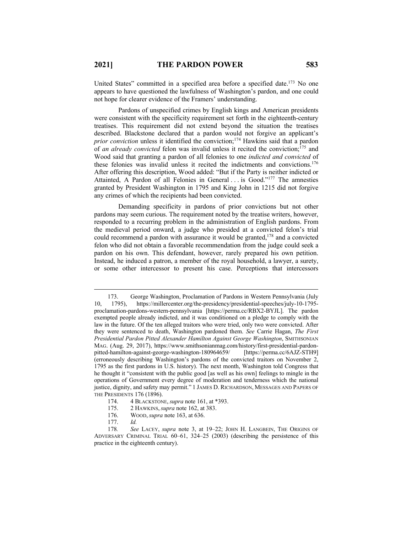United States" committed in a specified area before a specified date.<sup>173</sup> No one appears to have questioned the lawfulness of Washington's pardon, and one could not hope for clearer evidence of the Framers' understanding.

Pardons of unspecified crimes by English kings and American presidents were consistent with the specificity requirement set forth in the eighteenth-century treatises. This requirement did not extend beyond the situation the treatises described. Blackstone declared that a pardon would not forgive an applicant's *prior conviction* unless it identified the conviction; <sup>174</sup> Hawkins said that a pardon of *an already convicted* felon was invalid unless it recited the conviction; <sup>175</sup> and Wood said that granting a pardon of all felonies to one *indicted and convicted* of these felonies was invalid unless it recited the indictments and convictions.176 After offering this description, Wood added: "But if the Party is neither indicted or Attainted, A Pardon of all Felonies in General . . . is Good."177 The amnesties granted by President Washington in 1795 and King John in 1215 did not forgive any crimes of which the recipients had been convicted.

Demanding specificity in pardons of prior convictions but not other pardons may seem curious. The requirement noted by the treatise writers, however, responded to a recurring problem in the administration of English pardons. From the medieval period onward, a judge who presided at a convicted felon's trial could recommend a pardon with assurance it would be granted,<sup>178</sup> and a convicted felon who did not obtain a favorable recommendation from the judge could seek a pardon on his own. This defendant, however, rarely prepared his own petition. Instead, he induced a patron, a member of the royal household, a lawyer, a surety, or some other intercessor to present his case. Perceptions that intercessors

- 174. 4 BLACKSTONE,*supra* note 161, at \*393.
- 175. 2 HAWKINS,*supra* note 162, at 383.
- 176. WOOD,*supra* note 163, at 636.
- 177. *Id.*

<sup>173.</sup> George Washington, Proclamation of Pardons in Western Pennsylvania (July 10, 1795), https://millercenter.org/the-presidency/presidential-speeches/july-10-1795 proclamation-pardons-western-pennsylvania [https://perma.cc/RBX2-BYJL]. The pardon exempted people already indicted, and it was conditioned on a pledge to comply with the law in the future. Of the ten alleged traitors who were tried, only two were convicted. After they were sentenced to death, Washington pardoned them. *See* Carrie Hagan, *The First Presidential Pardon Pitted Alexander Hamilton Against George Washington*, SMITHSONIAN MAG. (Aug. 29, 2017), https://www.smithsonianmag.com/history/first-presidential-pardon-<br>pitted-hamilton-against-george-washington-180964659/ [https://perma.cc/6AJZ-STH9] pitted-hamilton-against-george-washington-180964659/ (erroneously describing Washington's pardons of the convicted traitors on November 2, 1795 as the first pardons in U.S. history). The next month, Washington told Congress that he thought it "consistent with the public good [as well as his own] feelings to mingle in the operations of Government every degree of moderation and tenderness which the national justice, dignity, and safety may permit." 1 JAMES D. RICHARDSON, MESSAGES AND PAPERS OF THE PRESIDENTS 176 (1896).

<sup>178</sup>*. See* LACEY, *supra* note 3, at 19–22; JOHN H. LANGBEIN, THE ORIGINS OF ADVERSARY CRIMINAL TRIAL 60–61, 324–25 (2003) (describing the persistence of this practice in the eighteenth century).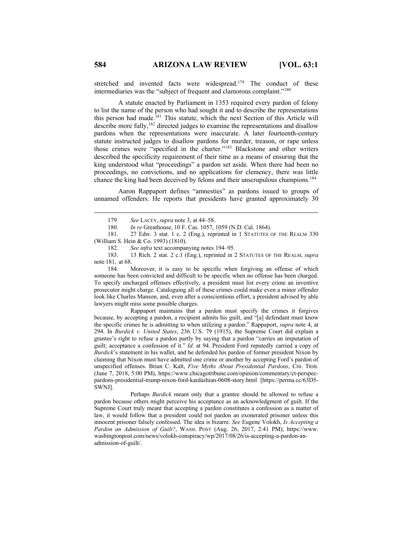stretched and invented facts were widespread.<sup>179</sup> The conduct of these intermediaries was the "subject of frequent and clamorous complaint."<sup>180</sup>

A statute enacted by Parliament in 1353 required every pardon of felony to list the name of the person who had sought it and to describe the representations this person had made.<sup>181</sup> This statute, which the next Section of this Article will describe more fully,<sup>182</sup> directed judges to examine the representations and disallow pardons when the representations were inaccurate. A later fourteenth-century statute instructed judges to disallow pardons for murder, treason, or rape unless those crimes were "specified in the charter."183 Blackstone and other writers described the specificity requirement of their time as a means of ensuring that the king understood what "proceedings" a pardon set aside. When there had been no proceedings, no convictions, and no applications for clemency, there was little chance the king had been deceived by felons and their unscrupulous champions.<sup>184</sup>

Aaron Rappaport defines "amnesties" as pardons issued to groups of unnamed offenders. He reports that presidents have granted approximately 30

181. 27 Edw. 3 stat. 1 c. 2 (Eng.), reprinted in 1 STATUTES OF THE REALM 330 (William S. Hein & Co. 1993) (1810).

184. Moreover, it is easy to be specific when forgiving an offense of which someone has been convicted and difficult to be specific when no offense has been charged. To specify uncharged offenses effectively, a president must list every crime an inventive prosecutor might charge. Cataloguing all of these crimes could make even a minor offender look like Charles Manson, and, even after a conscientious effort, a president advised by able lawyers might miss some possible charges.

Rappaport maintains that a pardon must specify the crimes it forgives because, by accepting a pardon, a recipient admits his guilt, and "[a] defendant must know the specific crimes he is admitting to when utilizing a pardon." Rappaport, *supra* note 4, at 294. In *Burdick v. United States*, 236 U.S. 79 (1915), the Supreme Court did explain a grantee's right to refuse a pardon partly by saying that a pardon "carries an imputation of guilt; acceptance a confession of it." *Id.* at 94. President Ford reputedly carried a copy of *Burdick*'s statement in his wallet, and he defended his pardon of former president Nixon by claiming that Nixon must have admitted one crime or another by accepting Ford's pardon of unspecified offenses. Brian C. Kalt, *Five Myths About Presidential Pardons*, CHI. TRIB. (June 7, 2018, 5:00 PM), https://www.chicagotribune.com/opinion/commentary/ct-perspecpardons-presidential-trump-nixon-ford-kardashian-0608-story.html [https://perma.cc/63D5- SWNJ].

Perhaps *Burdick* meant only that a grantee should be allowed to refuse a pardon because others might perceive his acceptance as an acknowledgment of guilt. If the Supreme Court truly meant that accepting a pardon constitutes a confession as a matter of law, it would follow that a president could not pardon an exonerated prisoner unless this innocent prisoner falsely confessed. The idea is bizarre. *See* Eugene Volokh, *Is Accepting a Pardon an Admission of Guilt?*, WASH. POST (Aug. 26, 2017, 2:41 PM), https://www. washingtonpost.com/news/volokh-conspiracy/wp/2017/08/26/is-accepting-a-pardon-anadmission-of-guilt/.

<sup>179</sup>*. See* LACEY,*supra* note 3, at 44–58.

<sup>180.</sup> *In re* Greathouse, 10 F. Cas. 1057, 1059 (N.D. Cal. 1864).

<sup>182</sup>*. See infra* text accompanying notes 194–95.

<sup>183.</sup> 13 Rich. 2 stat. 2 c.1 (Eng.), reprinted in 2 STATUTES OF THE REALM, *supra* note 181, at 68.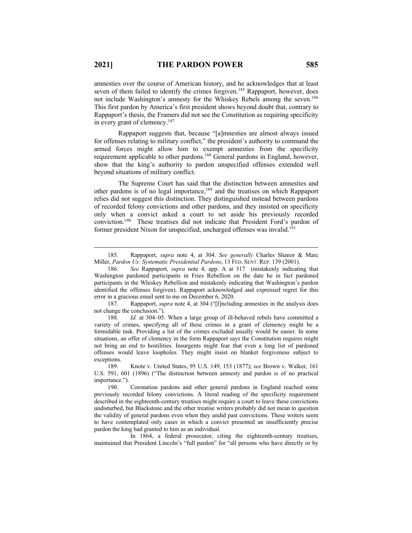amnesties over the course of American history, and he acknowledges that at least seven of them failed to identify the crimes forgiven.<sup>185</sup> Rappaport, however, does not include Washington's amnesty for the Whiskey Rebels among the seven.<sup>186</sup> This first pardon by America's first president shows beyond doubt that, contrary to Rappaport's thesis, the Framers did not see the Constitution as requiring specificity in every grant of clemency.187

Rappaport suggests that, because "[a]mnesties are almost always issued for offenses relating to military conflict," the president's authority to command the armed forces might allow him to exempt amnesties from the specificity requirement applicable to other pardons.<sup>188</sup> General pardons in England, however, show that the king's authority to pardon unspecified offenses extended well beyond situations of military conflict.

The Supreme Court has said that the distinction between amnesties and other pardons is of no legal importance,189 and the treatises on which Rappaport relies did not suggest this distinction. They distinguished instead between pardons of recorded felony convictions and other pardons, and they insisted on specificity only when a convict asked a court to set aside his previously recorded conviction.190 These treatises did not indicate that President Ford's pardon of former president Nixon for unspecified, uncharged offenses was invalid.<sup>191</sup>

187. Rappaport, *supra* note 4, at 304 ("[I]ncluding amnesties in the analysis does not change the conclusion.").

In 1864, a federal prosecutor, citing the eighteenth-century treatises, maintained that President Lincoln's "full pardon" for "all persons who have directly or by

<sup>185.</sup> Rappaport, *supra* note 4, at 304. *See generally* Charles Shanor & Marc Miller, *Pardon Us: Systematic Presidential Pardons*, 13 FED. SENT. REP. 139 (2001).

<sup>186</sup>*. See* Rappaport, *supra* note 4, app. A at 317 (mistakenly indicating that Washington pardoned participants in Fries Rebellion on the date he in fact pardoned participants in the Whiskey Rebellion and mistakenly indicating that Washington's pardon identified the offenses forgiven). Rappaport acknowledged and expressed regret for this error in a gracious email sent to me on December 6, 2020.

<sup>188</sup>*. Id.* at 304–05. When a large group of ill-behaved rebels have committed a variety of crimes, specifying all of these crimes in a grant of clemency might be a formidable task. Providing a list of the crimes excluded usually would be easier. In some situations, an offer of clemency in the form Rappaport says the Constitution requires might not bring an end to hostilities. Insurgents might fear that even a long list of pardoned offenses would leave loopholes. They might insist on blanket forgiveness subject to exceptions.

<sup>189.</sup> Knote v. United States, 95 U.S. 149, 153 (1877); *see* Brown v. Walker, 161 U.S. 591, 601 (1896) ("The distinction between amnesty and pardon is of no practical importance.").

<sup>190.</sup> Coronation pardons and other general pardons in England reached some previously recorded felony convictions. A literal reading of the specificity requirement described in the eighteenth-century treatises might require a court to leave these convictions undisturbed, but Blackstone and the other treatise writers probably did not mean to question the validity of general pardons even when they undid past convictions. These writers seem to have contemplated only cases in which a convict presented an insufficiently precise pardon the king had granted to him as an individual.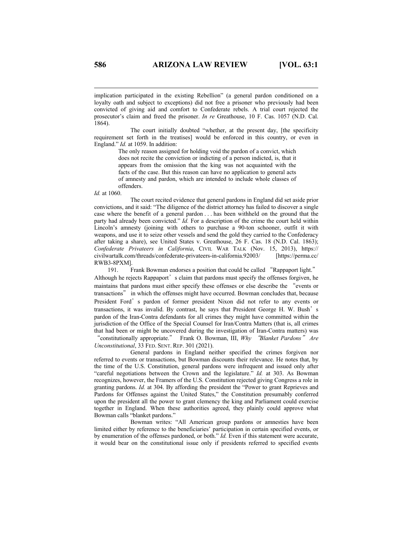implication participated in the existing Rebellion" (a general pardon conditioned on a loyalty oath and subject to exceptions) did not free a prisoner who previously had been convicted of giving aid and comfort to Confederate rebels. A trial court rejected the prosecutor's claim and freed the prisoner. *In re* Greathouse, 10 F. Cas. 1057 (N.D. Cal. 1864).

The court initially doubted "whether, at the present day, [the specificity requirement set forth in the treatises] would be enforced in this country, or even in England." *Id.* at 1059. In addition:

The only reason assigned for holding void the pardon of a convict, which does not recite the conviction or indicting of a person indicted, is, that it appears from the omission that the king was not acquainted with the facts of the case. But this reason can have no application to general acts of amnesty and pardon, which are intended to include whole classes of offenders.

#### *Id.* at 1060.

The court recited evidence that general pardons in England did set aside prior convictions, and it said: "The diligence of the district attorney has failed to discover a single case where the benefit of a general pardon . . . has been withheld on the ground that the party had already been convicted." *Id.* For a description of the crime the court held within Lincoln's amnesty (joining with others to purchase a 90-ton schooner, outfit it with weapons, and use it to seize other vessels and send the gold they carried to the Confederacy after taking a share), see United States v. Greathouse, 26 F. Cas. 18 (N.D. Cal. 1863); *Confederate Privateers in California*, CIVIL WAR TALK (Nov. 15, 2013), https:// civilwartalk.com/threads/confederate-privateers-in-california.92003/ [https://perma.cc/ RWB3-8PXM].

191. Frank Bowman endorses a position that could be called "Rappaport light." Although he rejects Rappaport's claim that pardons must specify the offenses forgiven, he maintains that pardons must either specify these offenses or else describe the "events or transactions" in which the offenses might have occurred. Bowman concludes that, because President Ford's pardon of former president Nixon did not refer to any events or transactions, it was invalid. By contrast, he says that President George H. W. Bush's pardon of the Iran-Contra defendants for all crimes they might have committed within the jurisdiction of the Office of the Special Counsel for Iran/Contra Matters (that is, all crimes that had been or might be uncovered during the investigation of Iran-Contra matters) was "constitutionally appropriate." Frank O. Bowman, III, *Why* "*Blanket Pardons*" *Are Unconstitutional*, 33 FED. SENT. REP. 301 (2021).

General pardons in England neither specified the crimes forgiven nor referred to events or transactions, but Bowman discounts their relevance. He notes that, by the time of the U.S. Constitution, general pardons were infrequent and issued only after "careful negotiations between the Crown and the legislature." *Id.* at 303. As Bowman recognizes, however, the Framers of the U.S. Constitution rejected giving Congress a role in granting pardons. *Id.* at 304. By affording the president the "Power to grant Reprieves and Pardons for Offenses against the United States," the Constitution presumably conferred upon the president all the power to grant clemency the king and Parliament could exercise together in England. When these authorities agreed, they plainly could approve what Bowman calls "blanket pardons."

Bowman writes: "All American group pardons or amnesties have been limited either by reference to the beneficiaries' participation in certain specified events, or by enumeration of the offenses pardoned, or both." *Id.* Even if this statement were accurate, it would bear on the constitutional issue only if presidents referred to specified events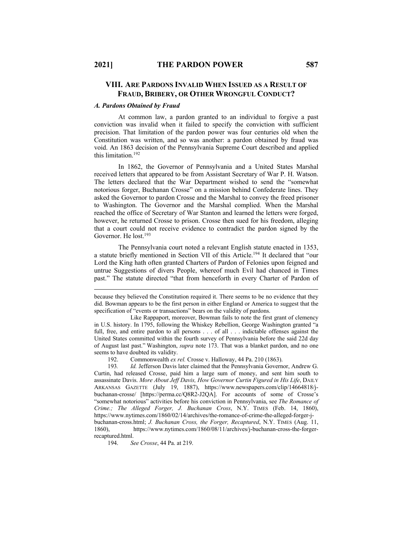## **VIII. ARE PARDONS INVALID WHEN ISSUED AS A RESULT OF FRAUD, BRIBERY, OR OTHER WRONGFUL CONDUCT?**

#### *A. Pardons Obtained by Fraud*

At common law, a pardon granted to an individual to forgive a past conviction was invalid when it failed to specify the conviction with sufficient precision. That limitation of the pardon power was four centuries old when the Constitution was written, and so was another: a pardon obtained by fraud was void. An 1863 decision of the Pennsylvania Supreme Court described and applied this limitation.192

In 1862, the Governor of Pennsylvania and a United States Marshal received letters that appeared to be from Assistant Secretary of War P. H. Watson. The letters declared that the War Department wished to send the "somewhat notorious forger, Buchanan Crosse" on a mission behind Confederate lines. They asked the Governor to pardon Crosse and the Marshal to convey the freed prisoner to Washington. The Governor and the Marshal complied. When the Marshal reached the office of Secretary of War Stanton and learned the letters were forged, however, he returned Crosse to prison. Crosse then sued for his freedom, alleging that a court could not receive evidence to contradict the pardon signed by the Governor. He lost.<sup>193</sup>

The Pennsylvania court noted a relevant English statute enacted in 1353, a statute briefly mentioned in Section VII of this Article.194 It declared that "our Lord the King hath often granted Charters of Pardon of Felonies upon feigned and untrue Suggestions of divers People, whereof much Evil had chanced in Times past." The statute directed "that from henceforth in every Charter of Pardon of

192. Commonwealth *ex rel.* Crosse v. Halloway, 44 Pa. 210 (1863).

193*. Id.* Jefferson Davis later claimed that the Pennsylvania Governor, Andrew G. Curtin, had released Crosse, paid him a large sum of money, and sent him south to assassinate Davis. *More About Jeff Davis, How Governor Curtin Figured in His Life*, DAILY ARKANSAS GAZETTE (July 19, 1887), https://www.newspapers.com/clip/14664818/jbuchanan-crosse/ [https://perma.cc/Q8R2-J2QA]. For accounts of some of Crosse's "somewhat notorious" activities before his conviction in Pennsylvania, see *The Romance of Crime.; The Alleged Forger, J. Buchanan Cross*, N.Y. TIMES (Feb. 14, 1860), https://www.nytimes.com/1860/02/14/archives/the-romance-of-crime-the-alleged-forger-jbuchanan-cross.html; *J. Buchanan Cross, the Forger, Recaptured*, N.Y. TIMES (Aug. 11, 1860), https://www.nytimes.com/1860/08/11/archives/j-buchanan-cross-the-forgerrecaptured.html.

194. *See Crosse*, 44 Pa. at 219.

because they believed the Constitution required it. There seems to be no evidence that they did. Bowman appears to be the first person in either England or America to suggest that the specification of "events or transactions" bears on the validity of pardons.

Like Rappaport, moreover, Bowman fails to note the first grant of clemency in U.S. history. In 1795, following the Whiskey Rebellion, George Washington granted "a full, free, and entire pardon to all persons . . . of all . . . indictable offenses against the United States committed within the fourth survey of Pennsylvania before the said 22d day of August last past." Washington, *supra* note 173. That was a blanket pardon, and no one seems to have doubted its validity.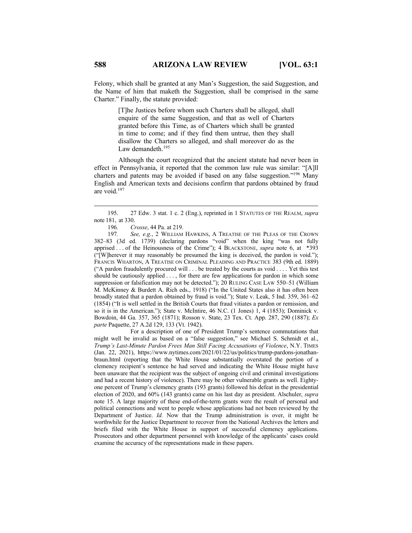Felony, which shall be granted at any Man's Suggestion, the said Suggestion, and the Name of him that maketh the Suggestion, shall be comprised in the same

> [T]he Justices before whom such Charters shall be alleged, shall enquire of the same Suggestion, and that as well of Charters granted before this Time, as of Charters which shall be granted in time to come; and if they find them untrue, then they shall disallow the Charters so alleged, and shall moreover do as the Law demandeth.<sup>195</sup>

Although the court recognized that the ancient statute had never been in effect in Pennsylvania, it reported that the common law rule was similar: "[A]ll charters and patents may be avoided if based on any false suggestion."196 Many English and American texts and decisions confirm that pardons obtained by fraud are void.197

196*. Crosse*, 44 Pa. at 219.

Charter." Finally, the statute provided:

197*. See, e.g.*, 2 WILLIAM HAWKINS, A TREATISE OF THE PLEAS OF THE CROWN 382–83 (3d ed. 1739) (declaring pardons "void" when the king "was not fully apprised . . . of the Heinousness of the Crime"); 4 BLACKSTONE, *supra* note 6, at \*393 ("[W]herever it may reasonably be presumed the king is deceived, the pardon is void."); FRANCIS WHARTON, A TREATISE ON CRIMINAL PLEADING AND PRACTICE 383 (9th ed. 1889) ("A pardon fraudulently procured will . . . be treated by the courts as void . . . . Yet this test should be cautiously applied . . . , for there are few applications for pardon in which some suppression or falsification may not be detected."); 20 RULING CASE LAW 550–51 (William M. McKinney & Burdett A. Rich eds., 1918) ("In the United States also it has often been broadly stated that a pardon obtained by fraud is void."); State v. Leak, 5 Ind. 359, 361–62 (1854) ("It is well settled in the British Courts that fraud vitiates a pardon or remission, and so it is in the American."); State v. McIntire, 46 N.C. (1 Jones) 1, 4 (1853); Dominick v. Bowdoin, 44 Ga. 357, 365 (1871); Rosson v. State, 23 Tex. Ct. App. 287, 290 (1887); *Ex parte* Paquette, 27 A.2d 129, 133 (Vt. 1942).

For a description of one of President Trump's sentence commutations that might well be invalid as based on a "false suggestion," see Michael S. Schmidt et al., *Trump's Last-Minute Pardon Frees Man Still Facing Accusations of Violence*, N.Y. TIMES (Jan. 22, 2021), https://www.nytimes.com/2021/01/22/us/politics/trump-pardons-jonathanbraun.html (reporting that the White House substantially overstated the portion of a clemency recipient's sentence he had served and indicating the White House might have been unaware that the recipient was the subject of ongoing civil and criminal investigations and had a recent history of violence). There may be other vulnerable grants as well. Eightyone percent of Trump's clemency grants (193 grants) followed his defeat in the presidential election of 2020, and 60% (143 grants) came on his last day as president. Alschuler, *supra* note 15. A large majority of these end-of-the-term grants were the result of personal and political connections and went to people whose applications had not been reviewed by the Department of Justice. *Id.* Now that the Trump administration is over, it might be worthwhile for the Justice Department to recover from the National Archives the letters and briefs filed with the White House in support of successful clemency applications. Prosecutors and other department personnel with knowledge of the applicants' cases could examine the accuracy of the representations made in these papers.

<sup>195.</sup> 27 Edw. 3 stat. 1 c. 2 (Eng.), reprinted in 1 STATUTES OF THE REALM, *supra* note 181, at 330.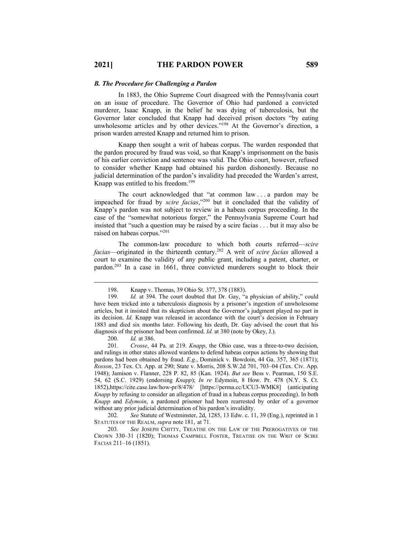#### *B. The Procedure for Challenging a Pardon*

In 1883, the Ohio Supreme Court disagreed with the Pennsylvania court on an issue of procedure. The Governor of Ohio had pardoned a convicted murderer, Isaac Knapp, in the belief he was dying of tuberculosis, but the Governor later concluded that Knapp had deceived prison doctors "by eating unwholesome articles and by other devices."<sup>198</sup> At the Governor's direction, a prison warden arrested Knapp and returned him to prison.

Knapp then sought a writ of habeas corpus. The warden responded that the pardon procured by fraud was void, so that Knapp's imprisonment on the basis of his earlier conviction and sentence was valid. The Ohio court, however, refused to consider whether Knapp had obtained his pardon dishonestly. Because no judicial determination of the pardon's invalidity had preceded the Warden's arrest, Knapp was entitled to his freedom.<sup>199</sup>

The court acknowledged that "at common law . . . a pardon may be impeached for fraud by *scire facias*,"200 but it concluded that the validity of Knapp's pardon was not subject to review in a habeas corpus proceeding. In the case of the "somewhat notorious forger," the Pennsylvania Supreme Court had insisted that "such a question may be raised by a scire facias . . . but it may also be raised on habeas corpus."201

The common-law procedure to which both courts referred—*scire facias*—originated in the thirteenth century.202 A writ of *scire facias* allowed a court to examine the validity of any public grant, including a patent, charter, or pardon.203 In a case in 1661, three convicted murderers sought to block their

200*. Id.* at 386.

201*. Crosse*, 44 Pa. at 219. *Knapp*, the Ohio case, was a three-to-two decision, and rulings in other states allowed wardens to defend habeas corpus actions by showing that pardons had been obtained by fraud. *E.g.*, Dominick v. Bowdoin, 44 Ga. 357, 365 (1871); *Rosson*, 23 Tex. Ct. App. at 290; State v. Morris, 208 S.W.2d 701, 703–04 (Tex. Civ. App. 1948); Jamison v. Flanner, 228 P. 82, 85 (Kan. 1924). *But see* Bess v. Pearman, 150 S.E. 54, 62 (S.C. 1929) (endorsing *Knapp*); *In re* Edymoin, 8 How. Pr. 478 (N.Y. S. Ct. 1852),https://cite.case.law/how-pr/8/478/ [https://perma.cc/UCU3-WMK8] (anticipating *Knapp* by refusing to consider an allegation of fraud in a habeas corpus proceeding). In both *Knapp* and *Edymoin*, a pardoned prisoner had been rearrested by order of a governor without any prior judicial determination of his pardon's invalidity.

202*. See* Statute of Westminster, 2d, 1285, 13 Edw. c. 11, 39 (Eng.), reprinted in 1 STATUTES OF THE REALM, *supra* note 181, at 71.

203*. See* JOSEPH CHITTY, TREATISE ON THE LAW OF THE PREROGATIVES OF THE CROWN 330–31 (1820); THOMAS CAMPBELL FOSTER, TREATISE ON THE WRIT OF SCIRE FACIAS 211–16 (1851).

<sup>198.</sup> Knapp v. Thomas, 39 Ohio St. 377, 378 (1883).

<sup>199.</sup> *Id.* at 394. The court doubted that Dr. Gay, "a physician of ability," could have been tricked into a tuberculosis diagnosis by a prisoner's ingestion of unwholesome articles, but it insisted that its skepticism about the Governor's judgment played no part in its decision. *Id.* Knapp was released in accordance with the court's decision in February 1883 and died six months later. Following his death, Dr. Gay advised the court that his diagnosis of the prisoner had been confirmed. *Id.* at 380 (note by Okey, J.).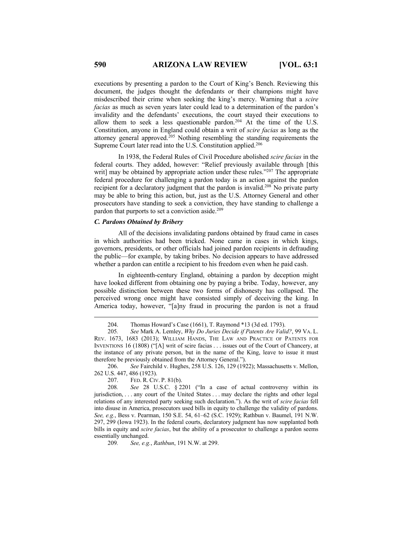executions by presenting a pardon to the Court of King's Bench. Reviewing this document, the judges thought the defendants or their champions might have misdescribed their crime when seeking the king's mercy. Warning that a *scire facias* as much as seven years later could lead to a determination of the pardon's invalidity and the defendants' executions, the court stayed their executions to allow them to seek a less questionable pardon.204 At the time of the U.S. Constitution, anyone in England could obtain a writ of *scire facias* as long as the attorney general approved.<sup>205</sup> Nothing resembling the standing requirements the Supreme Court later read into the U.S. Constitution applied.<sup>206</sup>

In 1938, the Federal Rules of Civil Procedure abolished *scire facias* in the federal courts. They added, however: "Relief previously available through [this writ] may be obtained by appropriate action under these rules."<sup>207</sup> The appropriate federal procedure for challenging a pardon today is an action against the pardon recipient for a declaratory judgment that the pardon is invalid.<sup>208</sup> No private party may be able to bring this action, but, just as the U.S. Attorney General and other prosecutors have standing to seek a conviction, they have standing to challenge a pardon that purports to set a conviction aside.<sup>209</sup>

## *C. Pardons Obtained by Bribery*

All of the decisions invalidating pardons obtained by fraud came in cases in which authorities had been tricked. None came in cases in which kings, governors, presidents, or other officials had joined pardon recipients in defrauding the public—for example, by taking bribes. No decision appears to have addressed whether a pardon can entitle a recipient to his freedom even when he paid cash.

In eighteenth-century England, obtaining a pardon by deception might have looked different from obtaining one by paying a bribe. Today, however, any possible distinction between these two forms of dishonesty has collapsed. The perceived wrong once might have consisted simply of deceiving the king. In America today, however, "[a]ny fraud in procuring the pardon is not a fraud

206. *See* Fairchild v. Hughes, 258 U.S. 126, 129 (1922); Massachusetts v. Mellon, 262 U.S. 447, 486 (1923).

207. FED. R. CIV. P. 81(b).

208*. See* 28 U.S.C. § 2201 ("In a case of actual controversy within its jurisdiction, . . . any court of the United States . . . may declare the rights and other legal relations of any interested party seeking such declaration."). As the writ of *scire facias* fell into disuse in America, prosecutors used bills in equity to challenge the validity of pardons. *See, e.g.*, Bess v. Pearman, 150 S.E. 54, 61–62 (S.C. 1929); Rathbun v. Baumel, 191 N.W. 297, 299 (Iowa 1923). In the federal courts, declaratory judgment has now supplanted both bills in equity and *scire facias*, but the ability of a prosecutor to challenge a pardon seems essentially unchanged.

209*. See, e.g.*, *Rathbun*, 191 N.W. at 299.

<sup>204.</sup> Thomas Howard's Case (1661), T. Raymond \*13 (3d ed. 1793).

<sup>205</sup>*. See* Mark A. Lemley, *Why Do Juries Decide if Patents Are Valid?*, 99 VA. L. REV. 1673, 1683 (2013); WILLIAM HANDS, THE LAW AND PRACTICE OF PATENTS FOR INVENTIONS 16 (1808) ("[A] writ of scire facias . . . issues out of the Court of Chancery, at the instance of any private person, but in the name of the King, leave to issue it must therefore be previously obtained from the Attorney General.").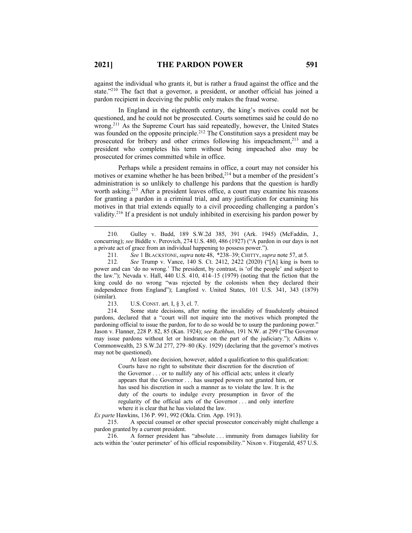against the individual who grants it, but is rather a fraud against the office and the state."210 The fact that a governor, a president, or another official has joined a pardon recipient in deceiving the public only makes the fraud worse.

In England in the eighteenth century, the king's motives could not be questioned, and he could not be prosecuted. Courts sometimes said he could do no wrong.<sup>211</sup> As the Supreme Court has said repeatedly, however, the United States was founded on the opposite principle.<sup>212</sup> The Constitution says a president may be prosecuted for bribery and other crimes following his impeachment,<sup>213</sup> and a president who completes his term without being impeached also may be prosecuted for crimes committed while in office.

Perhaps while a president remains in office, a court may not consider his motives or examine whether he has been bribed,<sup>214</sup> but a member of the president's administration is so unlikely to challenge his pardons that the question is hardly worth asking.<sup>215</sup> After a president leaves office, a court may examine his reasons for granting a pardon in a criminal trial, and any justification for examining his motives in that trial extends equally to a civil proceeding challenging a pardon's validity.216 If a president is not unduly inhibited in exercising his pardon power by

213. U.S. CONST. art. I, § 3, cl. 7.

214. Some state decisions, after noting the invalidity of fraudulently obtained pardons, declared that a "court will not inquire into the motives which prompted the pardoning official to issue the pardon, for to do so would be to usurp the pardoning power." Jason v. Flanner, 228 P. 82, 85 (Kan. 1924); *see Rathbun*, 191 N.W. at 299 ("The Governor may issue pardons without let or hindrance on the part of the judiciary."); Adkins v. Commonwealth, 23 S.W.2d 277, 279–80 (Ky. 1929) (declaring that the governor's motives may not be questioned).

At least one decision, however, added a qualification to this qualification: Courts have no right to substitute their discretion for the discretion of the Governor . . . or to nullify any of his official acts; unless it clearly appears that the Governor . . . has usurped powers not granted him, or has used his discretion in such a manner as to violate the law. It is the duty of the courts to indulge every presumption in favor of the regularity of the official acts of the Governor . . . and only interfere where it is clear that he has violated the law.

*Ex parte* Hawkins, 136 P. 991, 992 (Okla. Crim. App. 1913).

215. A special counsel or other special prosecutor conceivably might challenge a pardon granted by a current president.

216. A former president has "absolute . . . immunity from damages liability for acts within the 'outer perimeter' of his official responsibility." Nixon v. Fitzgerald, 457 U.S.

<sup>210.</sup> Gulley v. Budd, 189 S.W.2d 385, 391 (Ark. 1945) (McFaddin, J., concurring); *see* Biddle v. Perovich, 274 U.S. 480, 486 (1927) ("A pardon in our days is not a private act of grace from an individual happening to possess power.").

<sup>211</sup>*. See* 1 BLACKSTONE,*supra* note 48, \*238–39; CHITTY,*supra* note 57, at 5.

<sup>212</sup>*. See* Trump v. Vance, 140 S. Ct. 2412, 2422 (2020) ("[A] king is born to power and can 'do no wrong.' The president, by contrast, is 'of the people' and subject to the law."); Nevada v. Hall, 440 U.S. 410, 414–15 (1979) (noting that the fiction that the king could do no wrong "was rejected by the colonists when they declared their independence from England"); Langford v. United States, 101 U.S. 341, 343 (1879) (similar).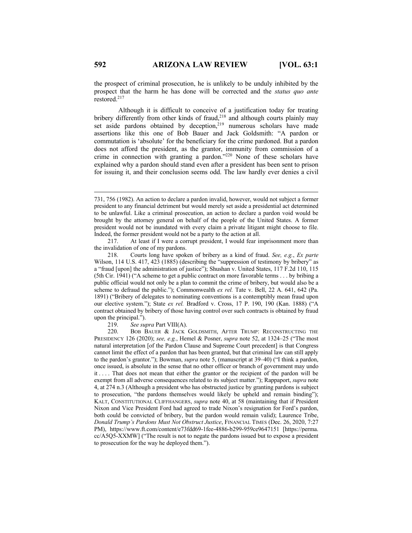the prospect of criminal prosecution, he is unlikely to be unduly inhibited by the prospect that the harm he has done will be corrected and the *status quo ante* restored.217

Although it is difficult to conceive of a justification today for treating bribery differently from other kinds of fraud,<sup>218</sup> and although courts plainly may set aside pardons obtained by deception, $2^{19}$  numerous scholars have made assertions like this one of Bob Bauer and Jack Goldsmith: "A pardon or commutation is 'absolute' for the beneficiary for the crime pardoned. But a pardon does not afford the president, as the grantor, immunity from commission of a crime in connection with granting a pardon."<sup>220</sup> None of these scholars have explained why a pardon should stand even after a president has been sent to prison for issuing it, and their conclusion seems odd. The law hardly ever denies a civil

219. *See supra* Part VIII(A).

<sup>731, 756 (1982).</sup> An action to declare a pardon invalid, however, would not subject a former president to any financial detriment but would merely set aside a presidential act determined to be unlawful. Like a criminal prosecution, an action to declare a pardon void would be brought by the attorney general on behalf of the people of the United States. A former president would not be inundated with every claim a private litigant might choose to file. Indeed, the former president would not be a party to the action at all.

<sup>217.</sup> At least if I were a corrupt president, I would fear imprisonment more than the invalidation of one of my pardons.

<sup>218.</sup> Courts long have spoken of bribery as a kind of fraud. *See, e.g.*, *Ex parte* Wilson, 114 U.S. 417, 423 (1885) (describing the "suppression of testimony by bribery" as a "fraud [upon] the administration of justice"); Shushan v. United States, 117 F.2d 110, 115 (5th Cir. 1941) ("A scheme to get a public contract on more favorable terms . . . by bribing a public official would not only be a plan to commit the crime of bribery, but would also be a scheme to defraud the public."); Commonwealth *ex rel.* Tate v. Bell, 22 A. 641, 642 (Pa. 1891) ("Bribery of delegates to nominating conventions is a contemptibly mean fraud upon our elective system."); State *ex rel.* Bradford v. Cross, 17 P. 190, 190 (Kan. 1888) ("A contract obtained by bribery of those having control over such contracts is obtained by fraud upon the principal.").

<sup>220.</sup> BOB BAUER & JACK GOLDSMITH, AFTER TRUMP: RECONSTRUCTING THE PRESIDENCY 126 (2020); *see, e.g.*, Hemel & Posner, *supra* note 52, at 1324–25 ("The most natural interpretation [of the Pardon Clause and Supreme Court precedent] is that Congress cannot limit the effect of a pardon that has been granted, but that criminal law can still apply to the pardon's grantor."); Bowman, *supra* note 5, (manuscript at 39–40) ("I think a pardon, once issued, is absolute in the sense that no other officer or branch of government may undo it . . . . That does not mean that either the grantor or the recipient of the pardon will be exempt from all adverse consequences related to its subject matter."); Rappaport, *supra* note 4, at 274 n.3 (Although a president who has obstructed justice by granting pardons is subject to prosecution, "the pardons themselves would likely be upheld and remain binding"); KALT, CONSTITUTIONAL CLIFFHANGERS, *supra* note 40, at 58 (maintaining that if President Nixon and Vice President Ford had agreed to trade Nixon's resignation for Ford's pardon, both could be convicted of bribery, but the pardon would remain valid); Laurence Tribe, *Donald Trump's Pardons Must Not Obstruct Justice*, FINANCIAL TIMES (Dec. 26, 2020, 7:27 PM), https://www.ft.com/content/e73fdd69-1fee-4886-b299-959ce9647151 [https://perma. cc/A5Q5-XXMW] ("The result is not to negate the pardons issued but to expose a president to prosecution for the way he deployed them.").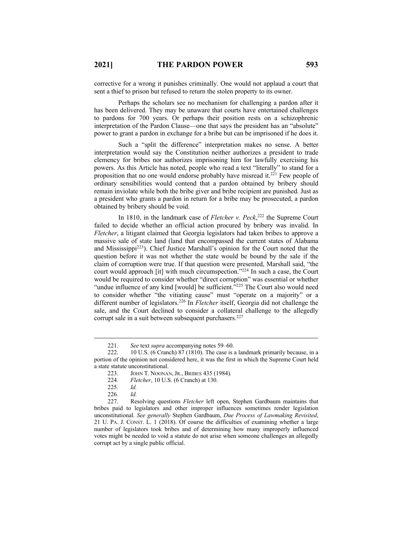corrective for a wrong it punishes criminally. One would not applaud a court that sent a thief to prison but refused to return the stolen property to its owner.

Perhaps the scholars see no mechanism for challenging a pardon after it has been delivered. They may be unaware that courts have entertained challenges to pardons for 700 years. Or perhaps their position rests on a schizophrenic interpretation of the Pardon Clause—one that says the president has an "absolute" power to grant a pardon in exchange for a bribe but can be imprisoned if he does it.

Such a "split the difference" interpretation makes no sense. A better interpretation would say the Constitution neither authorizes a president to trade clemency for bribes nor authorizes imprisoning him for lawfully exercising his powers. As this Article has noted, people who read a text "literally" to stand for a proposition that no one would endorse probably have misread it.<sup>221</sup> Few people of ordinary sensibilities would contend that a pardon obtained by bribery should remain inviolate while both the bribe giver and bribe recipient are punished. Just as a president who grants a pardon in return for a bribe may be prosecuted, a pardon obtained by bribery should be void.

In 1810, in the landmark case of *Fletcher v. Peck*, <sup>222</sup> the Supreme Court failed to decide whether an official action procured by bribery was invalid. In *Fletcher*, a litigant claimed that Georgia legislators had taken bribes to approve a massive sale of state land (land that encompassed the current states of Alabama and Mississippi223). Chief Justice Marshall's opinion for the Court noted that the question before it was not whether the state would be bound by the sale if the claim of corruption were true. If that question were presented, Marshall said, "the court would approach [it] with much circumspection."<sup>224</sup> In such a case, the Court would be required to consider whether "direct corruption" was essential or whether "undue influence of any kind [would] be sufficient.<sup>5225</sup> The Court also would need to consider whether "the vitiating cause" must "operate on a majority" or a different number of legislators.226 In *Fletcher* itself, Georgia did not challenge the sale, and the Court declined to consider a collateral challenge to the allegedly corrupt sale in a suit between subsequent purchasers.<sup>227</sup>

<sup>221.</sup> *See text <i>supra* accompanying notes 59–60.<br>222. 10 U.S. (6 Cranch) 87 (1810). The case is a

<sup>10</sup> U.S. (6 Cranch) 87 (1810). The case is a landmark primarily because, in a portion of the opinion not considered here, it was the first in which the Supreme Court held a state statute unconstitutional.

<sup>223.</sup> JOHN T. NOONAN,JR., BRIBES 435 (1984).

<sup>224</sup>*. Fletcher*, 10 U.S. (6 Cranch) at 130.

<sup>225</sup>*. Id.*

<sup>226</sup>*. Id.*

<sup>227.</sup> Resolving questions *Fletcher* left open, Stephen Gardbaum maintains that bribes paid to legislators and other improper influences sometimes render legislation unconstitutional. *See generally* Stephen Gardbaum, *Due Process of Lawmaking Revisited*, 21 U. PA. J. CONST. L. 1 (2018). Of course the difficulties of examining whether a large number of legislators took bribes and of determining how many improperly influenced votes might be needed to void a statute do not arise when someone challenges an allegedly corrupt act by a single public official.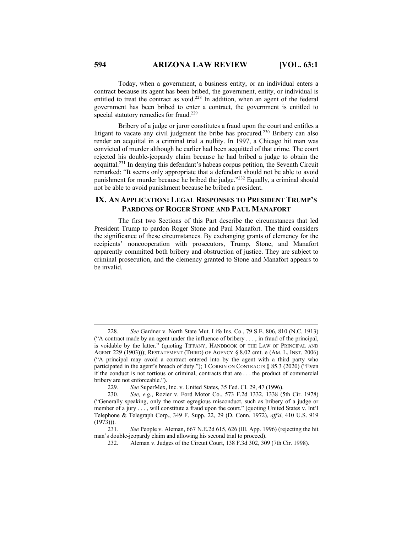Today, when a government, a business entity, or an individual enters a contract because its agent has been bribed, the government, entity, or individual is entitled to treat the contract as void.228 In addition, when an agent of the federal government has been bribed to enter a contract, the government is entitled to special statutory remedies for fraud.<sup>229</sup>

Bribery of a judge or juror constitutes a fraud upon the court and entitles a litigant to vacate any civil judgment the bribe has procured*.* <sup>230</sup> Bribery can also render an acquittal in a criminal trial a nullity. In 1997, a Chicago hit man was convicted of murder although he earlier had been acquitted of that crime. The court rejected his double-jeopardy claim because he had bribed a judge to obtain the acquittal.231 In denying this defendant's habeas corpus petition, the Seventh Circuit remarked: "It seems only appropriate that a defendant should not be able to avoid punishment for murder because he bribed the judge."<sup>232</sup> Equally, a criminal should not be able to avoid punishment because he bribed a president.

## **IX. AN APPLICATION: LEGAL RESPONSES TO PRESIDENT TRUMP'S PARDONS OF ROGER STONE AND PAUL MANAFORT**

The first two Sections of this Part describe the circumstances that led President Trump to pardon Roger Stone and Paul Manafort. The third considers the significance of these circumstances. By exchanging grants of clemency for the recipients' noncooperation with prosecutors, Trump, Stone, and Manafort apparently committed both bribery and obstruction of justice. They are subject to criminal prosecution, and the clemency granted to Stone and Manafort appears to be invalid.

<sup>228</sup>*. See* Gardner v. North State Mut. Life Ins. Co., 79 S.E. 806, 810 (N.C. 1913) ("A contract made by an agent under the influence of bribery . . . , in fraud of the principal, is voidable by the latter." (quoting TIFFANY, HANDBOOK OF THE LAW OF PRINCIPAL AND AGENT 229 (1903))); RESTATEMENT (THIRD) OF AGENCY § 8.02 cmt. e (AM. L. INST. 2006) ("A principal may avoid a contract entered into by the agent with a third party who participated in the agent's breach of duty."); 1 CORBIN ON CONTRACTS § 85.3 (2020) ("Even if the conduct is not tortious or criminal, contracts that are . . . the product of commercial bribery are not enforceable.").

<sup>229</sup>*. See* SuperMex, Inc. v. United States, 35 Fed. Cl. 29, 47 (1996).

<sup>230</sup>*. See, e.g.*, Rozier v. Ford Motor Co., 573 F.2d 1332, 1338 (5th Cir. 1978) ("Generally speaking, only the most egregious misconduct, such as bribery of a judge or member of a jury . . . , will constitute a fraud upon the court." (quoting United States v. Int'l Telephone & Telegraph Corp., 349 F. Supp. 22, 29 (D. Conn. 1972), *aff'd*, 410 U.S. 919 (1973))).

<sup>231</sup>*. See* People v. Aleman, 667 N.E.2d 615, 626 (Ill. App. 1996) (rejecting the hit man's double-jeopardy claim and allowing his second trial to proceed).

<sup>232.</sup> Aleman v. Judges of the Circuit Court, 138 F.3d 302, 309 (7th Cir. 1998).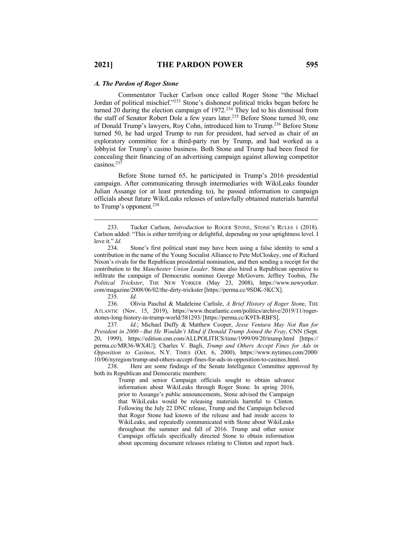#### *A. The Pardon of Roger Stone*

Commentator Tucker Carlson once called Roger Stone "the Michael Jordan of political mischief."233 Stone's dishonest political tricks began before he turned 20 during the election campaign of 1972.<sup>234</sup> They led to his dismissal from the staff of Senator Robert Dole a few years later.<sup>235</sup> Before Stone turned 30, one of Donald Trump's lawyers, Roy Cohn, introduced him to Trump.236 Before Stone turned 50, he had urged Trump to run for president, had served as chair of an exploratory committee for a third-party run by Trump, and had worked as a lobbyist for Trump's casino business. Both Stone and Trump had been fined for concealing their financing of an advertising campaign against allowing competitor casinos.<sup>23</sup>

Before Stone turned 65, he participated in Trump's 2016 presidential campaign. After communicating through intermediaries with WikiLeaks founder Julian Assange (or at least pretending to), he passed information to campaign officials about future WikiLeaks releases of unlawfully obtained materials harmful to Trump's opponent.<sup>238</sup>

235. *Id.* 

236. Olivia Paschal & Madeleine Carlisle, *A Brief History of Roger Ston*e, THE ATLANTIC (Nov. 15, 2019), https://www.theatlantic.com/politics/archive/2019/11/rogerstones-long-history-in-trump-world/581293/ [https://perma.cc/K9T8-RBFS].

237*. Id.*; Michael Duffy & Matthew Cooper, *Jesse Ventura May Not Run for President in 2000—But He Wouldn't Mind if Donald Trump Joined the Fray*, CNN (Sept. 20, 1999), https://edition.cnn.com/ALLPOLITICS/time/1999/09/20/trump.html [https:// perma.cc/MR36-WX4U]; Charles V. Bagli, *Trump and Others Accept Fines for Ads in Opposition to Casinos*, N.Y. TIMES (Oct. 6, 2000), https://www.nytimes.com/2000/ 10/06/nyregion/trump-and-others-accept-fines-for-ads-in-opposition-to-casinos.html.

238. Here are some findings of the Senate Intelligence Committee approved by both its Republican and Democratic members:

> Trump and senior Campaign officials sought to obtain advance information about WikiLeaks through Roger Stone. In spring 2016, prior to Assange's public announcements, Stone advised the Campaign that WikiLeaks would be releasing materials harmful to Clinton. Following the July 22 DNC release, Trump and the Campaign believed that Roger Stone had known of the release and had inside access to WikiLeaks, and repeatedly communicated with Stone about WikiLeaks throughout the summer and fall of 2016. Trump and other senior Campaign officials specifically directed Stone to obtain information about upcoming document releases relating to Clinton and report back.

<sup>233.</sup> Tucker Carlson, *Introduction* to ROGER STONE, STONE'S RULES i (2018). Carlson added: "This is either terrifying or delightful, depending on your uptightness level. I love it." *Id.*

Stone's first political stunt may have been using a false identity to send a contribution in the name of the Young Socialist Alliance to Pete McCloskey, one of Richard Nixon's rivals for the Republican presidential nomination, and then sending a receipt for the contribution to the *Manchester Union Leader*. Stone also hired a Republican operative to infiltrate the campaign of Democratic nominee George McGovern. Jeffrey Toobin, *The Political Trickster*, THE NEW YORKER (May 23, 2008), https://www.newyorker. com/magazine/2008/06/02/the-dirty-trickster [https://perma.cc/9SDK-5KCX].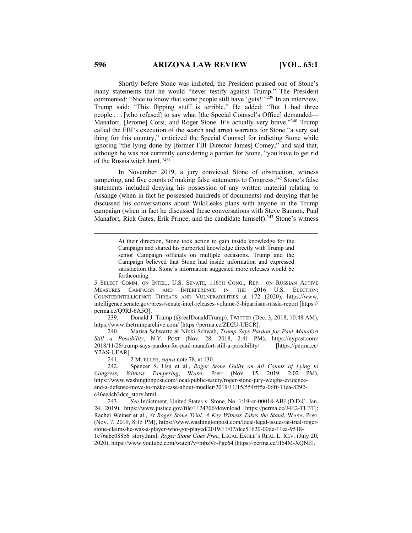Shortly before Stone was indicted, the President praised one of Stone's many statements that he would "never testify against Trump." The President commented: "Nice to know that some people still have 'guts!"<sup>239</sup> In an interview, Trump said: "This flipping stuff is terrible." He added: "But I had three people . . . [who refused] to say what [the Special Counsel's Office] demanded— Manafort, [Jerome] Corsi, and Roger Stone. It's actually very brave."<sup>240</sup> Trump called the FBI's execution of the search and arrest warrants for Stone "a very sad thing for this country," criticized the Special Counsel for indicting Stone while ignoring "the lying done by [former FBI Director James] Comey," and said that, although he was not currently considering a pardon for Stone, "you have to get rid of the Russia witch hunt."241

In November 2019, a jury convicted Stone of obstruction, witness tampering, and five counts of making false statements to Congress.<sup>242</sup> Stone's false statements included denying his possession of any written material relating to Assange (when in fact he possessed hundreds of documents) and denying that he discussed his conversations about WikiLeaks plans with anyone in the Trump campaign (when in fact he discussed these conversations with Steve Bannon, Paul Manafort, Rick Gates, Erik Prince, and the candidate himself).<sup>243</sup> Stone's witness

> At their direction, Stone took action to gain inside knowledge for the Campaign and shared his purported knowledge directly with Trump and senior Campaign officials on multiple occasions. Trump and the Campaign believed that Stone had inside information and expressed satisfaction that Stone's information suggested more releases would be forthcoming.

5 SELECT COMM. ON INTEL., U.S. SENATE, 116TH CONG., REP. ON RUSSIAN ACTIVE MEASURES CAMPAIGN AND INTERFERENCE IN THE 2016 U.S. ELECTION: COUNTERINTELLIGENCE THREATS AND VULNERABILITIES at 172 (2020), https://www. intelligence.senate.gov/press/senate-intel-releases-volume-5-bipartisan-russia-report [https:// perma.cc/Q9RJ-6A5Q].

239. Donald J. Trump (@realDonaldTrump), TWITTER (Dec. 3, 2018, 10:48 AM), https://www.thetrumparchive.com/ [https://perma.cc/ZD2U-UECR].

240. Marisa Schwartz & Nikki Schwab, *Trump Says Pardon for Paul Manafort Still a Possibility*, N.Y. POST (Nov. 28, 2018, 2:41 PM), https://nypost.com/ 2018/11/28/trump-says-pardon-for-paul-manafort-still-a-possibility/ [https://perma.cc/ Y2AS-UFAR].

241. 2 MUELLER, *supra* note 78, at 130.

242. Spencer S. Hsu et al., *Roger Stone Guilty on All Counts of Lying to Congress, Witness Tampering*, WASH. POST (Nov. 15, 2019, 2:02 PM), https://www.washingtonpost.com/local/public-safety/roger-stone-jury-weighs-evidenceand-a-defense-move-to-make-case-about-mueller/2019/11/15/554fff5a-06ff-11ea-8292 c46ee8cb3dce\_story.html.

243*. See* Indictment, United States v. Stone, No. 1:19-cr-00018-ABJ (D.D.C. Jan. 24, 2019), https://www.justice.gov/file/1124706/download [https://perma.cc/J4E2-TU3T]; Rachel Weiner et al., *At Roger Stone Trial, A Key Witness Takes the Stand*, WASH. POST (Nov. 7, 2019, 8:15 PM), https://www.washingtonpost.com/local/legal-issues/at-trial-rogerstone-claims-he-was-a-player-who-got-played/2019/11/07/dce51620-00de-11ea-9518- 1e76abc088b6\_story.html; *Roger Stone Goes Free*, LEGAL EAGLE'S REAL L. REV. (July 20, 2020), https://www.youtube.com/watch?v=mbzVr-Pgc64 [https://perma.cc/H54M-XQNE].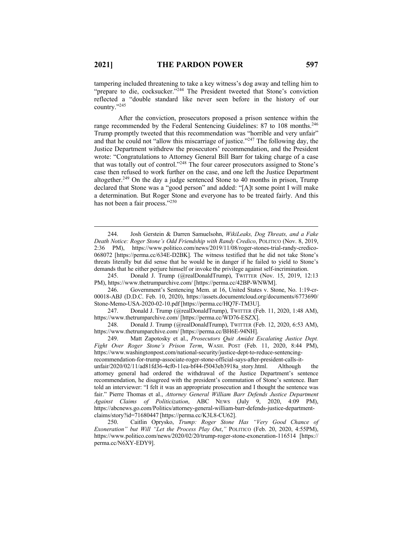tampering included threatening to take a key witness's dog away and telling him to "prepare to die, cocksucker."<sup>244</sup> The President tweeted that Stone's conviction reflected a "double standard like never seen before in the history of our country."245

After the conviction, prosecutors proposed a prison sentence within the range recommended by the Federal Sentencing Guidelines: 87 to 108 months.<sup>246</sup> Trump promptly tweeted that this recommendation was "horrible and very unfair" and that he could not "allow this miscarriage of justice."247 The following day, the Justice Department withdrew the prosecutors' recommendation, and the President wrote: "Congratulations to Attorney General Bill Barr for taking charge of a case that was totally out of control."248 The four career prosecutors assigned to Stone's case then refused to work further on the case, and one left the Justice Department altogether.<sup>249</sup> On the day a judge sentenced Stone to 40 months in prison, Trump declared that Stone was a "good person" and added: "[A]t some point I will make a determination. But Roger Stone and everyone has to be treated fairly. And this has not been a fair process."<sup>250</sup>

245. Donald J. Trump (@realDonaldTrump), TWITTER (Nov. 15, 2019, 12:13 PM), https://www.thetrumparchive.com/ [https://perma.cc/42BP-WNWM].

246. Government's Sentencing Mem. at 16, United States v. Stone, No. 1:19-cr-00018-ABJ (D.D.C. Feb. 10, 2020), https://assets.documentcloud.org/documents/6773690/ Stone-Memo-USA-2020-02-10.pdf [https://perma.cc/HQ7F-TM3U].

<sup>244.</sup> Josh Gerstein & Darren Samuelsohn, *WikiLeaks, Dog Threats, and a Fake Death Notice: Roger Stone's Odd Friendship with Randy Credico*, POLITICO (Nov. 8, 2019, 2:36 PM), https://www.politico.com/news/2019/11/08/roger-stones-trial-randy-credico-068072 [https://perma.cc/634E-D2BK]. The witness testified that he did not take Stone's threats literally but did sense that he would be in danger if he failed to yield to Stone's demands that he either perjure himself or invoke the privilege against self-incrimination.

<sup>247.</sup> Donald J. Trump (@realDonaldTrump), TWITTER (Feb. 11, 2020, 1:48 AM), https://www.thetrumparchive.com/ [https://perma.cc/WD76-ESZX].

<sup>248.</sup> Donald J. Trump (@realDonaldTrump), TWITTER (Feb. 12, 2020, 6:53 AM), https://www.thetrumparchive.com/ [https://perma.cc/BH6E-94NH].

<sup>249.</sup> Matt Zapotosky et al., *Prosecutors Quit Amidst Escalating Justice Dept. Fight Over Roger Stone's Prison Term*, WASH. POST (Feb. 11, 2020, 8:44 PM), https://www.washingtonpost.com/national-security/justice-dept-to-reduce-sentencingrecommendation-for-trump-associate-roger-stone-official-says-after-president-calls-itunfair/2020/02/11/ad81fd36-4cf0-11ea-bf44-f5043eb3918a\_story.html. Although the attorney general had ordered the withdrawal of the Justice Department's sentence recommendation, he disagreed with the president's commutation of Stone's sentence. Barr told an interviewer: "I felt it was an appropriate prosecution and I thought the sentence was fair." Pierre Thomas et al., *Attorney General William Barr Defends Justice Department*  Against Claims of Politicization, ABC NEWS (July 9, 2020, 4:09 PM), https://abcnews.go.com/Politics/attorney-general-william-barr-defends-justice-departmentclaims/story?id=71680447 [https://perma.cc/K3L8-CU62].

<sup>250.</sup> Caitlin Oprysko, *Trump: Roger Stone Has "Very Good Chance of Exoneration" but Will "Let the Process Play Out*,*"* POLITICO (Feb. 20, 2020, 4:55PM), https://www.politico.com/news/2020/02/20/trump-roger-stone-exoneration-116514 [https:// perma.cc/N6XY-EDY9].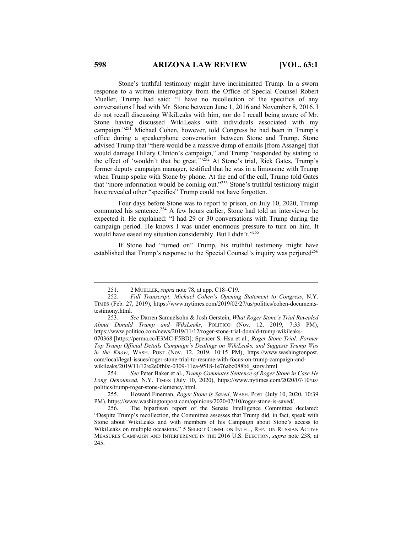Stone's truthful testimony might have incriminated Trump. In a sworn response to a written interrogatory from the Office of Special Counsel Robert Mueller, Trump had said: "I have no recollection of the specifics of any conversations I had with Mr. Stone between June 1, 2016 and November 8, 2016. I do not recall discussing WikiLeaks with him, nor do I recall being aware of Mr. Stone having discussed WikiLeaks with individuals associated with my campaign."251 Michael Cohen, however, told Congress he had been in Trump's office during a speakerphone conversation between Stone and Trump. Stone advised Trump that "there would be a massive dump of emails [from Assange] that would damage Hillary Clinton's campaign," and Trump "responded by stating to the effect of 'wouldn't that be great.'"252 At Stone's trial, Rick Gates, Trump's former deputy campaign manager, testified that he was in a limousine with Trump when Trump spoke with Stone by phone. At the end of the call, Trump told Gates that "more information would be coming out."<sup>253</sup> Stone's truthful testimony might have revealed other "specifics" Trump could not have forgotten.

Four days before Stone was to report to prison, on July 10, 2020, Trump commuted his sentence.<sup>254</sup> A few hours earlier, Stone had told an interviewer he expected it. He explained: "I had 29 or 30 conversations with Trump during the campaign period. He knows I was under enormous pressure to turn on him. It would have eased my situation considerably. But I didn't."255

If Stone had "turned on" Trump, his truthful testimony might have established that Trump's response to the Special Counsel's inquiry was perjured<sup>256</sup>

<sup>251.</sup> 2 MUELLER,*supra* note 78, at app. C18–C19.

<sup>252</sup>*. Full Transcript: Michael Cohen's Opening Statement to Congress*, N.Y. TIMES (Feb. 27, 2019), https://www.nytimes.com/2019/02/27/us/politics/cohen-documentstestimony.html.

<sup>253</sup>*. See* Darren Samuelsohn & Josh Gerstein, *What Roger Stone's Trial Revealed About Donald Trump and WikiLeaks*, POLITICO (Nov. 12, 2019, 7:33 PM), https://www.politico.com/news/2019/11/12/roger-stone-trial-donald-trump-wikileaks-

<sup>070368</sup> [https://perma.cc/E3MC-F5BD]; Spencer S. Hsu et al., *Roger Stone Trial: Former Top Trump Official Details Campaign's Dealings on WikiLeaks, and Suggests Trump Was in the Know*, WASH. POST (Nov. 12, 2019, 10:15 PM), https://www.washingtonpost. com/local/legal-issues/roger-stone-trial-to-resume-with-focus-on-trump-campaign-andwikileaks/2019/11/12/e2e0fb0c-0309-11ea-9518-1e76abc088b6\_story.html.

<sup>254</sup>*. See* Peter Baker et al., *Trump Commutes Sentence of Roger Stone in Case He Long Denounced*, N.Y. TIMES (July 10, 2020), https://www.nytimes.com/2020/07/10/us/ politics/trump-roger-stone-clemency.html.

<sup>255.</sup> Howard Fineman, *Roger Stone is Saved*, WASH. POST (July 10, 2020, 10:39 PM), https://www.washingtonpost.com/opinions/2020/07/10/roger-stone-is-saved/.

<sup>256.</sup> The bipartisan report of the Senate Intelligence Committee declared: "Despite Trump's recollection, the Committee assesses that Trump did, in fact, speak with Stone about WikiLeaks and with members of his Campaign about Stone's access to WikiLeaks on multiple occasions." 5 SELECT COMM. ON INTEL., REP. ON RUSSIAN ACTIVE MEASURES CAMPAIGN AND INTERFERENCE IN THE 2016 U.S. ELECTION, *supra* note 238, at 245.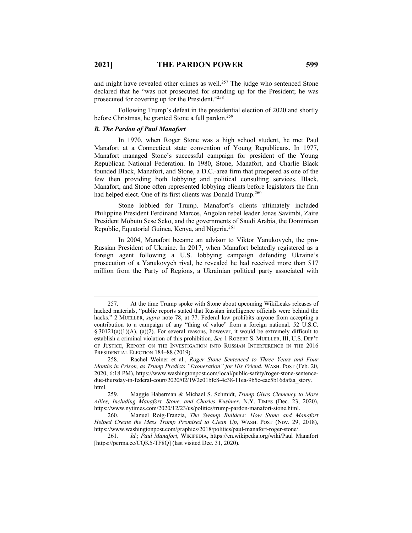and might have revealed other crimes as well.<sup>257</sup> The judge who sentenced Stone declared that he "was not prosecuted for standing up for the President; he was prosecuted for covering up for the President."258

Following Trump's defeat in the presidential election of 2020 and shortly before Christmas, he granted Stone a full pardon.<sup>259</sup>

#### *B. The Pardon of Paul Manafort*

In 1970, when Roger Stone was a high school student, he met Paul Manafort at a Connecticut state convention of Young Republicans. In 1977, Manafort managed Stone's successful campaign for president of the Young Republican National Federation. In 1980, Stone, Manafort, and Charlie Black founded Black, Manafort, and Stone, a D.C.-area firm that prospered as one of the few then providing both lobbying and political consulting services. Black, Manafort, and Stone often represented lobbying clients before legislators the firm had helped elect. One of its first clients was Donald Trump.<sup>260</sup>

Stone lobbied for Trump. Manafort's clients ultimately included Philippine President Ferdinand Marcos, Angolan rebel leader Jonas Savimbi, Zaire President Mobutu Sese Seko, and the governments of Saudi Arabia, the Dominican Republic, Equatorial Guinea, Kenya, and Nigeria.261

In 2004, Manafort became an advisor to Viktor Yanukovych, the pro-Russian President of Ukraine. In 2017, when Manafort belatedly registered as a foreign agent following a U.S. lobbying campaign defending Ukraine's prosecution of a Yanukovych rival, he revealed he had received more than \$17 million from the Party of Regions, a Ukrainian political party associated with

<sup>257.</sup> At the time Trump spoke with Stone about upcoming WikiLeaks releases of hacked materials, "public reports stated that Russian intelligence officials were behind the hacks." 2 MUELLER, *supra* note 78, at 77. Federal law prohibits anyone from accepting a contribution to a campaign of any "thing of value" from a foreign national. 52 U.S.C. § 30121(a)(1)(A), (a)(2). For several reasons, however, it would be extremely difficult to establish a criminal violation of this prohibition. *See* 1 ROBERT S. MUELLER, III, U.S. DEP'T OF JUSTICE, REPORT ON THE INVESTIGATION INTO RUSSIAN INTERFERENCE IN THE 2016 PRESIDENTIAL ELECTION 184–88 (2019).

<sup>258.</sup> Rachel Weiner et al., *Roger Stone Sentenced to Three Years and Four Months in Prison, as Trump Predicts "Exoneration" for His Friend*, WASH. POST (Feb. 20, 2020, 6:18 PM), https://www.washingtonpost.com/local/public-safety/roger-stone-sentencedue-thursday-in-federal-court/2020/02/19/2e01bfc8-4c38-11ea-9b5c-eac5b16dafaa\_story. html.

<sup>259.</sup> Maggie Haberman & Michael S. Schmidt, *Trump Gives Clemency to More Allies, Including Manafort, Stone, and Charles Kushner*, N.Y. TIMES (Dec. 23, 2020), https://www.nytimes.com/2020/12/23/us/politics/trump-pardon-manafort-stone.html.

<sup>260.</sup> Manuel Roig-Franzia, *The Swamp Builders: How Stone and Manafort Helped Create the Mess Trump Promised to Clean Up*, WASH. POST (Nov. 29, 2018), https://www.washingtonpost.com/graphics/2018/politics/paul-manafort-roger-stone/.

<sup>261</sup>*. Id.*; *Paul Manafort*, WIKIPEDIA, https://en.wikipedia.org/wiki/Paul\_Manafort [https://perma.cc/CQK5-TF8Q] (last visited Dec. 31, 2020).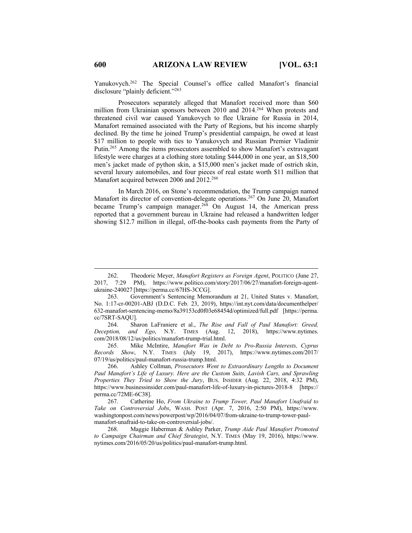Yanukovych.262 The Special Counsel's office called Manafort's financial disclosure "plainly deficient."263

Prosecutors separately alleged that Manafort received more than \$60 million from Ukrainian sponsors between 2010 and 2014.<sup>264</sup> When protests and threatened civil war caused Yanukovych to flee Ukraine for Russia in 2014, Manafort remained associated with the Party of Regions, but his income sharply declined. By the time he joined Trump's presidential campaign, he owed at least \$17 million to people with ties to Yanukovych and Russian Premier Vladimir Putin.265 Among the items prosecutors assembled to show Manafort's extravagant lifestyle were charges at a clothing store totaling \$444,000 in one year, an \$18,500 men's jacket made of python skin, a \$15,000 men's jacket made of ostrich skin, several luxury automobiles, and four pieces of real estate worth \$11 million that Manafort acquired between 2006 and 2012.<sup>266</sup>

In March 2016, on Stone's recommendation, the Trump campaign named Manafort its director of convention-delegate operations.267 On June 20, Manafort became Trump's campaign manager.<sup>268</sup> On August 14, the American press reported that a government bureau in Ukraine had released a handwritten ledger showing \$12.7 million in illegal, off-the-books cash payments from the Party of

264. Sharon LaFraniere et al., *The Rise and Fall of Paul Manafort: Greed, Deception, and Ego*, N.Y. TIMES (Aug. 12, 2018), https://www.nytimes. com/2018/08/12/us/politics/manafort-trump-trial.html.

265. Mike McIntire, *Manafort Was in Debt to Pro-Russia Interests, Cyprus Records Show*, N.Y. TIMES (July 19, 2017), https://www.nytimes.com/2017/ 07/19/us/politics/paul-manafort-russia-trump.html.

<sup>262.</sup> Theodoric Meyer, *Manafort Registers as Foreign Agent*, POLITICO (June 27, 2017, 7:29 PM), https://www.politico.com/story/2017/06/27/manafort-foreign-agentukraine-240027 [https://perma.cc/67HS-3CCG].

<sup>263.</sup> Government's Sentencing Memorandum at 21, United States v. Manafort, No. 1:17-cr-00201-ABJ (D.D.C. Feb. 23, 2019), https://int.nyt.com/data/documenthelper/ 632-manafort-sentencing-memo/8a39153cd0f03e68454d/optimized/full.pdf [https://perma. cc/7SRT-SAQU].

<sup>266.</sup> Ashley Collman, *Prosecutors Went to Extraordinary Lengths to Document Paul Manafort's Life of Luxury. Here are the Custom Suits, Lavish Cars, and Sprawling Properties They Tried to Show the Jury*, BUS. INSIDER (Aug. 22, 2018, 4:32 PM), https://www.businessinsider.com/paul-manafort-life-of-luxury-in-pictures-2018-8 [https:// perma.cc/72ME-6C38].

<sup>267.</sup> Catherine Ho, *From Ukraine to Trump Tower, Paul Manafort Unafraid to Take on Controversial Jobs*, WASH. POST (Apr. 7, 2016, 2:50 PM), https://www. washingtonpost.com/news/powerpost/wp/2016/04/07/from-ukraine-to-trump-tower-paulmanafort-unafraid-to-take-on-controversial-jobs/.

<sup>268.</sup> Maggie Haberman & Ashley Parker, *Trump Aide Paul Manafort Promoted to Campaign Chairman and Chief Strategist*, N.Y. TIMES (May 19, 2016), https://www. nytimes.com/2016/05/20/us/politics/paul-manafort-trump.html.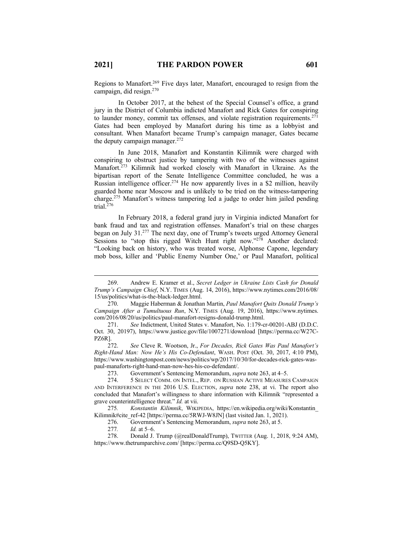Regions to Manafort.<sup>269</sup> Five days later, Manafort, encouraged to resign from the campaign, did resign. 270

In October 2017, at the behest of the Special Counsel's office, a grand jury in the District of Columbia indicted Manafort and Rick Gates for conspiring to launder money, commit tax offenses, and violate registration requirements.<sup>271</sup> Gates had been employed by Manafort during his time as a lobbyist and consultant. When Manafort became Trump's campaign manager, Gates became the deputy campaign manager.<sup>272</sup>

In June 2018, Manafort and Konstantin Kilimnik were charged with conspiring to obstruct justice by tampering with two of the witnesses against Manafort.273 Kilimnik had worked closely with Manafort in Ukraine. As the bipartisan report of the Senate Intelligence Committee concluded, he was a Russian intelligence officer.<sup>274</sup> He now apparently lives in a \$2 million, heavily guarded home near Moscow and is unlikely to be tried on the witness-tampering charge.275 Manafort's witness tampering led a judge to order him jailed pending trial. $276$ 

In February 2018, a federal grand jury in Virginia indicted Manafort for bank fraud and tax and registration offenses. Manafort's trial on these charges began on July 31.277 The next day, one of Trump's tweets urged Attorney General Sessions to "stop this rigged Witch Hunt right now."<sup>278</sup> Another declared: "Looking back on history, who was treated worse, Alphonse Capone, legendary mob boss, killer and 'Public Enemy Number One,' or Paul Manafort, political

<sup>269.</sup> Andrew E. Kramer et al., *Secret Ledger in Ukraine Lists Cash for Donald Trump's Campaign Chief*, N.Y. TIMES (Aug. 14, 2016), https://www.nytimes.com/2016/08/ 15/us/politics/what-is-the-black-ledger.html.

<sup>270.</sup> Maggie Haberman & Jonathan Martin, *Paul Manafort Quits Donald Trump's Campaign After a Tumultuous Run*, N.Y. TIMES (Aug. 19, 2016), https://www.nytimes. com/2016/08/20/us/politics/paul-manafort-resigns-donald-trump.html.

<sup>271.</sup> *See* Indictment, United States v. Manafort, No. 1:179-cr-00201-ABJ (D.D.C. Oct. 30, 20197), https://www.justice.gov/file/1007271/download [https://perma.cc/W27C-PZ6R].

<sup>272.</sup> *See* Cleve R. Wootson, Jr., *For Decades, Rick Gates Was Paul Manafort's Right-Hand Man: Now He's His Co-Defendant*, WASH. POST (Oct. 30, 2017, 4:10 PM), https://www.washingtonpost.com/news/politics/wp/2017/10/30/for-decades-rick-gates-waspaul-manaforts-right-hand-man-now-hes-his-co-defendant/.

<sup>273.</sup> Government's Sentencing Memorandum, *supra* note 263, at 4–5.

<sup>274.</sup> 5 SELECT COMM. ON INTEL., REP. ON RUSSIAN ACTIVE MEASURES CAMPAIGN AND INTERFERENCE IN THE 2016 U.S. ELECTION, *supra* note 238, at vi. The report also concluded that Manafort's willingness to share information with Kilimnik "represented a grave counterintelligence threat." *Id.* at vii.

<sup>275</sup>*. Konstantin Kilimnik*, WIKIPEDIA, https://en.wikipedia.org/wiki/Konstantin\_ Kilimnik#cite\_ref-42 [https://perma.cc/5RWJ-W8JN] (last visited Jan. 1, 2021).

<sup>276.</sup> Government's Sentencing Memorandum, *supra* note 263, at 5.

*Id.* at 5–6.

<sup>278.</sup> Donald J. Trump (@realDonaldTrump), TWITTER (Aug. 1, 2018, 9:24 AM), https://www.thetrumparchive.com/ [https://perma.cc/Q9SD-Q5KY].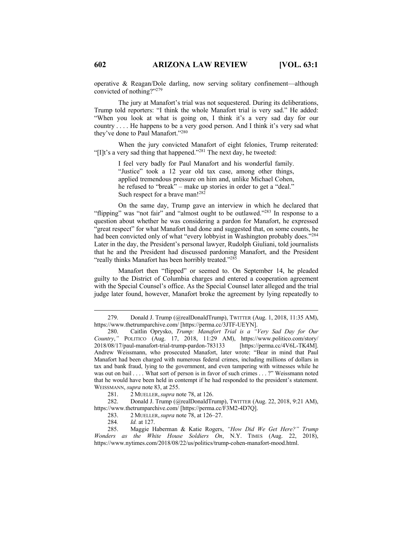operative & Reagan/Dole darling, now serving solitary confinement—although convicted of nothing?"279

The jury at Manafort's trial was not sequestered. During its deliberations, Trump told reporters: "I think the whole Manafort trial is very sad." He added: "When you look at what is going on, I think it's a very sad day for our country . . . . He happens to be a very good person. And I think it's very sad what they've done to Paul Manafort."280

When the jury convicted Manafort of eight felonies, Trump reiterated: "[I]t's a very sad thing that happened."<sup>281</sup> The next day, he tweeted:

> I feel very badly for Paul Manafort and his wonderful family. "Justice" took a 12 year old tax case, among other things, applied tremendous pressure on him and, unlike Michael Cohen, he refused to "break" – make up stories in order to get a "deal." Such respect for a brave man!<sup>282</sup>

On the same day, Trump gave an interview in which he declared that "flipping" was "not fair" and "almost ought to be outlawed."<sup>283</sup> In response to a question about whether he was considering a pardon for Manafort, he expressed "great respect" for what Manafort had done and suggested that, on some counts, he had been convicted only of what "every lobbyist in Washington probably does."<sup>284</sup> Later in the day, the President's personal lawyer, Rudolph Giuliani, told journalists that he and the President had discussed pardoning Manafort, and the President "really thinks Manafort has been horribly treated."<sup>285</sup>

Manafort then "flipped" or seemed to. On September 14, he pleaded guilty to the District of Columbia charges and entered a cooperation agreement with the Special Counsel's office. As the Special Counsel later alleged and the trial judge later found, however, Manafort broke the agreement by lying repeatedly to

281. 2 MUELLER,*supra* note 78, at 126.

282. Donald J. Trump (@realDonaldTrump), TWITTER (Aug. 22, 2018, 9:21 AM), https://www.thetrumparchive.com/ [https://perma.cc/F3M2-4D7Q].

283. 2 MUELLER,*supra* note 78, at 126–27.

284*. Id.* at 127.

285. Maggie Haberman & Katie Rogers, *"How Did We Get Here?" Trump Wonders as the White House Soldiers On*, N.Y. TIMES (Aug. 22, 2018), https://www.nytimes.com/2018/08/22/us/politics/trump-cohen-manafort-mood.html.

<sup>279.</sup> Donald J. Trump (@realDonaldTrump), TWITTER (Aug. 1, 2018, 11:35 AM), https://www.thetrumparchive.com/ [https://perma.cc/3JTF-UEYN].

<sup>280.</sup> Caitlin Oprysko, *Trump: Manafort Trial is a "Very Sad Day for Our Country*,*"* POLITICO (Aug. 17, 2018, 11:29 AM), https://www.politico.com/story/ 2018/08/17/paul-manafort-trial-trump-pardon-783133 [https://perma.cc/4V6L-TK4M]. Andrew Weissmann, who prosecuted Manafort, later wrote: "Bear in mind that Paul Manafort had been charged with numerous federal crimes, including millions of dollars in tax and bank fraud, lying to the government, and even tampering with witnesses while he was out on bail . . . . What sort of person is in favor of such crimes . . . ?" Weissmann noted that he would have been held in contempt if he had responded to the president's statement. WEISSMANN, *supra* note 83, at 255.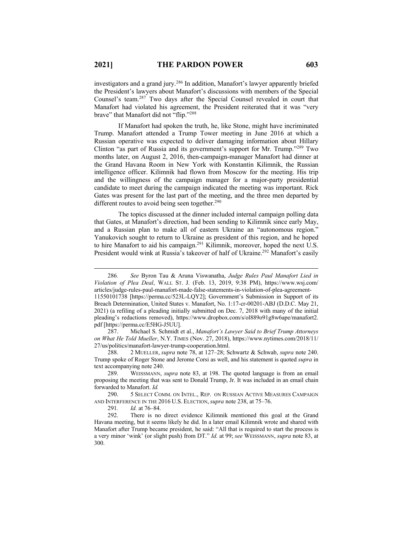investigators and a grand jury.286 In addition, Manafort's lawyer apparently briefed the President's lawyers about Manafort's discussions with members of the Special Counsel's team.287 Two days after the Special Counsel revealed in court that Manafort had violated his agreement, the President reiterated that it was "very brave" that Manafort did not "flip."288

If Manafort had spoken the truth, he, like Stone, might have incriminated Trump. Manafort attended a Trump Tower meeting in June 2016 at which a Russian operative was expected to deliver damaging information about Hillary Clinton "as part of Russia and its government's support for Mr. Trump."289 Two months later, on August 2, 2016, then-campaign-manager Manafort had dinner at the Grand Havana Room in New York with Konstantin Kilimnik, the Russian intelligence officer. Kilimnik had flown from Moscow for the meeting. His trip and the willingness of the campaign manager for a major-party presidential candidate to meet during the campaign indicated the meeting was important. Rick Gates was present for the last part of the meeting, and the three men departed by different routes to avoid being seen together.<sup>290</sup>

The topics discussed at the dinner included internal campaign polling data that Gates, at Manafort's direction, had been sending to Kilimnik since early May, and a Russian plan to make all of eastern Ukraine an "autonomous region." Yanukovich sought to return to Ukraine as president of this region, and he hoped to hire Manafort to aid his campaign.291 Kilimnik, moreover, hoped the next U.S. President would wink at Russia's takeover of half of Ukraine.<sup>292</sup> Manafort's easily

287. Michael S. Schmidt et al., *Manafort's Lawyer Said to Brief Trump Attorneys on What He Told Mueller*, N.Y. TIMES (Nov. 27, 2018), https://www.nytimes.com/2018/11/ 27/us/politics/manafort-lawyer-trump-cooperation.html.

288. 2 MUELLER, *supra* note 78, at 127–28; Schwartz & Schwab, *supra* note 240. Trump spoke of Roger Stone and Jerome Corsi as well, and his statement is quoted *supra* in text accompanying note 240.

289. WEISSMANN, *supra* note 83, at 198. The quoted language is from an email proposing the meeting that was sent to Donald Trump, Jr. It was included in an email chain forwarded to Manafort. *Id.*

290. 5 SELECT COMM. ON INTEL., REP. ON RUSSIAN ACTIVE MEASURES CAMPAIGN AND INTERFERENCE IN THE 2016 U.S. ELECTION,*supra* note 238, at 75–76.

291*. Id.* at 76–84.

292. There is no direct evidence Kilimnik mentioned this goal at the Grand Havana meeting, but it seems likely he did. In a later email Kilimnik wrote and shared with Manafort after Trump became president, he said: "All that is required to start the process is a very minor 'wink' (or slight push) from DT." *Id.* at 99; *see* WEISSMANN, *supra* note 83, at 300.

<sup>286</sup>*. See* Byron Tau & Aruna Viswanatha, *Judge Rules Paul Manafort Lied in Violation of Plea Deal*, WALL ST. J. (Feb. 13, 2019, 9:38 PM), https://www.wsj.com/ articles/judge-rules-paul-manafort-made-false-statements-in-violation-of-plea-agreement-11550101738 [https://perma.cc/523L-LQY2]; Government's Submission in Support of its Breach Determination, United States v. Manafort, No. 1:17-cr-00201-ABJ (D.D.C. May 21, 2021) (a refiling of a pleading initially submitted on Dec. 7, 2018 with many of the initial pleading's redactions removed), https://www.dropbox.com/s/ol889o91g8w6ape/manafort2. pdf [https://perma.cc/E5HG-J5UU].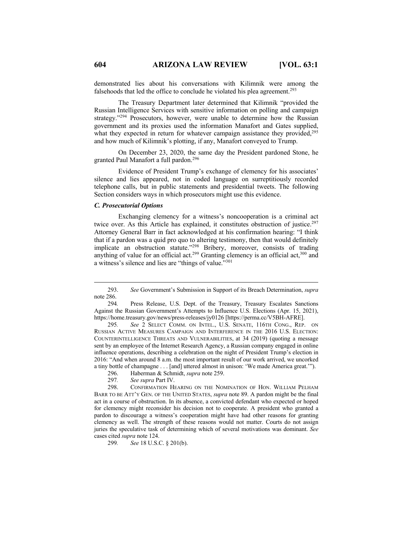demonstrated lies about his conversations with Kilimnik were among the falsehoods that led the office to conclude he violated his plea agreement.<sup>293</sup>

The Treasury Department later determined that Kilimnik "provided the Russian Intelligence Services with sensitive information on polling and campaign strategy."<sup>294</sup> Prosecutors, however, were unable to determine how the Russian government and its proxies used the information Manafort and Gates supplied, what they expected in return for whatever campaign assistance they provided, $295$ and how much of Kilimnik's plotting, if any, Manafort conveyed to Trump.

On December 23, 2020, the same day the President pardoned Stone, he granted Paul Manafort a full pardon.296

Evidence of President Trump's exchange of clemency for his associates' silence and lies appeared, not in coded language on surreptitiously recorded telephone calls, but in public statements and presidential tweets. The following Section considers ways in which prosecutors might use this evidence.

#### *C. Prosecutorial Options*

Exchanging clemency for a witness's noncooperation is a criminal act twice over. As this Article has explained, it constitutes obstruction of justice.<sup>297</sup> Attorney General Barr in fact acknowledged at his confirmation hearing: "I think that if a pardon was a quid pro quo to altering testimony, then that would definitely implicate an obstruction statute."298 Bribery, moreover, consists of trading anything of value for an official act.<sup>299</sup> Granting clemency is an official act,<sup>300</sup> and a witness's silence and lies are "things of value."301

295*. See* 2 SELECT COMM. ON INTEL., U.S. SENATE, 116TH CONG., REP. ON RUSSIAN ACTIVE MEASURES CAMPAIGN AND INTERFERENCE IN THE 2016 U.S. ELECTION: COUNTERINTELLIGENCE THREATS AND VULNERABILITIES, at 34 (2019) (quoting a message sent by an employee of the Internet Research Agency, a Russian company engaged in online influence operations, describing a celebration on the night of President Trump's election in 2016: "And when around 8 a.m. the most important result of our work arrived, we uncorked a tiny bottle of champagne . . . [and] uttered almost in unison: 'We made America great.'").

299*. See* 18 U.S.C. § 201(b).

<sup>293.</sup> *See* Government's Submission in Support of its Breach Determination, *supra* note 286.

<sup>294</sup>*.* Press Release, U.S. Dept. of the Treasury, Treasury Escalates Sanctions Against the Russian Government's Attempts to Influence U.S. Elections (Apr. 15, 2021), https://home.treasury.gov/news/press-releases/jy0126 [https://perma.cc/V5BH-AFRE].

<sup>296.</sup> Haberman & Schmidt, *supra* note 259.

<sup>297</sup>*. See supra* Part IV.

<sup>298.</sup> CONFIRMATION HEARING ON THE NOMINATION OF HON. WILLIAM PELHAM BARR TO BE ATT'Y GEN. OF THE UNITED STATES, *supra* note 89. A pardon might be the final act in a course of obstruction. In its absence, a convicted defendant who expected or hoped for clemency might reconsider his decision not to cooperate. A president who granted a pardon to discourage a witness's cooperation might have had other reasons for granting clemency as well. The strength of these reasons would not matter. Courts do not assign juries the speculative task of determining which of several motivations was dominant. *See*  cases cited *supra* note 124.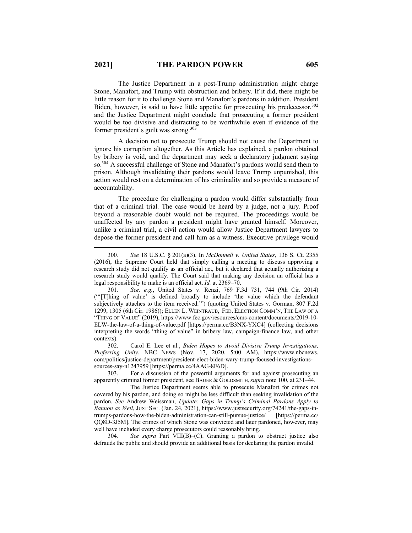The Justice Department in a post-Trump administration might charge Stone, Manafort, and Trump with obstruction and bribery. If it did, there might be little reason for it to challenge Stone and Manafort's pardons in addition. President Biden, however, is said to have little appetite for prosecuting his predecessor,  $302$ and the Justice Department might conclude that prosecuting a former president would be too divisive and distracting to be worthwhile even if evidence of the former president's guilt was strong.303

A decision not to prosecute Trump should not cause the Department to ignore his corruption altogether. As this Article has explained, a pardon obtained by bribery is void, and the department may seek a declaratory judgment saying so.304 A successful challenge of Stone and Manafort's pardons would send them to prison. Although invalidating their pardons would leave Trump unpunished, this action would rest on a determination of his criminality and so provide a measure of accountability.

The procedure for challenging a pardon would differ substantially from that of a criminal trial. The case would be heard by a judge, not a jury. Proof beyond a reasonable doubt would not be required. The proceedings would be unaffected by any pardon a president might have granted himself. Moreover, unlike a criminal trial, a civil action would allow Justice Department lawyers to depose the former president and call him as a witness. Executive privilege would

302. Carol E. Lee et al., *Biden Hopes to Avoid Divisive Trump Investigations, Preferring Unity*, NBC NEWS (Nov. 17, 2020, 5:00 AM), https://www.nbcnews. com/politics/justice-department/president-elect-biden-wary-trump-focused-investigationssources-say-n1247959 [https://perma.cc/4AAG-8F6D].

303. For a discussion of the powerful arguments for and against prosecuting an apparently criminal former president, see BAUER & GOLDSMITH,*supra* note 100, at 231–44.

The Justice Department seems able to prosecute Manafort for crimes not covered by his pardon, and doing so might be less difficult than seeking invalidation of the pardon. *See* Andrew Weissman, *Update: Gaps in Trump's Criminal Pardons Apply to Bannon as Well*, JUST SEC. (Jan. 24, 2021), https://www.justsecurity.org/74241/the-gaps-intrumps-pardons-how-the-biden-administration-can-still-pursue-justice/ [https://perma.cc/ QQ8D-3J5M]. The crimes of which Stone was convicted and later pardoned, however, may well have included every charge prosecutors could reasonably bring.

304*. See supra* Part VIII(B)–(C). Granting a pardon to obstruct justice also defrauds the public and should provide an additional basis for declaring the pardon invalid.

<sup>300</sup>*. See* 18 U.S.C. § 201(a)(3). In *McDonnell v. United States*, 136 S. Ct. 2355 (2016), the Supreme Court held that simply calling a meeting to discuss approving a research study did not qualify as an official act, but it declared that actually authorizing a research study would qualify. The Court said that making any decision an official has a legal responsibility to make is an official act. *Id.* at 2369–70.

<sup>301</sup>*. See, e.g.*, United States v. Renzi, 769 F.3d 731, 744 (9th Cir. 2014) ("'[T]hing of value' is defined broadly to include 'the value which the defendant subjectively attaches to the item received.'") (quoting United States v. Gorman, 807 F.2d 1299, 1305 (6th Cir. 1986)); ELLEN L. WEINTRAUB, FED. ELECTION COMM'N, THE LAW OF A "THING OF VALUE" (2019), https://www.fec.gov/resources/cms-content/documents/2019-10- ELW-the-law-of-a-thing-of-value.pdf [https://perma.cc/B3NX-YXC4] (collecting decisions interpreting the words "thing of value" in bribery law, campaign-finance law, and other contexts).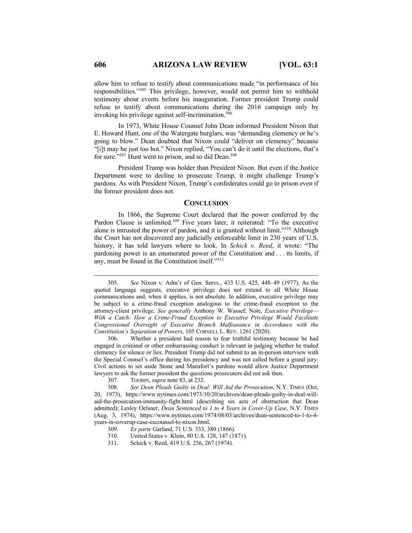allow him to refuse to testify about communications made "in performance of his responsibilities."305 This privilege, however, would not permit him to withhold testimony about events before his inauguration. Former president Trump could refuse to testify about communications during the 2016 campaign only by invoking his privilege against self-incrimination.<sup>306</sup>

In 1973, White House Counsel John Dean informed President Nixon that E. Howard Hunt, one of the Watergate burglars, was "demanding clemency or he's going to blow." Dean doubted that Nixon could "deliver on clemency" because "[i]t may be just too hot." Nixon replied, "You can't do it until the elections, that's for sure." $307$  Hunt went to prison, and so did Dean. $308$ 

President Trump was bolder than President Nixon. But even if the Justice Department were to decline to prosecute Trump, it might challenge Trump's pardons. As with President Nixon, Trump's confederates could go to prison even if the former president does not.

### **CONCLUSION**

In 1866, the Supreme Court declared that the power conferred by the Pardon Clause is unlimited.<sup>309</sup> Five years later, it reiterated: "To the executive alone is intrusted the power of pardon, and it is granted without limit."310 Although the Court has not discovered any judicially enforceable limit in 230 years of U.S. history, it has told lawyers where to look. In *Schick v. Reed*, it wrote: "The pardoning power is an enumerated power of the Constitution and . . . its limits, if any, must be found in the Constitution itself."311

- 310. United States v. Klein, 80 U.S. 128, 147 (1871).
- 311. Schick v. Reed, 419 U.S. 256, 267 (1974).

<sup>305</sup>*. See* Nixon v. Adm'r of Gen. Servs., 433 U.S. 425, 448–49 (1977). As the quoted language suggests, executive privilege does not extend to all White House communications and, when it applies, is not absolute. In addition, executive privilege may be subject to a crime-fraud exception analogous to the crime-fraud exception to the attorney-client privilege. *See generally* Anthony W. Wassef, Note, *Executive Privilege— With a Catch: How a Crime-Fraud Exception to Executive Privilege Would Facilitate Congressional Oversight of Executive Branch Malfeasance in Accordance with the Constitution's Separation of Powers*, 105 CORNELL L. REV. 1261 (2020).

<sup>306.</sup> Whether a president had reason to fear truthful testimony because he had engaged in criminal or other embarrassing conduct is relevant in judging whether he traded clemency for silence or lies. President Trump did not submit to an in-person interview with the Special Counsel's office during his presidency and was not called before a grand jury. Civil actions to set aside Stone and Manafort's pardons would allow Justice Department lawyers to ask the former president the questions prosecutors did not ask then.

<sup>307.</sup> TOOBIN, *supra* note 83, at 232.

<sup>308.</sup> *See Dean Pleads Guilty in Deal: Will Aid the Prosecution*, N.Y. TIMES (Oct, 20, 1973), https://www.nytimes.com/1973/10/20/archives/dean-pleads-guilty-in-deal-willaid-the-prosecution-immunity-fight.html (describing six acts of obstruction that Dean admitted); Lesley Oelsner, *Dean Sentenced to 1 to 4 Years in Cover-Up Case*, N.Y. TIMES (Aug. 3, 1974), https://www.nytimes.com/1974/08/03/archives/dean-sentenced-to-1-to-4 years-in-coverup-case-excounsel-to-nixon.html.

<sup>309.</sup> *Ex parte* Garland, 71 U.S. 333, 380 (1866).